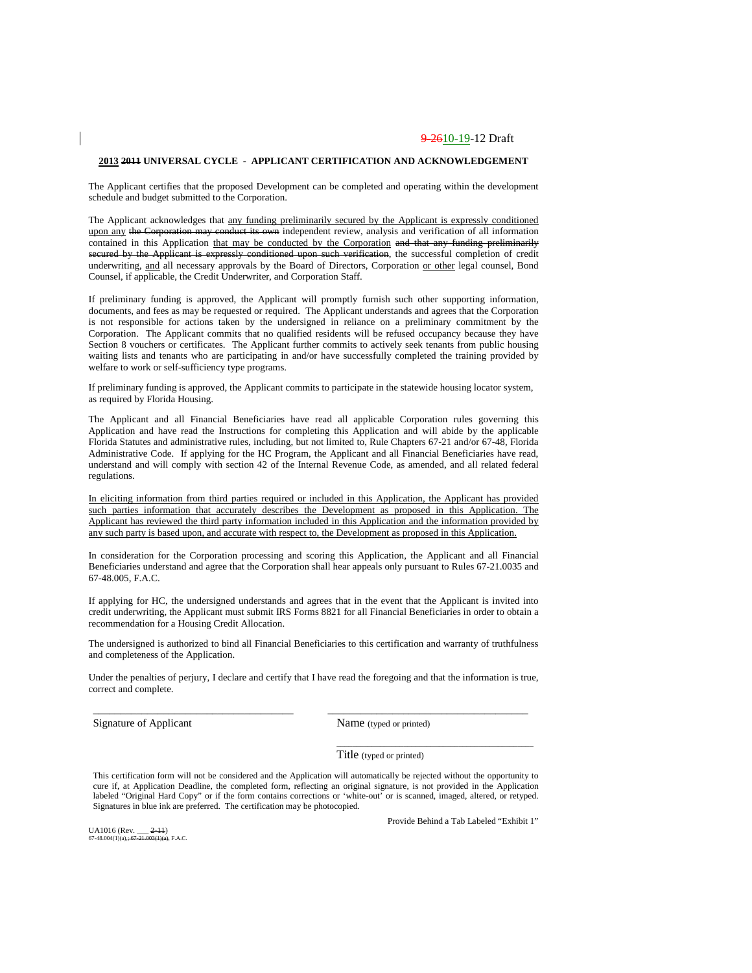#### **2013 2011 UNIVERSAL CYCLE - APPLICANT CERTIFICATION AND ACKNOWLEDGEMENT**

The Applicant certifies that the proposed Development can be completed and operating within the development schedule and budget submitted to the Corporation.

The Applicant acknowledges that any funding preliminarily secured by the Applicant is expressly conditioned upon any the Corporation may conduct its own independent review, analysis and verification of all information contained in this Application that may be conducted by the Corporation and that any funding preliminarily secured by the Applicant is expressly conditioned upon such verification, the successful completion of credit underwriting, and all necessary approvals by the Board of Directors, Corporation or other legal counsel, Bond Counsel, if applicable, the Credit Underwriter, and Corporation Staff.

If preliminary funding is approved, the Applicant will promptly furnish such other supporting information, documents, and fees as may be requested or required. The Applicant understands and agrees that the Corporation is not responsible for actions taken by the undersigned in reliance on a preliminary commitment by the Corporation. The Applicant commits that no qualified residents will be refused occupancy because they have Section 8 vouchers or certificates. The Applicant further commits to actively seek tenants from public housing waiting lists and tenants who are participating in and/or have successfully completed the training provided by welfare to work or self-sufficiency type programs.

If preliminary funding is approved, the Applicant commits to participate in the statewide housing locator system, as required by Florida Housing.

The Applicant and all Financial Beneficiaries have read all applicable Corporation rules governing this Application and have read the Instructions for completing this Application and will abide by the applicable Florida Statutes and administrative rules, including, but not limited to, Rule Chapters 67-21 and/or 67-48, Florida Administrative Code. If applying for the HC Program, the Applicant and all Financial Beneficiaries have read, understand and will comply with section 42 of the Internal Revenue Code, as amended, and all related federal regulations.

In eliciting information from third parties required or included in this Application, the Applicant has provided such parties information that accurately describes the Development as proposed in this Application. The Applicant has reviewed the third party information included in this Application and the information provided by any such party is based upon, and accurate with respect to, the Development as proposed in this Application.

In consideration for the Corporation processing and scoring this Application, the Applicant and all Financial Beneficiaries understand and agree that the Corporation shall hear appeals only pursuant to Rules 67-21.0035 and 67-48.005, F.A.C.

If applying for HC, the undersigned understands and agrees that in the event that the Applicant is invited into credit underwriting, the Applicant must submit IRS Forms 8821 for all Financial Beneficiaries in order to obtain a recommendation for a Housing Credit Allocation.

The undersigned is authorized to bind all Financial Beneficiaries to this certification and warranty of truthfulness and completeness of the Application.

Under the penalties of perjury, I declare and certify that I have read the foregoing and that the information is true, correct and complete.

\_\_\_\_\_\_\_\_\_\_\_\_\_\_\_\_\_\_\_\_\_\_\_\_\_\_\_\_\_\_\_\_\_\_\_\_\_ \_\_\_\_\_\_\_\_\_\_\_\_\_\_\_\_\_\_\_\_\_\_\_\_\_\_\_\_\_\_\_\_\_\_\_\_\_

Signature of Applicant Name (typed or printed)

Title (typed or printed)

This certification form will not be considered and the Application will automatically be rejected without the opportunity to cure if, at Application Deadline, the completed form, reflecting an original signature, is not provided in the Application labeled "Original Hard Copy" or if the form contains corrections or 'white-out' or is scanned, imaged, altered, or retyped. Signatures in blue ink are preferred. The certification may be photocopied.

UA1016 (Rev.  $2-11$ )<br>67-48.004(1)(a): 67-21.003(1)(a): F A C  $67-48.004(1)(a) + 67.$ 

Provide Behind a Tab Labeled "Exhibit 1"

\_\_\_\_\_\_\_\_\_\_\_\_\_\_\_\_\_\_\_\_\_\_\_\_\_\_\_\_\_\_\_\_\_\_\_\_\_\_\_\_\_\_\_\_\_\_\_\_\_\_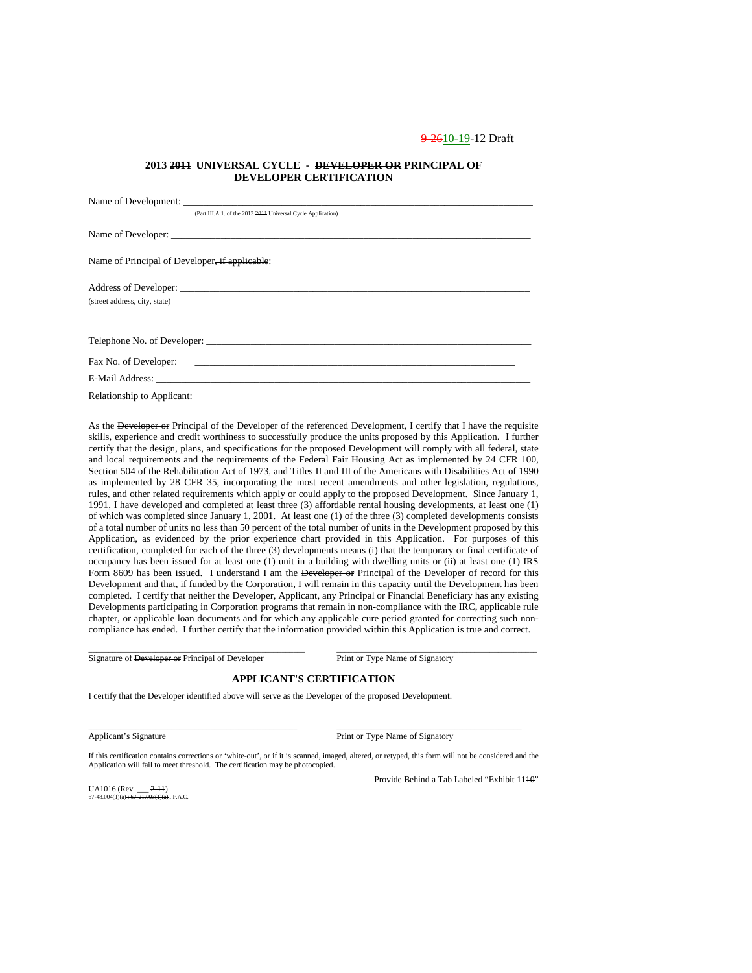#### **2013 2011 UNIVERSAL CYCLE - DEVELOPER OR PRINCIPAL OF DEVELOPER CERTIFICATION**

| (Part III.A.1. of the 2013 2014 Universal Cycle Application) |
|--------------------------------------------------------------|
|                                                              |
|                                                              |
|                                                              |
|                                                              |
| (street address, city, state)                                |
|                                                              |
|                                                              |
| Telephone No. of Developer:                                  |
|                                                              |
|                                                              |
| Relationship to Applicant:                                   |

As the Developer or Principal of the Developer of the referenced Development, I certify that I have the requisite skills, experience and credit worthiness to successfully produce the units proposed by this Application. I further certify that the design, plans, and specifications for the proposed Development will comply with all federal, state and local requirements and the requirements of the Federal Fair Housing Act as implemented by 24 CFR 100, Section 504 of the Rehabilitation Act of 1973, and Titles II and III of the Americans with Disabilities Act of 1990 as implemented by 28 CFR 35, incorporating the most recent amendments and other legislation, regulations, rules, and other related requirements which apply or could apply to the proposed Development. Since January 1, 1991, I have developed and completed at least three (3) affordable rental housing developments, at least one (1) of which was completed since January 1, 2001. At least one (1) of the three (3) completed developments consists of a total number of units no less than 50 percent of the total number of units in the Development proposed by this Application, as evidenced by the prior experience chart provided in this Application. For purposes of this certification, completed for each of the three (3) developments means (i) that the temporary or final certificate of occupancy has been issued for at least one (1) unit in a building with dwelling units or (ii) at least one (1) IRS Form 8609 has been issued. I understand I am the Developer or Principal of the Developer of record for this Development and that, if funded by the Corporation, I will remain in this capacity until the Development has been completed. I certify that neither the Developer, Applicant, any Principal or Financial Beneficiary has any existing Developments participating in Corporation programs that remain in non-compliance with the IRC, applicable rule chapter, or applicable loan documents and for which any applicable cure period granted for correcting such noncompliance has ended. I further certify that the information provided within this Application is true and correct.

Signature of Developer or Principal of Developer Print or Type Name of Signatory

### **APPLICANT'S CERTIFICATION**

\_\_\_\_\_\_\_\_\_\_\_\_\_\_\_\_\_\_\_\_\_\_\_\_\_\_\_\_\_\_\_\_\_\_\_\_\_\_\_\_\_\_\_\_\_\_\_\_\_\_\_\_\_ \_\_\_\_\_\_\_\_\_\_\_\_\_\_\_\_\_\_\_\_\_\_\_\_\_\_\_\_\_\_\_\_\_\_\_\_\_\_\_\_\_\_\_\_\_\_\_

\_\_\_\_\_\_\_\_\_\_\_\_\_\_\_\_\_\_\_\_\_\_\_\_\_\_\_\_\_\_\_\_\_\_\_\_\_\_\_\_\_\_\_\_\_\_\_\_\_\_\_\_\_\_\_ \_\_\_\_\_\_\_\_\_\_\_\_\_\_\_\_\_\_\_\_\_\_\_\_\_\_\_\_\_\_\_\_\_\_\_\_\_\_\_\_\_\_\_\_\_\_\_\_\_\_\_

I certify that the Developer identified above will serve as the Developer of the proposed Development.

Applicant's Signature Print or Type Name of Signatory

If this certification contains corrections or 'white-out', or if it is scanned, imaged, altered, or retyped, this form will not be considered and the Application will fail to meet threshold. The certification may be photocopied.

UA1016 (Rev. \_\_\_ <del>2-11</del>)<br>67-48.004(1)(a) <del>; 67-21.003(1)(a)</del>., F.A.C.

Provide Behind a Tab Labeled "Exhibit 1140"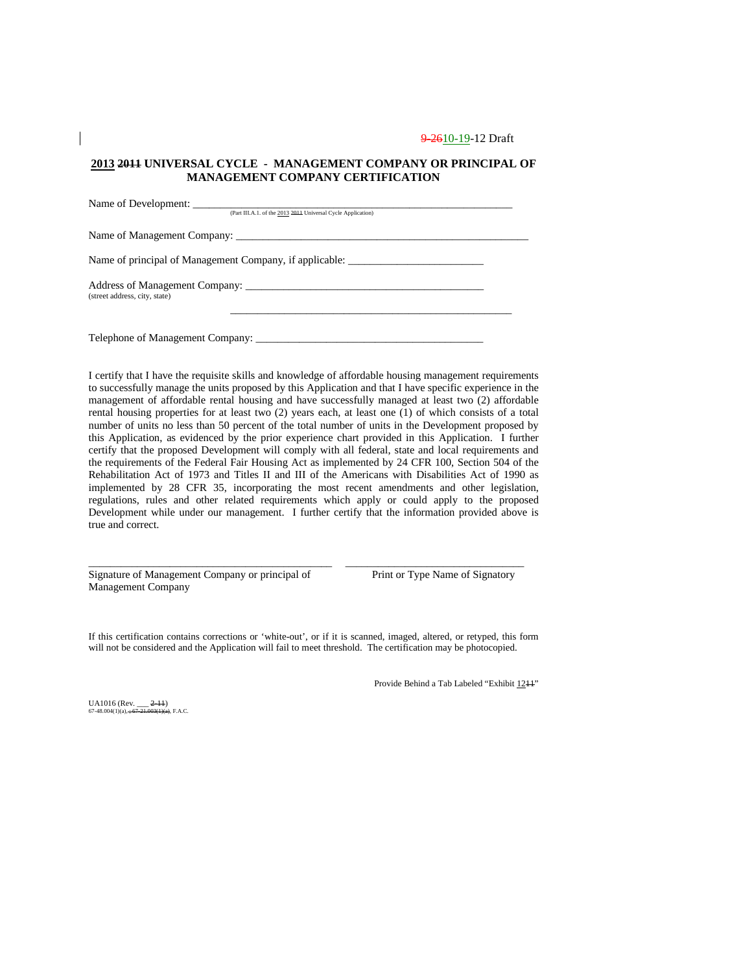### **2013 2011 UNIVERSAL CYCLE - MANAGEMENT COMPANY OR PRINCIPAL OF MANAGEMENT COMPANY CERTIFICATION**

| (Part III.A.1. of the 2013 2014 Universal Cycle Application)                      |  |
|-----------------------------------------------------------------------------------|--|
|                                                                                   |  |
|                                                                                   |  |
| Name of principal of Management Company, if applicable: _________________________ |  |
| (street address, city, state)                                                     |  |
|                                                                                   |  |
|                                                                                   |  |
|                                                                                   |  |

I certify that I have the requisite skills and knowledge of affordable housing management requirements to successfully manage the units proposed by this Application and that I have specific experience in the management of affordable rental housing and have successfully managed at least two (2) affordable rental housing properties for at least two (2) years each, at least one (1) of which consists of a total number of units no less than 50 percent of the total number of units in the Development proposed by this Application, as evidenced by the prior experience chart provided in this Application. I further certify that the proposed Development will comply with all federal, state and local requirements and the requirements of the Federal Fair Housing Act as implemented by 24 CFR 100, Section 504 of the Rehabilitation Act of 1973 and Titles II and III of the Americans with Disabilities Act of 1990 as implemented by 28 CFR 35, incorporating the most recent amendments and other legislation, regulations, rules and other related requirements which apply or could apply to the proposed Development while under our management. I further certify that the information provided above is true and correct.

Signature of Management Company or principal of Print or Type Name of Signatory Management Company

If this certification contains corrections or 'white-out', or if it is scanned, imaged, altered, or retyped, this form will not be considered and the Application will fail to meet threshold. The certification may be photocopied.

\_\_\_\_\_\_\_\_\_\_\_\_\_\_\_\_\_\_\_\_\_\_\_\_\_\_\_\_\_\_\_\_\_\_\_\_\_\_\_\_\_\_\_\_\_ \_\_\_\_\_\_\_\_\_\_\_\_\_\_\_\_\_\_\_\_\_\_\_\_\_\_\_\_\_\_\_\_\_

Provide Behind a Tab Labeled "Exhibit 1211"

UA1016 (Rev.  $2-11$ )<br>67-48.004(1)(a)  $\div 67-21.003(1)$ (a). F.A.C  $67-48.004(1)(a)$ ;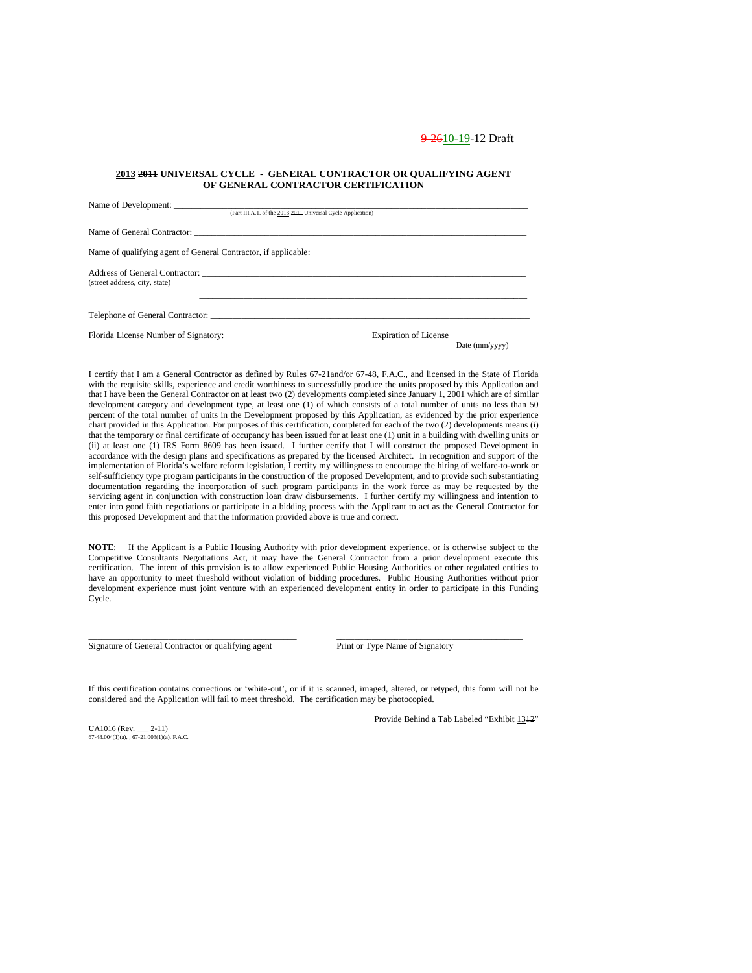#### **2013 2011 UNIVERSAL CYCLE - GENERAL CONTRACTOR OR QUALIFYING AGENT OF GENERAL CONTRACTOR CERTIFICATION**

| (Part III.A.1. of the 2013 2014 Universal Cycle Application) |                                         |  |  |  |
|--------------------------------------------------------------|-----------------------------------------|--|--|--|
|                                                              |                                         |  |  |  |
|                                                              |                                         |  |  |  |
| (street address, city, state)                                |                                         |  |  |  |
|                                                              |                                         |  |  |  |
| Florida License Number of Signatory:                         | Expiration of License<br>Date (mm/yyyy) |  |  |  |

I certify that I am a General Contractor as defined by Rules 67-21and/or 67-48, F.A.C., and licensed in the State of Florida with the requisite skills, experience and credit worthiness to successfully produce the units proposed by this Application and that I have been the General Contractor on at least two (2) developments completed since January 1, 2001 which are of similar development category and development type, at least one (1) of which consists of a total number of units no less than 50 percent of the total number of units in the Development proposed by this Application, as evidenced by the prior experience chart provided in this Application. For purposes of this certification, completed for each of the two (2) developments means (i) that the temporary or final certificate of occupancy has been issued for at least one (1) unit in a building with dwelling units or (ii) at least one (1) IRS Form 8609 has been issued. I further certify that I will construct the proposed Development in accordance with the design plans and specifications as prepared by the licensed Architect. In recognition and support of the implementation of Florida's welfare reform legislation, I certify my willingness to encourage the hiring of welfare-to-work or self-sufficiency type program participants in the construction of the proposed Development, and to provide such substantiating documentation regarding the incorporation of such program participants in the work force as may be requested by the servicing agent in conjunction with construction loan draw disbursements. I further certify my willingness and intention to enter into good faith negotiations or participate in a bidding process with the Applicant to act as the General Contractor for this proposed Development and that the information provided above is true and correct.

**NOTE**: If the Applicant is a Public Housing Authority with prior development experience, or is otherwise subject to the Competitive Consultants Negotiations Act, it may have the General Contractor from a prior development execute this certification. The intent of this provision is to allow experienced Public Housing Authorities or other regulated entities to have an opportunity to meet threshold without violation of bidding procedures. Public Housing Authorities without prior development experience must joint venture with an experienced development entity in order to participate in this Funding Cycle.

Signature of General Contractor or qualifying agent Print or Type Name of Signatory

If this certification contains corrections or 'white-out', or if it is scanned, imaged, altered, or retyped, this form will not be considered and the Application will fail to meet threshold. The certification may be photocopied.

\_\_\_\_\_\_\_\_\_\_\_\_\_\_\_\_\_\_\_\_\_\_\_\_\_\_\_\_\_\_\_\_\_\_\_\_\_\_\_\_\_\_\_\_\_\_\_ \_\_\_\_\_\_\_\_\_\_\_\_\_\_\_\_\_\_\_\_\_\_\_\_\_\_\_\_\_\_\_\_\_\_\_\_\_\_\_\_\_\_

UA1016 (Rev.  $2-11$ )<br>67-48.004(1)(a). + 67-21.003(1)(a). F.A.C.  $67-48.004(1)(a)$ ;

Provide Behind a Tab Labeled "Exhibit 1312"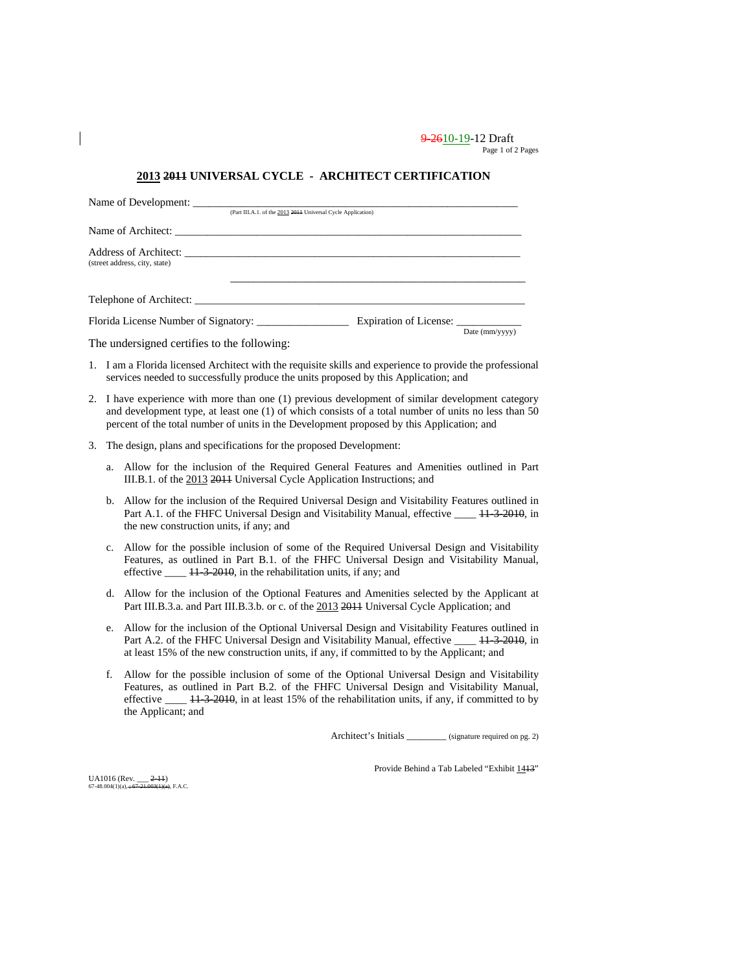9-2610-19-12 Draft Page 1 of 2 Pages

### **2013 2011 UNIVERSAL CYCLE - ARCHITECT CERTIFICATION**

| Name of Development:                        |                                                              |                        |                |
|---------------------------------------------|--------------------------------------------------------------|------------------------|----------------|
|                                             | (Part III.A.1. of the 2013 2011 Universal Cycle Application) |                        |                |
| Name of Architect:                          |                                                              |                        |                |
| (street address, city, state)               |                                                              |                        |                |
| Telephone of Architect:                     |                                                              |                        |                |
| Florida License Number of Signatory:        |                                                              | Expiration of License: |                |
| The undersigned certifies to the following: |                                                              |                        | Date (mm/yyyy) |

- 1. I am a Florida licensed Architect with the requisite skills and experience to provide the professional services needed to successfully produce the units proposed by this Application; and
- 2. I have experience with more than one (1) previous development of similar development category and development type, at least one (1) of which consists of a total number of units no less than 50 percent of the total number of units in the Development proposed by this Application; and
- 3. The design, plans and specifications for the proposed Development:
	- a. Allow for the inclusion of the Required General Features and Amenities outlined in Part III.B.1. of the 2013 2011 Universal Cycle Application Instructions; and
	- b. Allow for the inclusion of the Required Universal Design and Visitability Features outlined in Part A.1. of the FHFC Universal Design and Visitability Manual, effective \_\_\_\_ 11-3-2010, in the new construction units, if any; and
	- c. Allow for the possible inclusion of some of the Required Universal Design and Visitability Features, as outlined in Part B.1. of the FHFC Universal Design and Visitability Manual, effective \_\_\_\_ 11-3-2010, in the rehabilitation units, if any; and
	- d. Allow for the inclusion of the Optional Features and Amenities selected by the Applicant at Part III.B.3.a. and Part III.B.3.b. or c. of the 2013 2014 Universal Cycle Application; and
	- e. Allow for the inclusion of the Optional Universal Design and Visitability Features outlined in Part A.2. of the FHFC Universal Design and Visitability Manual, effective \_\_\_\_ 11-3-2010, in at least 15% of the new construction units, if any, if committed to by the Applicant; and
	- f. Allow for the possible inclusion of some of the Optional Universal Design and Visitability Features, as outlined in Part B.2. of the FHFC Universal Design and Visitability Manual, effective \_\_\_\_ 11-3-2010, in at least 15% of the rehabilitation units, if any, if committed to by the Applicant; and

Architect's Initials \_\_\_\_\_\_\_\_\_ (signature required on pg. 2)

UA1016 (Rev.  $2-11$ )<br>67-48.004(1)(a), +67-21.003(1)(a), F.A.C.  $67-48.004(1)(a)$ ;

Provide Behind a Tab Labeled "Exhibit 1413"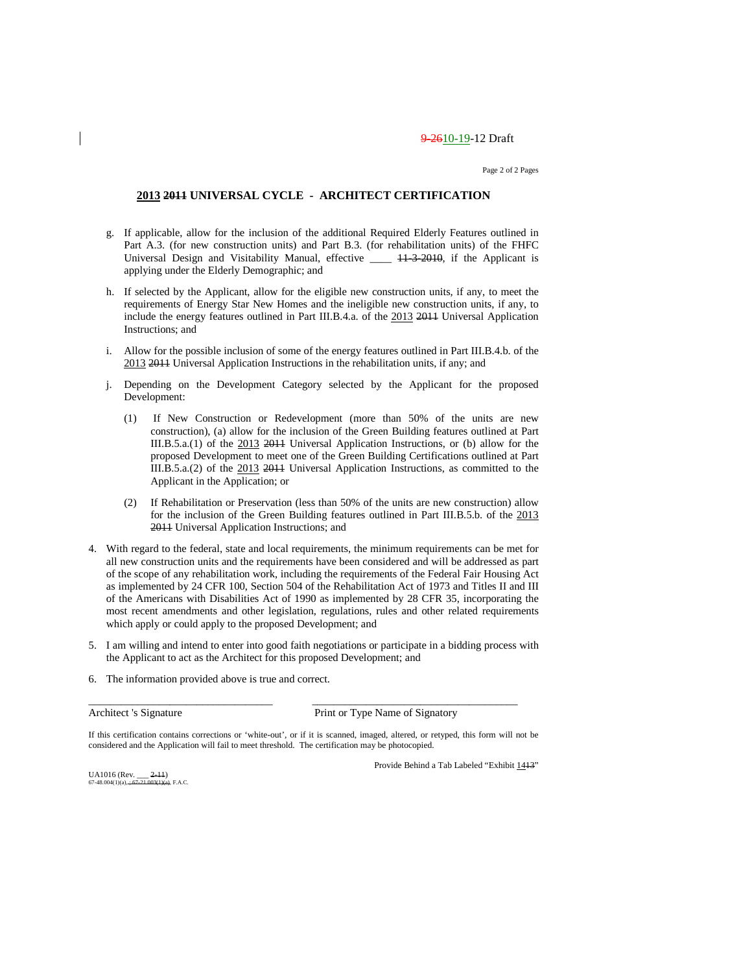Page 2 of 2 Pages

### **2013 2011 UNIVERSAL CYCLE - ARCHITECT CERTIFICATION**

- g. If applicable, allow for the inclusion of the additional Required Elderly Features outlined in Part A.3. (for new construction units) and Part B.3. (for rehabilitation units) of the FHFC Universal Design and Visitability Manual, effective \_\_\_\_ 11-3-2010, if the Applicant is applying under the Elderly Demographic; and
- h. If selected by the Applicant, allow for the eligible new construction units, if any, to meet the requirements of Energy Star New Homes and the ineligible new construction units, if any, to include the energy features outlined in Part III.B.4.a. of the 2013 2011 Universal Application Instructions; and
- i. Allow for the possible inclusion of some of the energy features outlined in Part III.B.4.b. of the 2013 2011 Universal Application Instructions in the rehabilitation units, if any; and
- j. Depending on the Development Category selected by the Applicant for the proposed Development:
	- (1) If New Construction or Redevelopment (more than 50% of the units are new construction), (a) allow for the inclusion of the Green Building features outlined at Part III.B.5.a.(1) of the 2013 2011 Universal Application Instructions, or (b) allow for the proposed Development to meet one of the Green Building Certifications outlined at Part III.B.5.a.(2) of the 2013 2011 Universal Application Instructions, as committed to the Applicant in the Application; or
	- (2) If Rehabilitation or Preservation (less than 50% of the units are new construction) allow for the inclusion of the Green Building features outlined in Part III.B.5.b. of the 2013 2011 Universal Application Instructions; and
- 4. With regard to the federal, state and local requirements, the minimum requirements can be met for all new construction units and the requirements have been considered and will be addressed as part of the scope of any rehabilitation work, including the requirements of the Federal Fair Housing Act as implemented by 24 CFR 100, Section 504 of the Rehabilitation Act of 1973 and Titles II and III of the Americans with Disabilities Act of 1990 as implemented by 28 CFR 35, incorporating the most recent amendments and other legislation, regulations, rules and other related requirements which apply or could apply to the proposed Development; and
- 5. I am willing and intend to enter into good faith negotiations or participate in a bidding process with the Applicant to act as the Architect for this proposed Development; and
- 6. The information provided above is true and correct.

Architect 's Signature Print or Type Name of Signatory

If this certification contains corrections or 'white-out', or if it is scanned, imaged, altered, or retyped, this form will not be considered and the Application will fail to meet threshold. The certification may be photocopied.

\_\_\_\_\_\_\_\_\_\_\_\_\_\_\_\_\_\_\_\_\_\_\_\_\_\_\_\_\_\_\_\_\_\_ \_\_\_\_\_\_\_\_\_\_\_\_\_\_\_\_\_\_\_\_\_\_\_\_\_\_\_\_\_\_\_\_\_\_\_\_\_\_

UA1016 (Rev.  $2-11$ )<br>67-48.004(1)(a)  $+67-21.003(1)(a)$  F A C  $67-48.004(1)(a) \rightarrow$ 

Provide Behind a Tab Labeled "Exhibit 1413"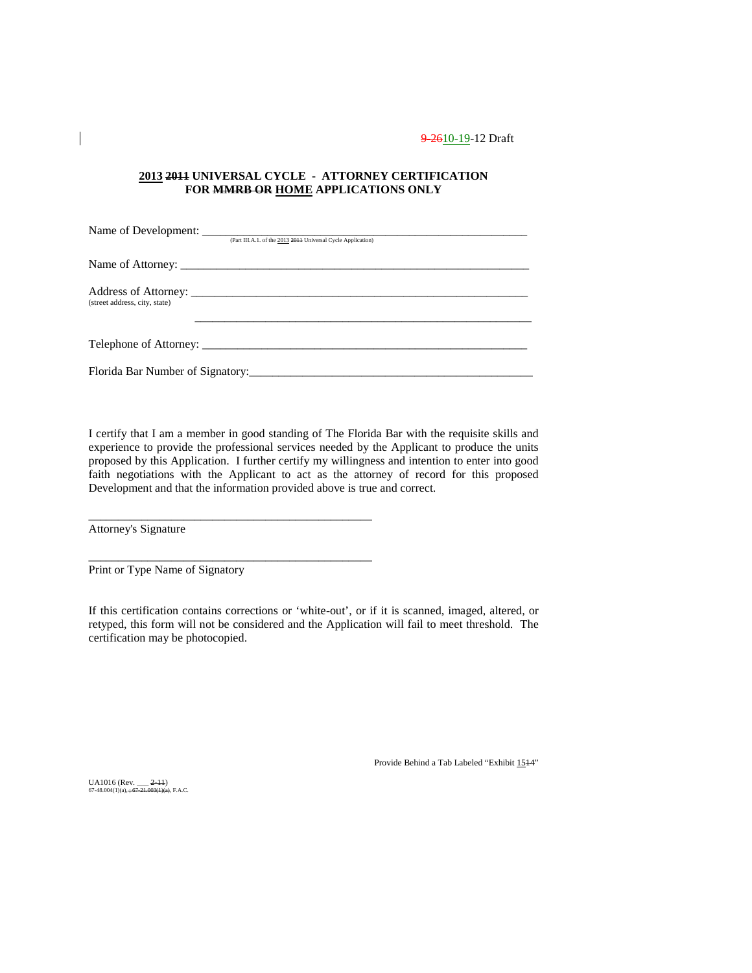### **2013 2011 UNIVERSAL CYCLE - ATTORNEY CERTIFICATION FOR MMRB OR HOME APPLICATIONS ONLY**

|                               | (Part III.A.1. of the 2013 2014 Universal Cycle Application) |  |
|-------------------------------|--------------------------------------------------------------|--|
|                               |                                                              |  |
| (street address, city, state) |                                                              |  |
|                               |                                                              |  |
|                               | Florida Bar Number of Signatory:                             |  |

I certify that I am a member in good standing of The Florida Bar with the requisite skills and experience to provide the professional services needed by the Applicant to produce the units proposed by this Application. I further certify my willingness and intention to enter into good faith negotiations with the Applicant to act as the attorney of record for this proposed Development and that the information provided above is true and correct.

Attorney's Signature

Print or Type Name of Signatory

\_\_\_\_\_\_\_\_\_\_\_\_\_\_\_\_\_\_\_\_\_\_\_\_\_\_\_\_\_\_\_\_\_\_\_\_\_\_\_\_\_\_\_\_\_\_\_\_

\_\_\_\_\_\_\_\_\_\_\_\_\_\_\_\_\_\_\_\_\_\_\_\_\_\_\_\_\_\_\_\_\_\_\_\_\_\_\_\_\_\_\_\_\_\_\_\_

If this certification contains corrections or 'white-out', or if it is scanned, imaged, altered, or retyped, this form will not be considered and the Application will fail to meet threshold. The certification may be photocopied.

Provide Behind a Tab Labeled "Exhibit 1514"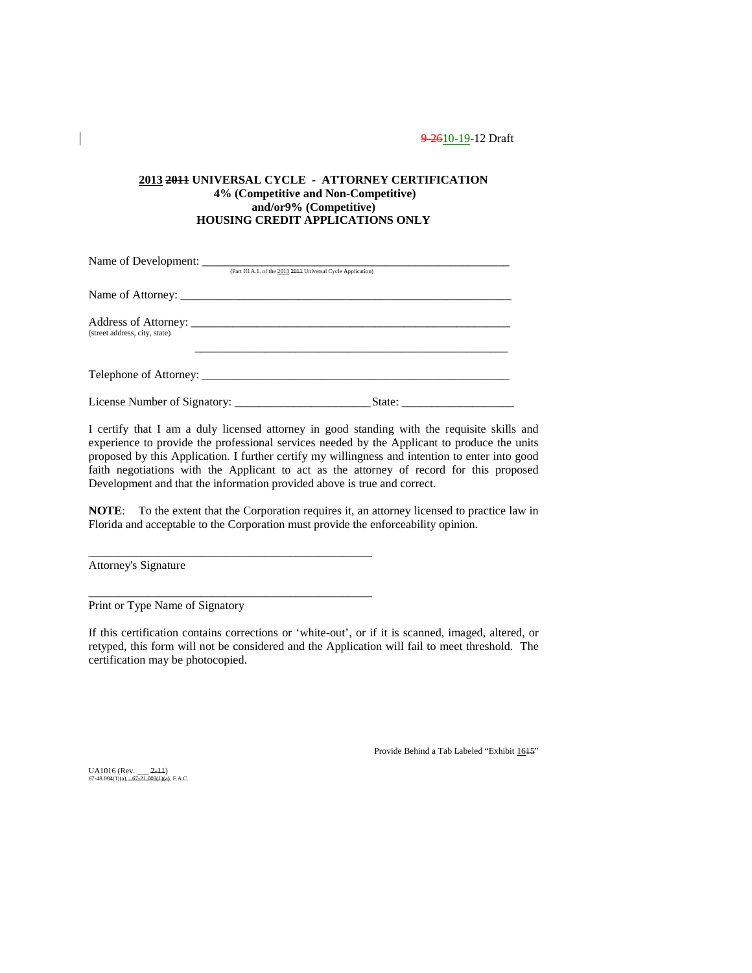### **2013 2011 UNIVERSAL CYCLE - ATTORNEY CERTIFICATION 4% (Competitive and Non-Competitive) and/or9% (Competitive) HOUSING CREDIT APPLICATIONS ONLY**

|                               | (Part III.A.1. of the 2013 2014 Universal Cycle Application) |
|-------------------------------|--------------------------------------------------------------|
|                               |                                                              |
| (street address, city, state) |                                                              |
|                               | Telephone of Attorney:                                       |
|                               |                                                              |

I certify that I am a duly licensed attorney in good standing with the requisite skills and experience to provide the professional services needed by the Applicant to produce the units proposed by this Application. I further certify my willingness and intention to enter into good faith negotiations with the Applicant to act as the attorney of record for this proposed Development and that the information provided above is true and correct.

**NOTE**: To the extent that the Corporation requires it, an attorney licensed to practice law in Florida and acceptable to the Corporation must provide the enforceability opinion.

Attorney's Signature

Print or Type Name of Signatory

\_\_\_\_\_\_\_\_\_\_\_\_\_\_\_\_\_\_\_\_\_\_\_\_\_\_\_\_\_\_\_\_\_\_\_\_\_\_\_\_\_\_\_\_\_\_\_\_

\_\_\_\_\_\_\_\_\_\_\_\_\_\_\_\_\_\_\_\_\_\_\_\_\_\_\_\_\_\_\_\_\_\_\_\_\_\_\_\_\_\_\_\_\_\_\_\_

If this certification contains corrections or 'white-out', or if it is scanned, imaged, altered, or retyped, this form will not be considered and the Application will fail to meet threshold. The certification may be photocopied.

Provide Behind a Tab Labeled "Exhibit 1615"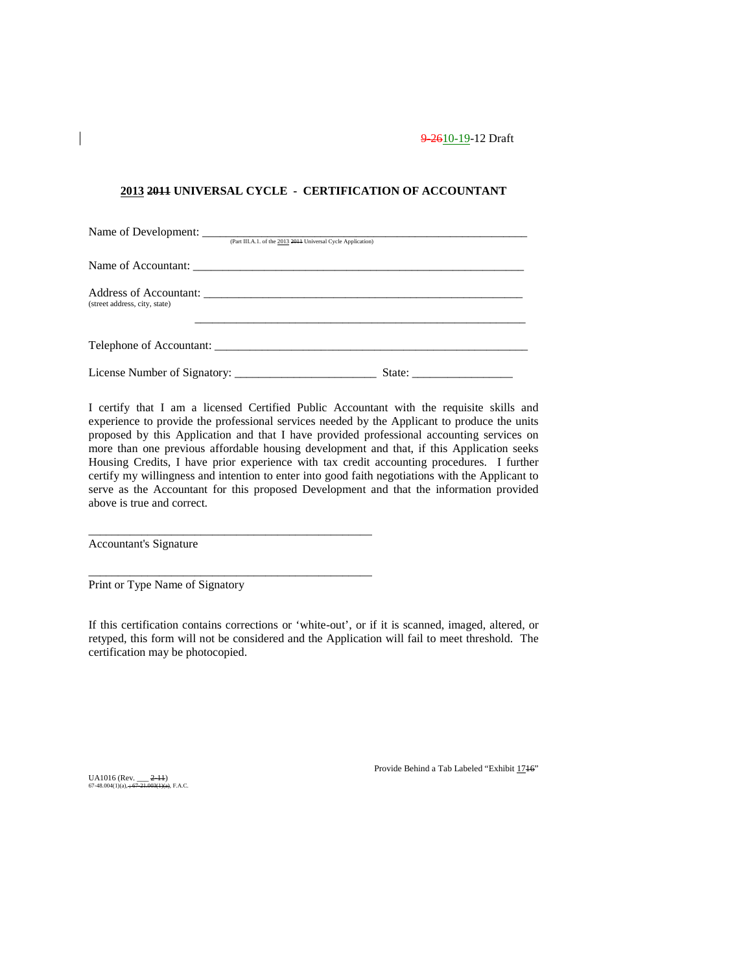### **2013 2011 UNIVERSAL CYCLE - CERTIFICATION OF ACCOUNTANT**

|                               | (Part III.A.1. of the 2013 2014 Universal Cycle Application) |
|-------------------------------|--------------------------------------------------------------|
|                               |                                                              |
| (street address, city, state) |                                                              |
|                               | Telephone of Accountant:                                     |
|                               |                                                              |

I certify that I am a licensed Certified Public Accountant with the requisite skills and experience to provide the professional services needed by the Applicant to produce the units proposed by this Application and that I have provided professional accounting services on more than one previous affordable housing development and that, if this Application seeks Housing Credits, I have prior experience with tax credit accounting procedures. I further certify my willingness and intention to enter into good faith negotiations with the Applicant to serve as the Accountant for this proposed Development and that the information provided above is true and correct.

Accountant's Signature

Print or Type Name of Signatory

\_\_\_\_\_\_\_\_\_\_\_\_\_\_\_\_\_\_\_\_\_\_\_\_\_\_\_\_\_\_\_\_\_\_\_\_\_\_\_\_\_\_\_\_\_\_\_\_

\_\_\_\_\_\_\_\_\_\_\_\_\_\_\_\_\_\_\_\_\_\_\_\_\_\_\_\_\_\_\_\_\_\_\_\_\_\_\_\_\_\_\_\_\_\_\_\_

If this certification contains corrections or 'white-out', or if it is scanned, imaged, altered, or retyped, this form will not be considered and the Application will fail to meet threshold. The certification may be photocopied.

Provide Behind a Tab Labeled "Exhibit 1716"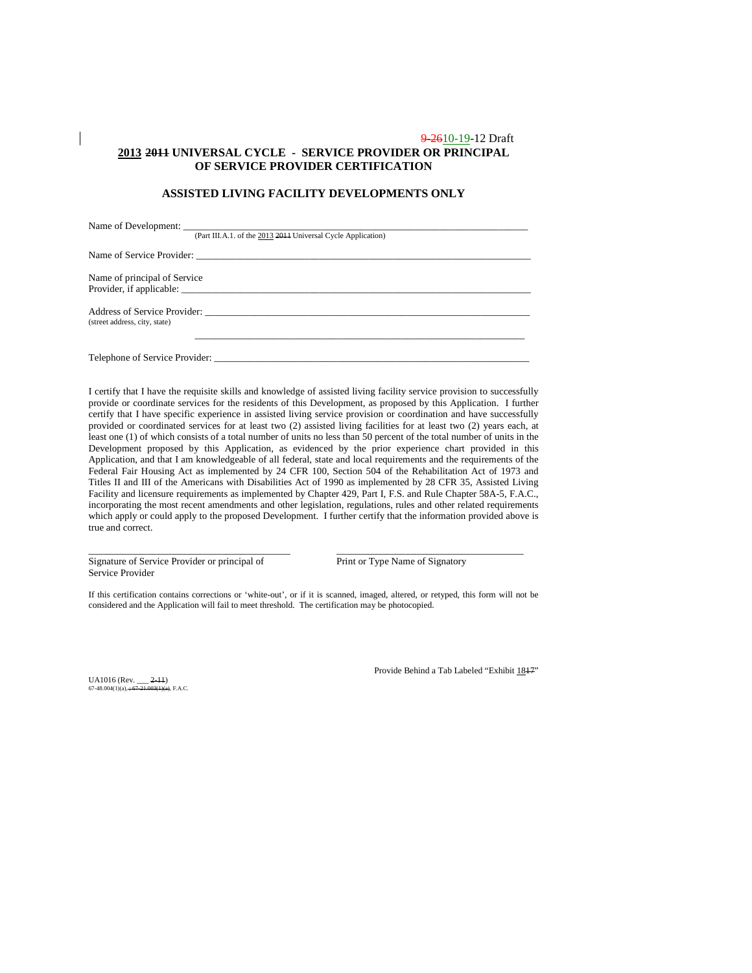### 9-2610-19-12 Draft **2013 2011 UNIVERSAL CYCLE - SERVICE PROVIDER OR PRINCIPAL OF SERVICE PROVIDER CERTIFICATION**

### **ASSISTED LIVING FACILITY DEVELOPMENTS ONLY**

| (Part III.A.1. of the 2013 2014 Universal Cycle Application)  |
|---------------------------------------------------------------|
|                                                               |
| Name of principal of Service<br>Provider, if applicable:      |
| Address of Service Provider:<br>(street address, city, state) |
| Telephone of Service Provider:                                |

I certify that I have the requisite skills and knowledge of assisted living facility service provision to successfully provide or coordinate services for the residents of this Development, as proposed by this Application. I further certify that I have specific experience in assisted living service provision or coordination and have successfully provided or coordinated services for at least two (2) assisted living facilities for at least two (2) years each, at least one (1) of which consists of a total number of units no less than 50 percent of the total number of units in the Development proposed by this Application, as evidenced by the prior experience chart provided in this Application, and that I am knowledgeable of all federal, state and local requirements and the requirements of the Federal Fair Housing Act as implemented by 24 CFR 100, Section 504 of the Rehabilitation Act of 1973 and Titles II and III of the Americans with Disabilities Act of 1990 as implemented by 28 CFR 35, Assisted Living Facility and licensure requirements as implemented by Chapter 429, Part I, F.S. and Rule Chapter 58A-5, F.A.C., incorporating the most recent amendments and other legislation, regulations, rules and other related requirements which apply or could apply to the proposed Development. I further certify that the information provided above is true and correct.

Signature of Service Provider or principal of Print or Type Name of Signatory Service Provider

If this certification contains corrections or 'white-out', or if it is scanned, imaged, altered, or retyped, this form will not be considered and the Application will fail to meet threshold. The certification may be photocopied.

\_\_\_\_\_\_\_\_\_\_\_\_\_\_\_\_\_\_\_\_\_\_\_\_\_\_\_\_\_\_\_\_\_\_\_\_\_\_\_\_\_ \_\_\_\_\_\_\_\_\_\_\_\_\_\_\_\_\_\_\_\_\_\_\_\_\_\_\_\_\_\_\_\_\_\_\_\_\_\_

UA1016 (Rev.  $2-11$ )<br>67-48.004(1)(a)  $-67-21.003(1)$ (a) F A C  $67-48.004(1)(a) \div$ 

Provide Behind a Tab Labeled "Exhibit 1817"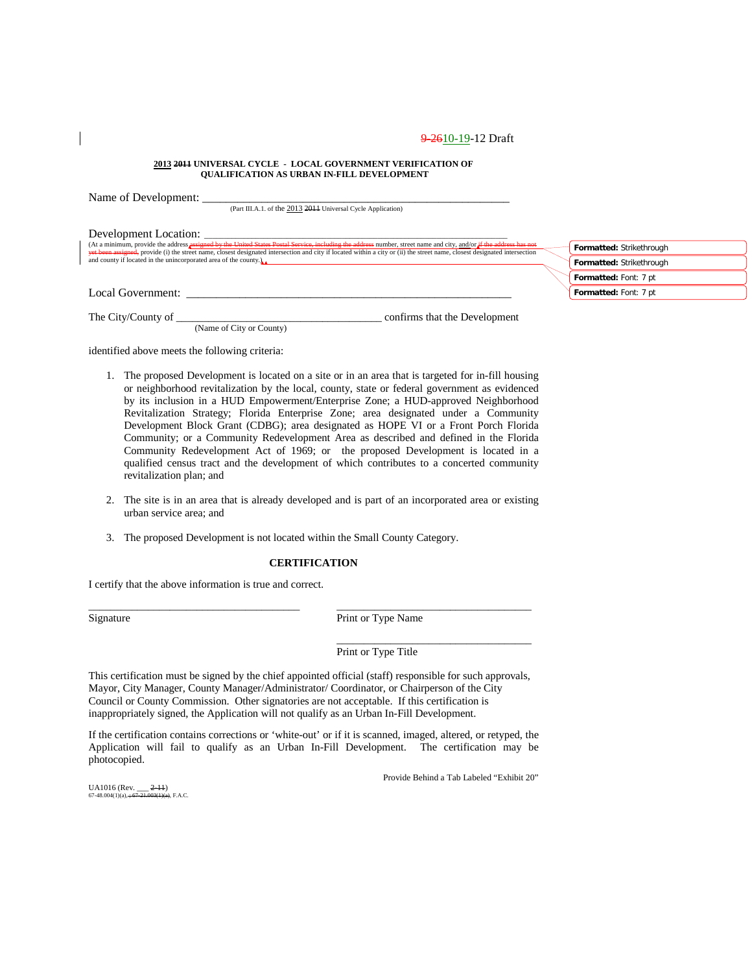#### **2013 2011 UNIVERSAL CYCLE - LOCAL GOVERNMENT VERIFICATION OF QUALIFICATION AS URBAN IN-FILL DEVELOPMENT**

| Name of Development:                                                                                                                                                                                                                                      |                          |
|-----------------------------------------------------------------------------------------------------------------------------------------------------------------------------------------------------------------------------------------------------------|--------------------------|
| (Part III.A.1. of the 2013 2014 Universal Cycle Application)                                                                                                                                                                                              |                          |
| Development Location:<br>(At a minimum, provide the address assigned by the United States Postal Service, including the address number, street name and city, and/or if the address has not                                                               |                          |
| vet been assigned, provide (i) the street name, closest designated intersection and city if located within a city or (ii) the street name, closest designated intersection<br>and county if located in the unincorporated area of the county. $\lambda$ . | Formatted: Strikethrough |
|                                                                                                                                                                                                                                                           | Formatted: Strikethrough |
|                                                                                                                                                                                                                                                           | Formatted: Font: 7 pt    |
| Local Government:                                                                                                                                                                                                                                         | Formatted: Font: 7 pt    |
| confirms that the Development<br>The City/County of<br>(Name of City or County)                                                                                                                                                                           |                          |

identified above meets the following criteria:

- 1. The proposed Development is located on a site or in an area that is targeted for in-fill housing or neighborhood revitalization by the local, county, state or federal government as evidenced by its inclusion in a HUD Empowerment/Enterprise Zone; a HUD-approved Neighborhood Revitalization Strategy; Florida Enterprise Zone; area designated under a Community Development Block Grant (CDBG); area designated as HOPE VI or a Front Porch Florida Community; or a Community Redevelopment Area as described and defined in the Florida Community Redevelopment Act of 1969; or the proposed Development is located in a qualified census tract and the development of which contributes to a concerted community revitalization plan; and
- 2. The site is in an area that is already developed and is part of an incorporated area or existing urban service area; and
- 3. The proposed Development is not located within the Small County Category.

#### **CERTIFICATION**

\_\_\_\_\_\_\_\_\_\_\_\_\_\_\_\_\_\_\_\_\_\_\_\_\_\_\_\_\_\_\_\_\_\_\_\_\_\_\_ \_\_\_\_\_\_\_\_\_\_\_\_\_\_\_\_\_\_\_\_\_\_\_\_\_\_\_\_\_\_\_\_\_\_\_\_

I certify that the above information is true and correct.

Signature Print or Type Name

Print or Type Title

This certification must be signed by the chief appointed official (staff) responsible for such approvals, Mayor, City Manager, County Manager/Administrator/ Coordinator, or Chairperson of the City Council or County Commission. Other signatories are not acceptable. If this certification is inappropriately signed, the Application will not qualify as an Urban In-Fill Development.

If the certification contains corrections or 'white-out' or if it is scanned, imaged, altered, or retyped, the Application will fail to qualify as an Urban In-Fill Development. The certification may be photocopied.

Provide Behind a Tab Labeled "Exhibit 20"

\_\_\_\_\_\_\_\_\_\_\_\_\_\_\_\_\_\_\_\_\_\_\_\_\_\_\_\_\_\_\_\_\_\_\_\_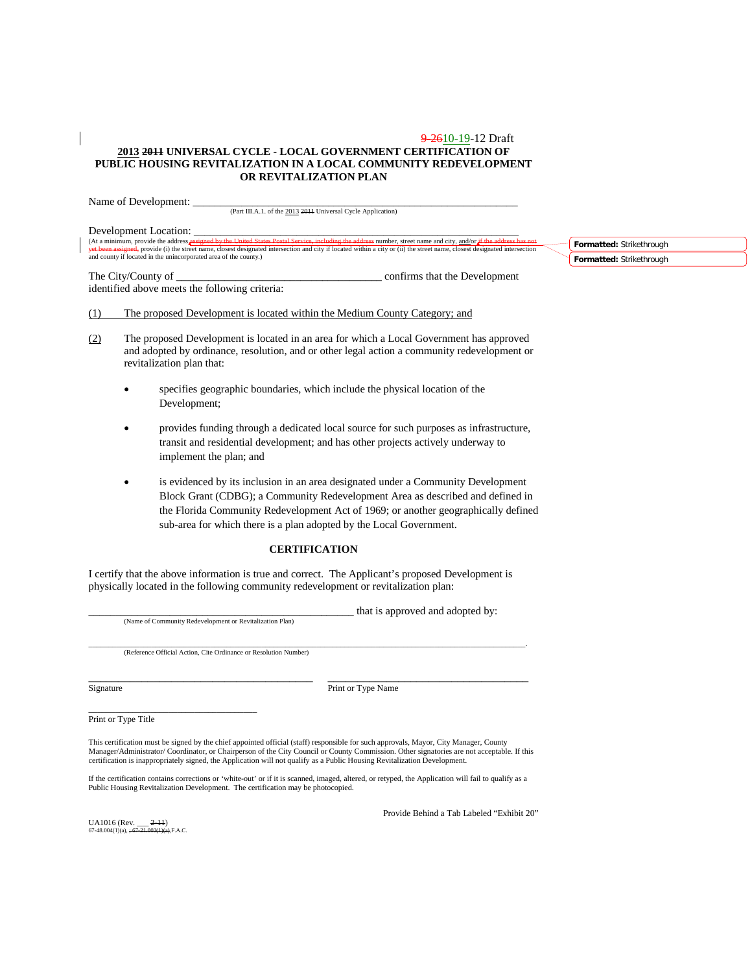#### 9-2610-19-12 Draft **2013 2011 UNIVERSAL CYCLE - LOCAL GOVERNMENT CERTIFICATION OF PUBLIC HOUSING REVITALIZATION IN A LOCAL COMMUNITY REDEVELOPMENT OR REVITALIZATION PLAN**

Name of Development: \_

(Part III.A.1. of the 2013 2011 Universal Cycle Application)

Development Location:<br>(At a minimum, provide the address assigned by the United States Postal Service, including the address number, street name and city, and/or if the address has not<br>yet been assigned, provide (i) the st

The City/County of \_\_\_\_\_\_\_\_\_\_\_\_\_\_\_\_\_\_\_\_\_\_\_\_\_\_\_\_\_\_\_\_\_\_\_\_\_\_ confirms that the Development identified above meets the following criteria:

(1) The proposed Development is located within the Medium County Category; and

- (2) The proposed Development is located in an area for which a Local Government has approved and adopted by ordinance, resolution, and or other legal action a community redevelopment or revitalization plan that:
	- specifies geographic boundaries, which include the physical location of the Development;
	- provides funding through a dedicated local source for such purposes as infrastructure, transit and residential development; and has other projects actively underway to implement the plan; and
	- is evidenced by its inclusion in an area designated under a Community Development Block Grant (CDBG); a Community Redevelopment Area as described and defined in the Florida Community Redevelopment Act of 1969; or another geographically defined sub-area for which there is a plan adopted by the Local Government.

### **CERTIFICATION**

I certify that the above information is true and correct. The Applicant's proposed Development is physically located in the following community redevelopment or revitalization plan:

(Name of Community Redevelopment or Revitalization Plan)

\_\_\_\_\_\_\_\_\_\_\_\_\_\_\_\_\_\_\_\_\_\_\_\_\_\_\_\_\_\_\_\_\_\_\_\_\_\_\_\_\_\_\_\_\_\_\_\_\_ that is approved and adopted by:

\_\_\_\_\_\_\_\_\_\_\_\_\_\_\_\_\_\_\_\_\_\_\_\_\_\_\_\_\_\_\_\_\_\_\_\_\_\_\_\_\_\_\_\_\_\_\_\_\_\_\_\_\_\_\_\_\_\_\_\_\_\_\_\_\_\_\_\_\_\_\_\_\_\_\_\_\_\_\_\_\_\_\_\_\_\_\_\_\_\_\_\_\_\_\_\_\_\_\_\_\_\_\_\_\_\_\_\_\_\_\_. (Reference Official Action, Cite Ordinance or Resolution Number)

\_\_\_\_\_\_\_\_\_\_\_\_\_\_\_\_\_\_\_\_\_\_\_\_\_\_\_\_\_\_\_\_\_\_\_\_\_\_ \_\_\_\_\_\_\_\_\_\_\_\_\_\_\_\_\_\_\_\_\_\_\_\_\_\_\_\_\_\_\_\_\_\_ Signature Print or Type Name

\_\_\_\_\_\_\_\_\_\_\_\_\_\_\_\_\_\_\_\_\_\_\_\_\_\_\_\_\_\_\_\_\_\_\_\_\_\_ Print or Type Title

This certification must be signed by the chief appointed official (staff) responsible for such approvals, Mayor, City Manager, County Manager/Administrator/ Coordinator, or Chairperson of the City Council or County Commission. Other signatories are not acceptable. If this certification is inappropriately signed, the Application will not qualify as a Public Housing Revitalization Development.

If the certification contains corrections or 'white-out' or if it is scanned, imaged, altered, or retyped, the Application will fail to qualify as a Public Housing Revitalization Development. The certification may be photocopied.

UA1016 (Rev.  $-2-11$ )  $67-48.004(1)(a)$ ,  $\div$ 

Provide Behind a Tab Labeled "Exhibit 20"

**Formatted:** Strikethrough **Formatted:** Strikethrough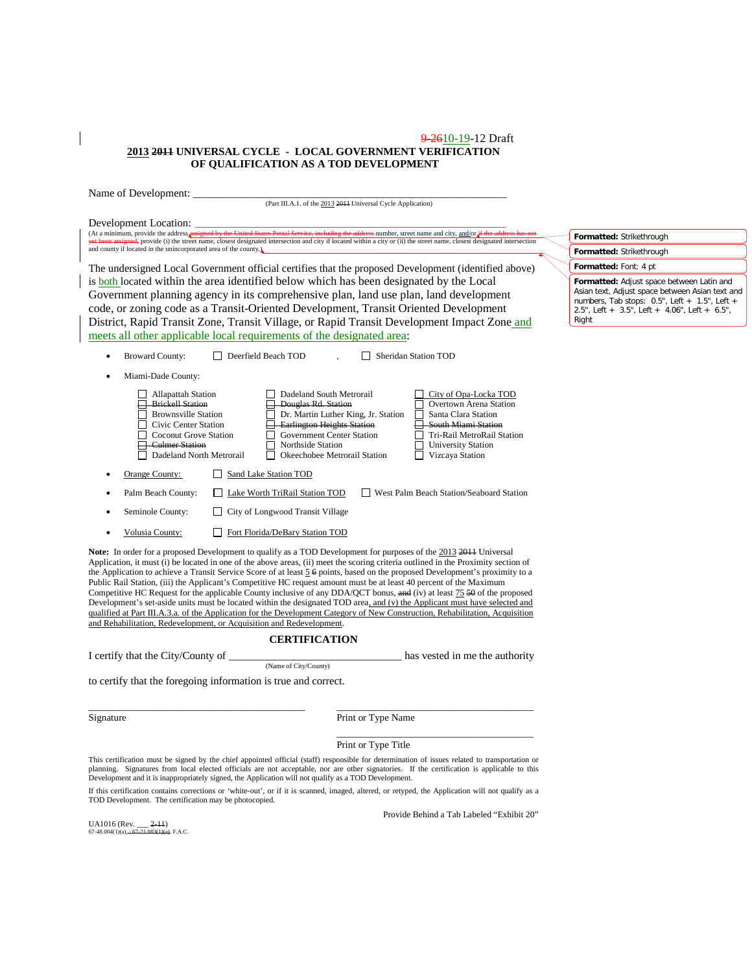#### 9-2610-19-12 Draft **2013 2011 UNIVERSAL CYCLE - LOCAL GOVERNMENT VERIFICATION OF QUALIFICATION AS A TOD DEVELOPMENT**

| Name of Development:                                                                                                                                                                                                                                                                                                                                                                                                                                                                                                                                                                                                                                                                                                                                                                                                                                                                                                                                                               |                                                                                                                                                                                                                           |
|------------------------------------------------------------------------------------------------------------------------------------------------------------------------------------------------------------------------------------------------------------------------------------------------------------------------------------------------------------------------------------------------------------------------------------------------------------------------------------------------------------------------------------------------------------------------------------------------------------------------------------------------------------------------------------------------------------------------------------------------------------------------------------------------------------------------------------------------------------------------------------------------------------------------------------------------------------------------------------|---------------------------------------------------------------------------------------------------------------------------------------------------------------------------------------------------------------------------|
|                                                                                                                                                                                                                                                                                                                                                                                                                                                                                                                                                                                                                                                                                                                                                                                                                                                                                                                                                                                    | (Part III.A.1. of the 2013 2014 Universal Cycle Application)                                                                                                                                                              |
| Development Location:<br>(At a minimum, provide the address <i>assigned by the United States Postal Service</i> , including the address number, street name and city, and/or <i>if the address has not</i><br>yet been assigned, provide (i) the street name, closest designated intersection and city if located within a city or (ii) the street name, closest designated intersection                                                                                                                                                                                                                                                                                                                                                                                                                                                                                                                                                                                           | Formatted: Strikethrough                                                                                                                                                                                                  |
| and county if located in the unincorporated area of the county.)                                                                                                                                                                                                                                                                                                                                                                                                                                                                                                                                                                                                                                                                                                                                                                                                                                                                                                                   | Formatted: Strikethrough                                                                                                                                                                                                  |
| The undersigned Local Government official certifies that the proposed Development (identified above)                                                                                                                                                                                                                                                                                                                                                                                                                                                                                                                                                                                                                                                                                                                                                                                                                                                                               | Formatted: Font: 4 pt                                                                                                                                                                                                     |
| is both located within the area identified below which has been designated by the Local<br>Government planning agency in its comprehensive plan, land use plan, land development<br>code, or zoning code as a Transit-Oriented Development, Transit Oriented Development<br>District, Rapid Transit Zone, Transit Village, or Rapid Transit Development Impact Zone and<br>meets all other applicable local requirements of the designated area:                                                                                                                                                                                                                                                                                                                                                                                                                                                                                                                                   | Formatted: Adjust space between Latin and<br>Asian text, Adjust space between Asian text and<br>numbers, Tab stops: $0.5$ ", Left + $1.5$ ", Left +<br>2.5", Left + $3.5$ ", Left + $4.06$ ", Left + $6.5$ ",<br>Right    |
| <b>Broward County:</b><br>Deerfield Beach TOD                                                                                                                                                                                                                                                                                                                                                                                                                                                                                                                                                                                                                                                                                                                                                                                                                                                                                                                                      | Sheridan Station TOD                                                                                                                                                                                                      |
|                                                                                                                                                                                                                                                                                                                                                                                                                                                                                                                                                                                                                                                                                                                                                                                                                                                                                                                                                                                    |                                                                                                                                                                                                                           |
| Miami-Dade County:                                                                                                                                                                                                                                                                                                                                                                                                                                                                                                                                                                                                                                                                                                                                                                                                                                                                                                                                                                 |                                                                                                                                                                                                                           |
| Dadeland South Metrorail<br><b>Allapattah Station</b><br><b>Executed</b> Station<br>Douglas Rd. Station<br><b>Brownsville Station</b><br><b>Earlington Heights Station</b><br>Civic Center Station<br>Government Center Station<br><b>Coconut Grove Station</b><br><del>El</del> -Culmer Station<br>Northside Station<br>Dadeland North Metrorail<br>Okeechobee Metrorail Station<br>$\perp$                                                                                                                                                                                                                                                                                                                                                                                                                                                                                                                                                                                       | City of Opa-Locka TOD<br>Overtown Arena Station<br>Dr. Martin Luther King, Jr. Station<br>Santa Clara Station<br>South Miami Station<br>Tri-Rail MetroRail Station<br><b>University Station</b><br>$\Box$ Vizcaya Station |
| Orange County:<br>Sand Lake Station TOD<br>$\perp$                                                                                                                                                                                                                                                                                                                                                                                                                                                                                                                                                                                                                                                                                                                                                                                                                                                                                                                                 |                                                                                                                                                                                                                           |
| Lake Worth TriRail Station TOD<br>Palm Beach County:                                                                                                                                                                                                                                                                                                                                                                                                                                                                                                                                                                                                                                                                                                                                                                                                                                                                                                                               | West Palm Beach Station/Seaboard Station                                                                                                                                                                                  |
| □ City of Longwood Transit Village<br>Seminole County:                                                                                                                                                                                                                                                                                                                                                                                                                                                                                                                                                                                                                                                                                                                                                                                                                                                                                                                             |                                                                                                                                                                                                                           |
| Volusia County:<br>Fort Florida/DeBary Station TOD                                                                                                                                                                                                                                                                                                                                                                                                                                                                                                                                                                                                                                                                                                                                                                                                                                                                                                                                 |                                                                                                                                                                                                                           |
| Note: In order for a proposed Development to qualify as a TOD Development for purposes of the 2013 2011 Universal<br>Application, it must (i) be located in one of the above areas, (ii) meet the scoring criteria outlined in the Proximity section of<br>the Application to achieve a Transit Service Score of at least 5 6 points, based on the proposed Development's proximity to a<br>Public Rail Station, (iii) the Applicant's Competitive HC request amount must be at least 40 percent of the Maximum<br>Competitive HC Request for the applicable County inclusive of any DDA/QCT bonus, and (iv) at least 75.54 of the proposed<br>Development's set-aside units must be located within the designated TOD area, and (v) the Applicant must have selected and<br>qualified at Part III.A.3.a. of the Application for the Development Category of New Construction, Rehabilitation, Acquisition<br>and Rehabilitation, Redevelopment, or Acquisition and Redevelopment. |                                                                                                                                                                                                                           |
| <b>CERTIFICATION</b>                                                                                                                                                                                                                                                                                                                                                                                                                                                                                                                                                                                                                                                                                                                                                                                                                                                                                                                                                               |                                                                                                                                                                                                                           |
| I certify that the City/County of ______<br>(Name of City/County)                                                                                                                                                                                                                                                                                                                                                                                                                                                                                                                                                                                                                                                                                                                                                                                                                                                                                                                  | has vested in me the authority                                                                                                                                                                                            |
| to certify that the foregoing information is true and correct.                                                                                                                                                                                                                                                                                                                                                                                                                                                                                                                                                                                                                                                                                                                                                                                                                                                                                                                     |                                                                                                                                                                                                                           |
| Signature                                                                                                                                                                                                                                                                                                                                                                                                                                                                                                                                                                                                                                                                                                                                                                                                                                                                                                                                                                          | Print or Type Name                                                                                                                                                                                                        |
|                                                                                                                                                                                                                                                                                                                                                                                                                                                                                                                                                                                                                                                                                                                                                                                                                                                                                                                                                                                    | Print or Type Title                                                                                                                                                                                                       |
| standards and to stard to describe careford official (2015) accountly for discussioning these orbital is incorporated                                                                                                                                                                                                                                                                                                                                                                                                                                                                                                                                                                                                                                                                                                                                                                                                                                                              |                                                                                                                                                                                                                           |

This certification must be signed by the chief appointed official (staff) responsible for determination of issues related to transportation or<br>planning. Signatures from local elected officials are not acceptable, nor are o

If this certification contains corrections or 'white-out', or if it is scanned, imaged, altered, or retyped, the Application will not qualify as a TOD Development. The certification may be photocopied.

Provide Behind a Tab Labeled "Exhibit 20"

UA1016 (Rev. <u>\_\_\_ 2-11)</u><br>67-48.004(1)(a), <del>; 67-21.003(1)(a)</del>, F.A.C.

 $\overline{\phantom{a}}$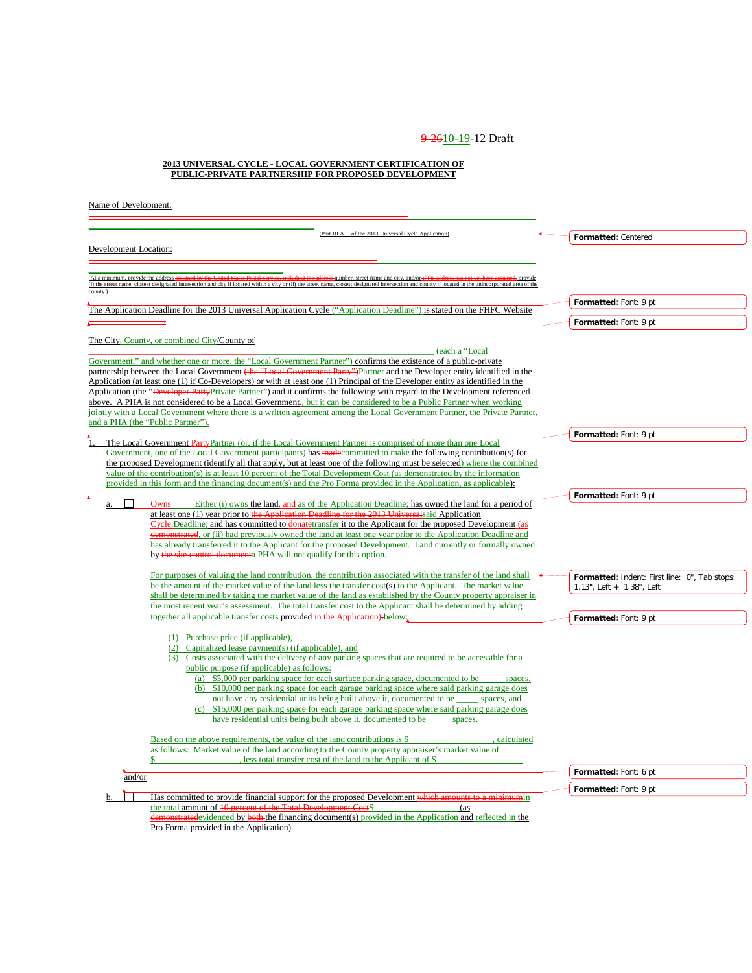#### **2013 UNIVERSAL CYCLE - LOCAL GOVERNMENT CERTIFICATION OF PUBLIC-PRIVATE PARTNERSHIP FOR PROPOSED DEVELOPMENT**

 $\overline{\phantom{a}}$  $\overline{1}$ 

| (Part III.A.1. of the 2013 Universal Cycle Application)<br>Development Location:                                                                                                                                                                                                               | Formatted: Centered                           |
|------------------------------------------------------------------------------------------------------------------------------------------------------------------------------------------------------------------------------------------------------------------------------------------------|-----------------------------------------------|
|                                                                                                                                                                                                                                                                                                |                                               |
| (At a minimum, provide the address a<br>mumber, street name and city, and/or-if the<br>(i) the street name, closest designated intersection and city if located within a city or (ii) the street name, closest designated intersection and county if located in the unincorporated area of the |                                               |
| county.)                                                                                                                                                                                                                                                                                       | Formatted: Font: 9 pt                         |
| The Application Deadline for the 2013 Universal Application Cycle ("Application Deadline") is stated on the FHFC Website                                                                                                                                                                       |                                               |
|                                                                                                                                                                                                                                                                                                | Formatted: Font: 9 pt                         |
| The City, County, or combined City/County of<br>(each a "Local                                                                                                                                                                                                                                 |                                               |
| Government," and whether one or more, the "Local Government Partner") confirms the existence of a public-private<br>partnership between the Local Government (the "Local Government Party")Partner and the Developer entity identified in the                                                  |                                               |
| Application (at least one (1) if Co-Developers) or with at least one (1) Principal of the Developer entity as identified in the                                                                                                                                                                |                                               |
| Application (the " <del>Developer Party</del> Private Partner") and it confirms the following with regard to the Development referenced<br>above. A PHA is not considered to be a Local Government, but it can be considered to be a Public Partner when working                               |                                               |
| jointly with a Local Government where there is a written agreement among the Local Government Partner, the Private Partner,<br>and a PHA (the "Public Partner").                                                                                                                               |                                               |
|                                                                                                                                                                                                                                                                                                | Formatted: Font: 9 pt                         |
| The Local Government PartyPartner (or, if the Local Government Partner is comprised of more than one Local<br>Government, one of the Local Government participants) has made committed to make the following contribution(s) for                                                               |                                               |
| the proposed Development (identify all that apply, but at least one of the following must be selected) where the combined                                                                                                                                                                      |                                               |
| value of the contribution(s) is at least 10 percent of the Total Development Cost (as demonstrated by the information<br>provided in this form and the financing document(s) and the Pro Forma provided in the Application, as applicable):                                                    |                                               |
|                                                                                                                                                                                                                                                                                                | Formatted: Font: 9 pt                         |
| Either (i) owns the land, and as of the Application Deadline; has owned the land for a period of<br><b>Owns</b><br>a.<br>at least one (1) year prior to the Application Deadline for the 2013 Universal said Application                                                                       |                                               |
| Cycle, Deadline; and has committed to donate transfer it to the Applicant for the proposed Development (as<br>demonstrated, or (ii) had previously owned the land at least one year prior to the Application Deadline and                                                                      |                                               |
| has already transferred it to the Applicant for the proposed Development. Land currently or formally owned                                                                                                                                                                                     |                                               |
| by the site control documenta PHA will not qualify for this option.                                                                                                                                                                                                                            |                                               |
| For purposes of valuing the land contribution, the contribution associated with the transfer of the land shall                                                                                                                                                                                 | Formatted: Indent: First line: 0", Tab stops: |
| be the amount of the market value of the land less the transfer cost(s) to the Applicant. The market value<br>shall be determined by taking the market value of the land as established by the County property appraiser in                                                                    | 1.13", Left + 1.38", Left                     |
| the most recent year's assessment. The total transfer cost to the Applicant shall be determined by adding                                                                                                                                                                                      |                                               |
| together all applicable transfer costs provided in the Application). below:                                                                                                                                                                                                                    | Formatted: Font: 9 pt                         |
| (1) Purchase price (if applicable),<br>(2) Capitalized lease payment(s) (if applicable), and                                                                                                                                                                                                   |                                               |
| (3) Costs associated with the delivery of any parking spaces that are required to be accessible for a                                                                                                                                                                                          |                                               |
| public purpose (if applicable) as follows:<br>(a) \$5,000 per parking space for each surface parking space, documented to be                                                                                                                                                                   |                                               |
| spaces,<br>(b) \$10,000 per parking space for each garage parking space where said parking garage does                                                                                                                                                                                         |                                               |
| not have any residential units being built above it, documented to be<br>spaces, and                                                                                                                                                                                                           |                                               |
| (c) \$15,000 per parking space for each garage parking space where said parking garage does<br>have residential units being built above it, documented to be<br>spaces.                                                                                                                        |                                               |
| Based on the above requirements, the value of the land contributions is \$<br>calculated                                                                                                                                                                                                       |                                               |
| as follows: Market value of the land according to the County property appraiser's market value of                                                                                                                                                                                              |                                               |
| less total transfer cost of the land to the Applicant of \$<br>\$<br>and/or                                                                                                                                                                                                                    | Formatted: Font: 6 pt                         |
|                                                                                                                                                                                                                                                                                                | Formatted: Font: 9 pt                         |
| Has committed to provide financial support for the proposed Development which amounts to a minimumin<br>b<br>the total amount of 10 percent of the Total Development Cost\$<br>(as                                                                                                             |                                               |
| demonstrated evidenced by both the financing document(s) provided in the Application and reflected in the                                                                                                                                                                                      |                                               |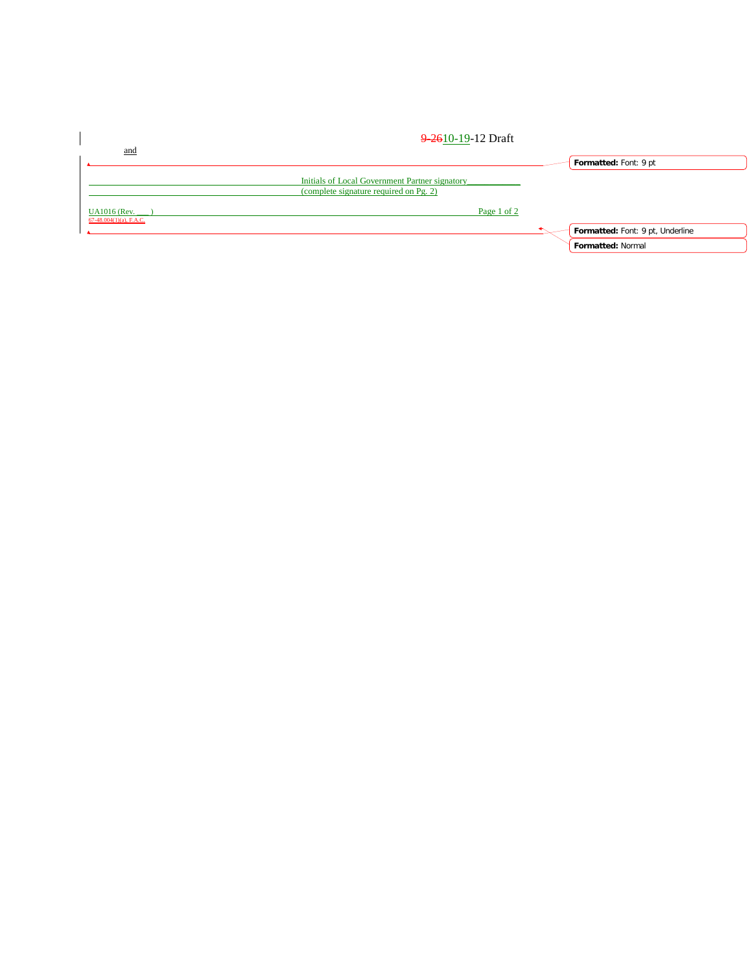|                                                   | 9 2610-19-12 Draft                                                                       |                                  |
|---------------------------------------------------|------------------------------------------------------------------------------------------|----------------------------------|
| and                                               |                                                                                          | Formatted: Font: 9 pt            |
|                                                   | Initials of Local Government Partner signatory<br>(complete signature required on Pg. 2) |                                  |
| <b>UA1016</b> (Rev.<br>$67-48.004(1)(a)$ , F.A.C. | Page 1 of 2                                                                              |                                  |
|                                                   |                                                                                          | Formatted: Font: 9 pt, Underline |
|                                                   |                                                                                          | Formatted: Normal                |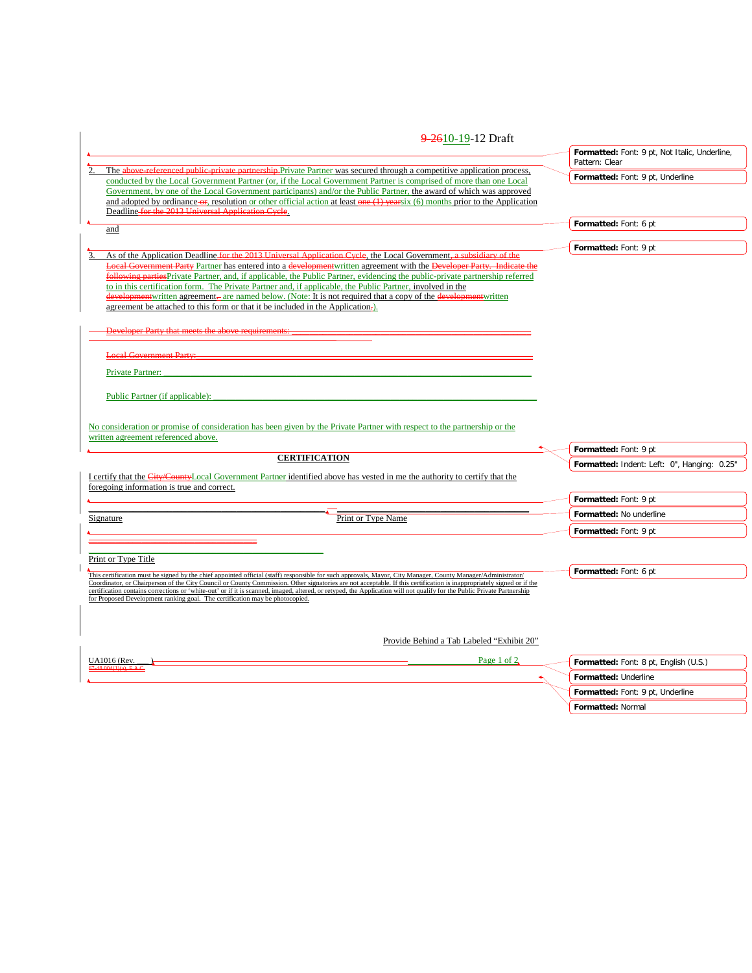| 9-2610-19-12 Draft                                                                                                                                                                                                                                      |                                                                 |
|---------------------------------------------------------------------------------------------------------------------------------------------------------------------------------------------------------------------------------------------------------|-----------------------------------------------------------------|
|                                                                                                                                                                                                                                                         | Formatted: Font: 9 pt, Not Italic, Underline,<br>Pattern: Clear |
| The above referenced public private partnership Private Partner was secured through a competitive application process,<br>conducted by the Local Government Partner (or, if the Local Government Partner is comprised of more than one Local            | Formatted: Font: 9 pt, Underline                                |
| Government, by one of the Local Government participants) and/or the Public Partner, the award of which was approved                                                                                                                                     |                                                                 |
| and adopted by ordinance-or, resolution or other official action at least one $(1)$ vearsix $(6)$ months prior to the Application                                                                                                                       |                                                                 |
| Deadline for the 2013 Universal Application Cycle.                                                                                                                                                                                                      |                                                                 |
| and                                                                                                                                                                                                                                                     | Formatted: Font: 6 pt                                           |
|                                                                                                                                                                                                                                                         | Formatted: Font: 9 pt                                           |
| As of the Application Deadline for the 2013 Universal Application Cycle, the Local Government, a subsidiary of the<br>3.                                                                                                                                |                                                                 |
| Local Government Party Partner has entered into a development written agreement with the Developer Party. Indicate the                                                                                                                                  |                                                                 |
| following parties Private Partner, and, if applicable, the Public Partner, evidencing the public-private partnership referred<br>to in this certification form. The Private Partner and, if applicable, the Public Partner, involved in the             |                                                                 |
| development written agreement—are named below. (Note: It is not required that a copy of the development written                                                                                                                                         |                                                                 |
| agreement be attached to this form or that it be included in the Application.                                                                                                                                                                           |                                                                 |
|                                                                                                                                                                                                                                                         |                                                                 |
| weloper Party that meets the above requirements:                                                                                                                                                                                                        |                                                                 |
|                                                                                                                                                                                                                                                         |                                                                 |
| <b>Local Government Party:</b>                                                                                                                                                                                                                          |                                                                 |
| <b>Private Partner:</b>                                                                                                                                                                                                                                 |                                                                 |
|                                                                                                                                                                                                                                                         |                                                                 |
| Public Partner (if applicable):                                                                                                                                                                                                                         |                                                                 |
|                                                                                                                                                                                                                                                         |                                                                 |
| No consideration or promise of consideration has been given by the Private Partner with respect to the partnership or the                                                                                                                               |                                                                 |
| written agreement referenced above.                                                                                                                                                                                                                     |                                                                 |
| <b>CERTIFICATION</b>                                                                                                                                                                                                                                    | Formatted: Font: 9 pt                                           |
|                                                                                                                                                                                                                                                         | Formatted: Indent: Left: 0", Hanging: 0.25"                     |
| I certify that the City/CountyLocal Government Partner identified above has vested in me the authority to certify that the                                                                                                                              |                                                                 |
| foregoing information is true and correct.                                                                                                                                                                                                              |                                                                 |
|                                                                                                                                                                                                                                                         | Formatted: Font: 9 pt                                           |
| Print or Type Name<br>Signature                                                                                                                                                                                                                         | Formatted: No underline                                         |
|                                                                                                                                                                                                                                                         | Formatted: Font: 9 pt                                           |
|                                                                                                                                                                                                                                                         |                                                                 |
| Print or Type Title                                                                                                                                                                                                                                     |                                                                 |
| This certification must be signed by the chief appointed official (staff) responsible for such approvals, Mayor, City Manager, County Manager/Administrator/                                                                                            | Formatted: Font: 6 pt                                           |
| Coordinator, or Chairperson of the City Council or County Commission. Other signatories are not acceptable. If this certification is inappropriately signed or if the                                                                                   |                                                                 |
| certification contains corrections or 'white-out' or if it is scanned, imaged, altered, or retyped, the Application will not qualify for the Public Private Partnership<br>for Proposed Development ranking goal. The certification may be photocopied. |                                                                 |
|                                                                                                                                                                                                                                                         |                                                                 |
|                                                                                                                                                                                                                                                         |                                                                 |
|                                                                                                                                                                                                                                                         |                                                                 |
| Provide Behind a Tab Labeled "Exhibit 20"                                                                                                                                                                                                               |                                                                 |
| Page 1 of 2<br>UA1016 (Rev.                                                                                                                                                                                                                             | Formatted: Font: 8 pt, English (U.S.)                           |
|                                                                                                                                                                                                                                                         | Formatted: Underline                                            |
|                                                                                                                                                                                                                                                         |                                                                 |

**Formatted:** Font: 9 pt, Underline

**Formatted:** Normal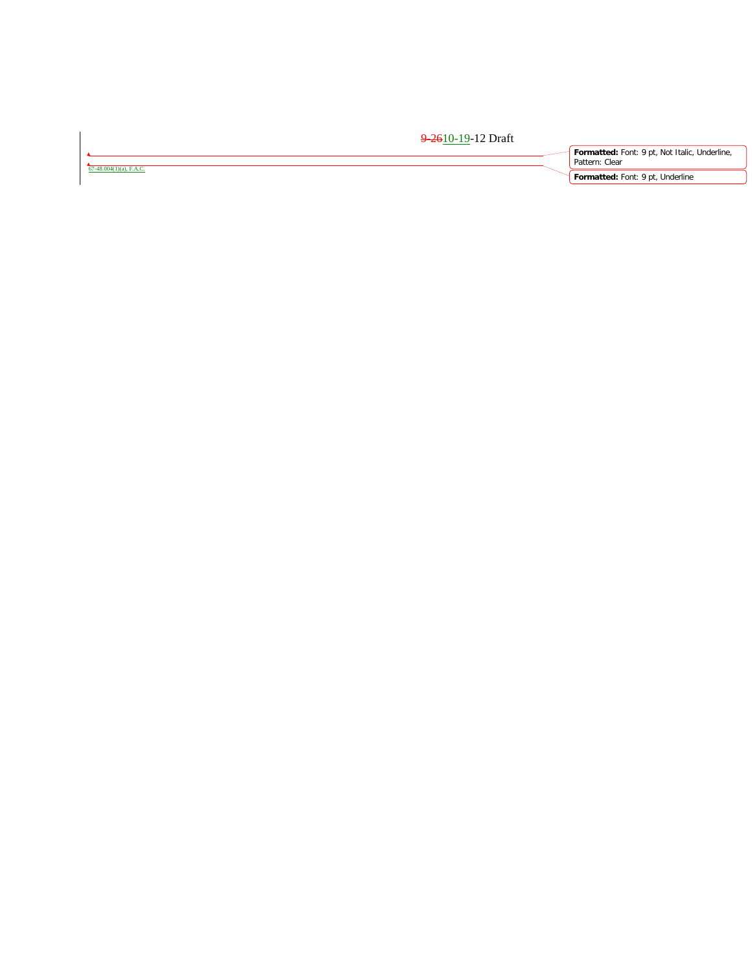|                                 | <del>9-26</del> 10-19-12 Draft |                                                                 |
|---------------------------------|--------------------------------|-----------------------------------------------------------------|
| $-48.004(1)(a)$ . <b>F.A.C.</b> |                                | Formatted: Font: 9 pt, Not Italic, Underline,<br>Pattern: Clear |
|                                 |                                | Formatted: Font: 9 pt, Underline                                |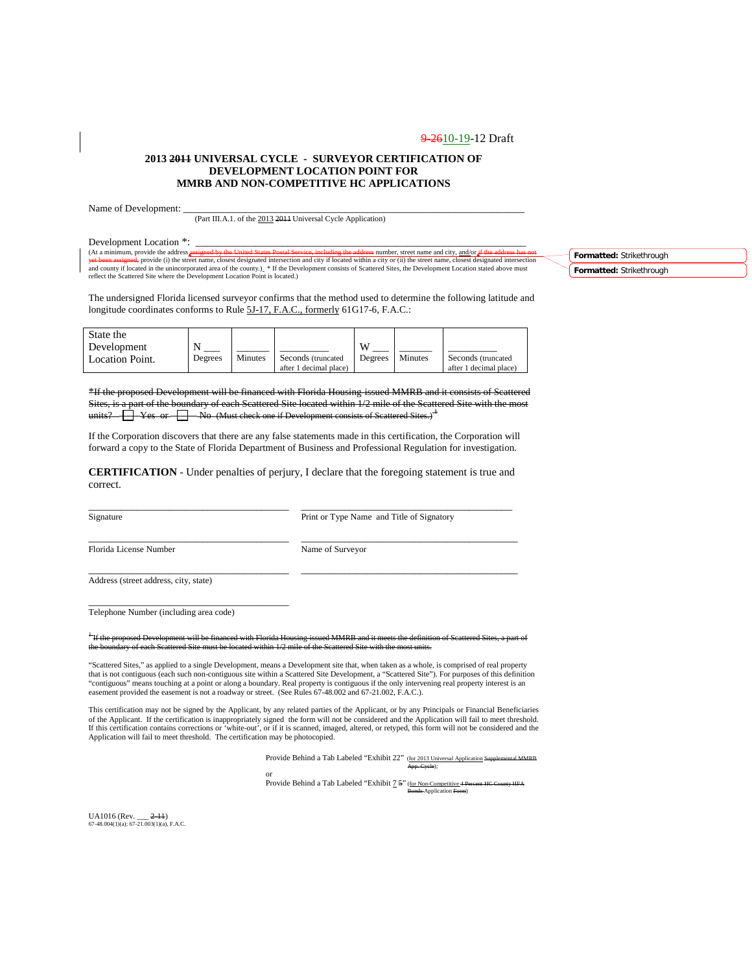#### **2013 2011 UNIVERSAL CYCLE - SURVEYOR CERTIFICATION OF DEVELOPMENT LOCATION POINT FOR MMRB AND NON-COMPETITIVE HC APPLICATIONS**

Name of Development:

(Part III.A.1. of the 2013 2011 Universal Cycle Application)

Development Location \*:<br>(At a minimum, provide the address *assigned* by the United States Postal Service, including the address number, street name and city, and/or (At a minimum, provide the address <del>assigned by the United States Postal Service, including the address</del> number, street name and city, <u>and/or if the address has not</u><br><del>yet been assigned,</del> provide (i) the street name, close and county if located in the unincorporated area of the county.) \* If the Development consists of Scattered Sites, the Development Location stated above must<br>reflect the Scattered Site where the Development Location Point

**Formatted:** Strikethrough **Formatted:** Strikethrough

The undersigned Florida licensed surveyor confirms that the method used to determine the following latitude and longitude coordinates conforms to Rule 5J-17, F.A.C., formerly 61G17-6, F.A.C.:

| State the              |         |         |                        |         |         |                        |
|------------------------|---------|---------|------------------------|---------|---------|------------------------|
| Development            | N       |         |                        | W       |         |                        |
| <b>Location Point.</b> | Degrees | Minutes | Seconds (truncated     | Degrees | Minutes | Seconds (truncated)    |
|                        |         |         | after 1 decimal place) |         |         | after 1 decimal place) |

**Development will be financed with Florida Housing-issued MMRB and it consists of Scattered** Sites, is a part of the boundary of each Scattered Site located within 1/2 mile of the Scattered Site with the most units?  $\Box$  Yes or  $\Box$  No (Must check one if Development consists of Scattered Sites.)<sup>4</sup>

If the Corporation discovers that there are any false statements made in this certification, the Corporation will forward a copy to the State of Florida Department of Business and Professional Regulation for investigation.

**CERTIFICATION** - Under penalties of perjury, I declare that the foregoing statement is true and correct.

\_\_\_\_\_\_\_\_\_\_\_\_\_\_\_\_\_\_\_\_\_\_\_\_\_\_\_\_\_\_\_\_\_\_\_\_\_ \_\_\_\_\_\_\_\_\_\_\_\_\_\_\_\_\_\_\_\_\_\_\_\_\_\_\_\_\_\_\_\_\_\_\_\_\_\_\_

\_\_\_\_\_\_\_\_\_\_\_\_\_\_\_\_\_\_\_\_\_\_\_\_\_\_\_\_\_\_\_\_\_\_\_\_\_ \_\_\_\_\_\_\_\_\_\_\_\_\_\_\_\_\_\_\_\_\_\_\_\_\_\_\_\_\_\_\_\_\_\_\_\_\_\_\_\_

Signature Print or Type Name and Title of Signatory

\_\_\_\_\_\_\_\_\_\_\_\_\_\_\_\_\_\_\_\_\_\_\_\_\_\_\_\_\_\_\_\_\_\_\_\_\_ \_\_\_\_\_\_\_\_\_\_\_\_\_\_\_\_\_\_\_\_\_\_\_\_\_\_\_\_\_\_\_\_\_\_\_\_\_\_\_\_ Florida License Number Name of Surveyor

Address (street address, city, state)

Telephone Number (including area code)

\_\_\_\_\_\_\_\_\_\_\_\_\_\_\_\_\_\_\_\_\_\_\_\_\_\_\_\_\_\_\_\_\_\_\_\_\_

<sup>1</sup> If the proposed Development will be financed with Florida Housing-issued MMRB and it meets the definition of Scattered Sites, a part of ary of each Scattered Site must be located within 1/2 mile of the Scattered Site with the most units.

"Scattered Sites," as applied to a single Development, means a Development site that, when taken as a whole, is comprised of real property that is not contiguous (each such non-contiguous site within a Scattered Site Development, a "Scattered Site"). For purposes of this definition "contiguous" means touching at a point or along a boundary. Real property is contiguous if the only intervening real property interest is an easement provided the easement is not a roadway or street. (See Rules 67-48.002 and 67-21.002, F.A.C.).

This certification may not be signed by the Applicant, by any related parties of the Applicant, or by any Principals or Financial Beneficiaries of the Applicant. If the certification is inappropriately signed the form will not be considered and the Application will fail to meet threshold.<br>If this certification contains corrections or 'white-out', or if it is scann Application will fail to meet threshold. The certification may be photocopied.

Provide Behind a Tab Labeled "Exhibit 22" (for 2013 Universal Application Supplemental MMRB

App. Cycle);

or<br>Provide Behind a Tab Labeled "Exhibit <u>7</u> <del>5</del>" (<u>for Non-Competitive</u> 4 <del>Percent HC County HFA</del><br>Bonds-Application Form)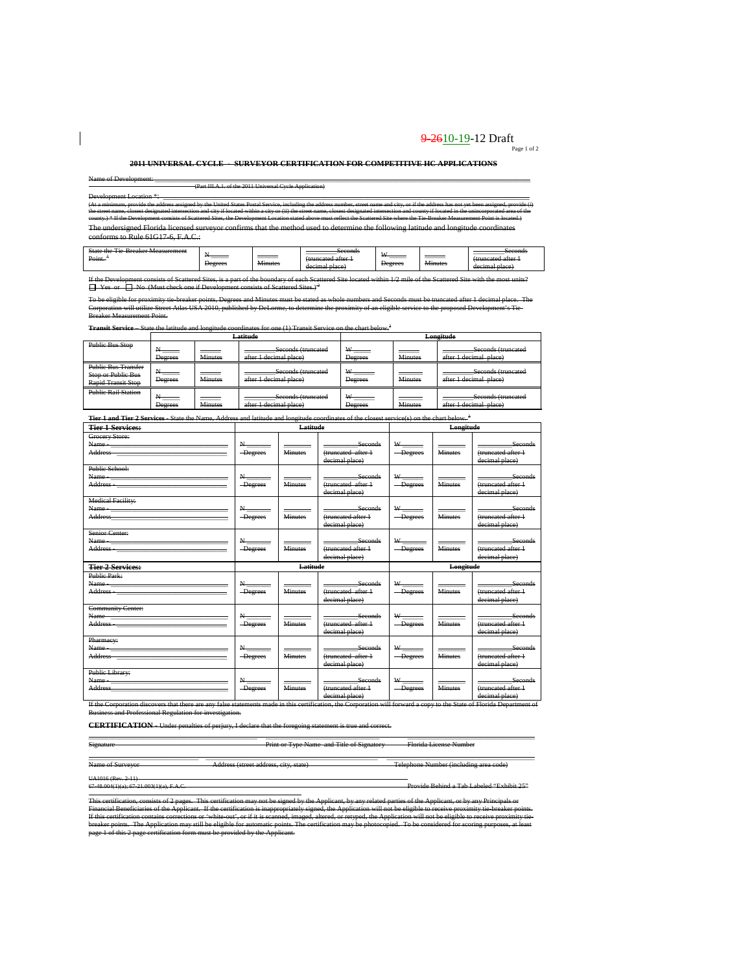# 9-2610-19-12 Draft  $P_{\text{age 1 of 2}}$

#### **2011 UNIVERSAL CYCLE - SURVEYOR CERTIFICATION FOR COMPETITIVE HC APPLICATIONS**

Name of Development: \_\_\_\_\_\_\_\_\_\_\_\_\_\_\_\_\_\_\_\_\_\_\_\_\_\_\_\_\_\_\_\_\_\_\_\_\_\_\_\_\_\_\_\_\_\_\_\_\_\_\_\_\_\_\_\_\_\_\_\_\_\_\_\_\_\_\_\_\_\_\_\_\_\_\_\_\_\_\_\_\_\_\_\_\_\_\_\_\_\_\_\_\_\_\_\_\_\_\_\_\_\_\_\_\_\_\_\_\_ (Part III.A.1. of the 2011 Universal Cycle Application)

 $\overline{\phantom{a}}$ 

Development Location \*:<br>(At a minimum, provide the address assigned by the United States Postal Service, including the address number, street nume and city, or if the address has not yet been assigned, provide (i)<br>the stre county.) \* If the Development consists of Scattered Sites, the Development Location alsociant above must reflect the Scatte Measurement Point is located.)<br>The undersigned Florida licensed surveyor confirms that the method conforms to Rule 61G17-6, F.A.C.:

| $C_{\text{data}}$<br>$\sim$<br>Moorwamont<br><del>oune une</del><br><del>- Dicakel Measurement</del><br>--- |         |                                 | Second<br>s <del>econu</del> s |              |                     | Secondi<br>s <del>econu</del> s |
|-------------------------------------------------------------------------------------------------------------|---------|---------------------------------|--------------------------------|--------------|---------------------|---------------------------------|
|                                                                                                             |         |                                 |                                | $\mathbf{v}$ |                     |                                 |
| Point.                                                                                                      | ______  | ______                          | <del></del>                    |              |                     |                                 |
|                                                                                                             |         | $\ddot{\phantom{1}}$<br>Ainutac |                                |              | $\cdots$<br>Minutae | -----                           |
|                                                                                                             | Degrees | v <del>imute.</del>             | امصروها<br>B1000               | Degrees      | wmm                 |                                 |
|                                                                                                             |         |                                 | <del>uccimal blace</del>       |              |                     | <del>uceman place</del>         |

If the Development consists of Scattered Sites, is a part of the boundary of each Scattered Site located within 1/2 mile of the Scattered Site with the most units?<br>□ Yes or □ No (Must check one if Development consists of

ble for proximity tie-breaker points, Degrees and Minutes must be stated as whole numbers and Seconds must be truncated after 1 decimal place. The<br>n will utilize Street Atlas USA 2010, published by DeLorme, to determine th e Street Atlas USA 2010, published by DeLorme, to determine<br>Point Breaker Measurement Point.

**Transit Service** – State the latitude and longitude coordinates for one (1) Transit Service on the chart below.<sup>3</sup><br>**Latitude Longitude** 

|                                                                                      |                |                | <del>Latıtude</del>                                                              | <del>Longitude</del> |                |                                                                                   |  |
|--------------------------------------------------------------------------------------|----------------|----------------|----------------------------------------------------------------------------------|----------------------|----------------|-----------------------------------------------------------------------------------|--|
| <b>Public Bus Stop</b>                                                               | <b>Degrees</b> | <b>Minutes</b> | Seconds (truncated<br>after 1 decimal place)                                     | W<br><b>Degrees</b>  | <b>Minutes</b> | Seconds (truncated<br>after 1 decimal place)<br><del>anci i uccinal biacc</del> ) |  |
| <b>Public Bus Transfer</b><br><b>Stop or Public Bus</b><br><b>Rapid Transit Stop</b> | Degrees        | <b>Minutes</b> | Seconds (truncated<br>after 1 decimal place)                                     | Degrees              | <b>Minutes</b> | Seconds (truncated<br>after I decimal place)                                      |  |
| <b>Public Rail Station</b>                                                           | <b>Degrees</b> | <b>Minutes</b> | Seconds (truncated<br>after 1 decimal place)<br><del>anci 1 ucennai piace.</del> | <b>Degrees</b>       | <b>Minutes</b> | Seconds (truncated<br>after 1 decimal place)<br><del>anci i uccinal biacc</del> ) |  |

| <b>Tier 1 and Tier 2 Services</b> State the Name, Address and latitude and longitude coordinates of the closest service(s) on the chart below. <sup>3</sup>                                                                                                                                     |                              |                |                                                        |                                                                    |                |                                                        |  |
|-------------------------------------------------------------------------------------------------------------------------------------------------------------------------------------------------------------------------------------------------------------------------------------------------|------------------------------|----------------|--------------------------------------------------------|--------------------------------------------------------------------|----------------|--------------------------------------------------------|--|
| <b>Tier 1 Services:</b>                                                                                                                                                                                                                                                                         |                              | Latitude       |                                                        |                                                                    | Longitude      |                                                        |  |
| Grocery Store:<br>Address and the contract of the contract of the contract of the contract of the contract of the contract of the contract of the contract of the contract of the contract of the contract of the contract of the contract of th                                                | $N_{\text{max}}$<br>-Degrees | <b>Minutes</b> | Seconds<br>(truncated after 1<br>decimal place)        | $W_{\frac{1}{2}}$<br>-Degrees                                      | <b>Minutes</b> | Seconds<br>(truncated after 1<br>decimal place)        |  |
| Public School:                                                                                                                                                                                                                                                                                  | $N_{\text{max}}$<br>-Degrees | <b>Minutes</b> | Seconds<br>(truncated after 1<br>decimal place)        | $W$ <sub>---</sub><br>-Degrees                                     | <b>Minutes</b> | Seconds<br>(truncated after 1<br>decimal place)        |  |
| <b>Medical Facility:</b><br>Address and the contract of the contract of the contract of the contract of the contract of the contract of the                                                                                                                                                     | $N_{-}$<br>-Degrees          | <b>Minutes</b> | Seconds<br>(truncated after 1<br>decimal place)        | $W_{\perp}$<br>-Degrees                                            | <b>Minutes</b> | <b>Seconds</b><br>(truncated after 1<br>decimal place) |  |
| Senior Center:<br>Name - The Committee of the Committee of the Committee of the Committee of the Committee of the Committee of the Committee of the Committee of the Committee of the Committee of the Committee of the Committee of the Committ                                                | $N_{-}$<br>-Degrees          | <b>Minutes</b> | Seconds<br>(truncated after 1<br>decimal place)        | $W_{\underline{\hspace{1cm}}\underline{\hspace{1cm}}}$<br>-Degrees | <b>Minutes</b> | Seconds<br>(truncated after 1<br>decimal place)        |  |
|                                                                                                                                                                                                                                                                                                 | Latitude                     |                |                                                        |                                                                    |                |                                                        |  |
| <b>Tier 2 Services:</b>                                                                                                                                                                                                                                                                         |                              |                |                                                        |                                                                    | Longitude      |                                                        |  |
| Public Park:<br>Name <u>_________________________________</u><br>Address and the contract of the contract of the contract of the contract of the contract of the contract of the contract of the contract of the contract of the contract of the contract of the contract of the contract of th | $N_{\text{max}}$<br>-Degrees | <b>Minutes</b> | Seconds<br>(truncated after 1<br>decimal place)        | $W$ <sub>-----</sub><br>-Degrees                                   | <b>Minutes</b> | Seconds<br>(truncated after +<br>decimal place)        |  |
| <b>Community Center:</b><br>Name<br>Address and the contract of the contract of the contract of the contract of the contract of the contract of the contract of the contract of the contract of the contract of the contract of the contract of the contract of th                              | -Degrees                     | <b>Minutes</b> | <b>Seconds</b><br>(truncated after 1<br>decimal place) | $W$ <sub>------</sub><br>-Degrees                                  | <b>Minutes</b> | Seconds<br>(truncated after 1<br>decimal place)        |  |
| Pharmacy:<br>Public Library:                                                                                                                                                                                                                                                                    | N<br><b>Degrees</b>          | <b>Minutes</b> | Seconds<br>(truncated after +<br>decimal place)        | -Degrees                                                           | <b>Minutes</b> | <b>Seconds</b><br>(truncated after +<br>decimal place) |  |

Business and Professional Regulation for investigation.

**CERTIFICATION** - Under penalties of perjury, I declare that the foregoing statement is true and correct.

\_\_\_\_\_\_\_\_\_\_\_\_\_\_\_\_\_\_\_\_\_\_\_\_\_\_\_\_\_\_\_\_\_\_\_\_\_\_\_\_\_\_\_\_\_\_\_\_\_ \_\_\_\_\_\_\_\_\_\_\_\_\_\_\_\_\_\_\_\_\_\_\_\_\_\_\_\_\_\_\_\_\_ \_\_\_\_\_\_\_\_\_\_\_\_\_\_\_\_\_\_\_\_\_\_\_\_\_\_\_\_\_\_\_\_\_\_\_\_\_ Signature Print or Type Name and Title of Signatory Florida License Number

\_\_\_\_\_\_\_\_\_\_\_\_\_\_\_\_\_\_\_\_\_\_\_\_\_\_\_\_\_\_\_\_ \_\_\_\_\_\_\_\_\_\_\_\_\_\_\_\_\_\_\_\_\_\_\_\_\_\_\_\_\_\_\_\_\_\_\_\_\_\_\_\_\_\_\_\_\_\_\_\_\_\_ \_\_\_\_\_\_\_\_\_\_\_\_\_\_\_\_\_\_\_\_\_\_\_\_\_\_\_\_\_\_\_\_\_\_\_\_\_\_\_\_\_\_\_ Name of Surveyor Address (street address, city, state) Telephone Number (including area code)

 $2.11$ 

67-48.004(1)(a); 67-21.003(1)(a), F.A.C. Provide Behind a Tab Labeled "Exhibit 25"

If the Corporation discovers that there are any false statements made in this certification, the Corporation will forward a copy to the State of Florida Department of

This certification, consists of 2-pages. "This certification may not be signed by the Applicant, by any related parties of the Applicant, or by any Principals or<br>Financial Beneficiaries of the Applicant. If the certificati breaker points. The Application may still be eligible for automatic points. The certification may be photocopied. To be considered for scoring purposes, at least<br>page 1 of this 2 page certification form must be provided by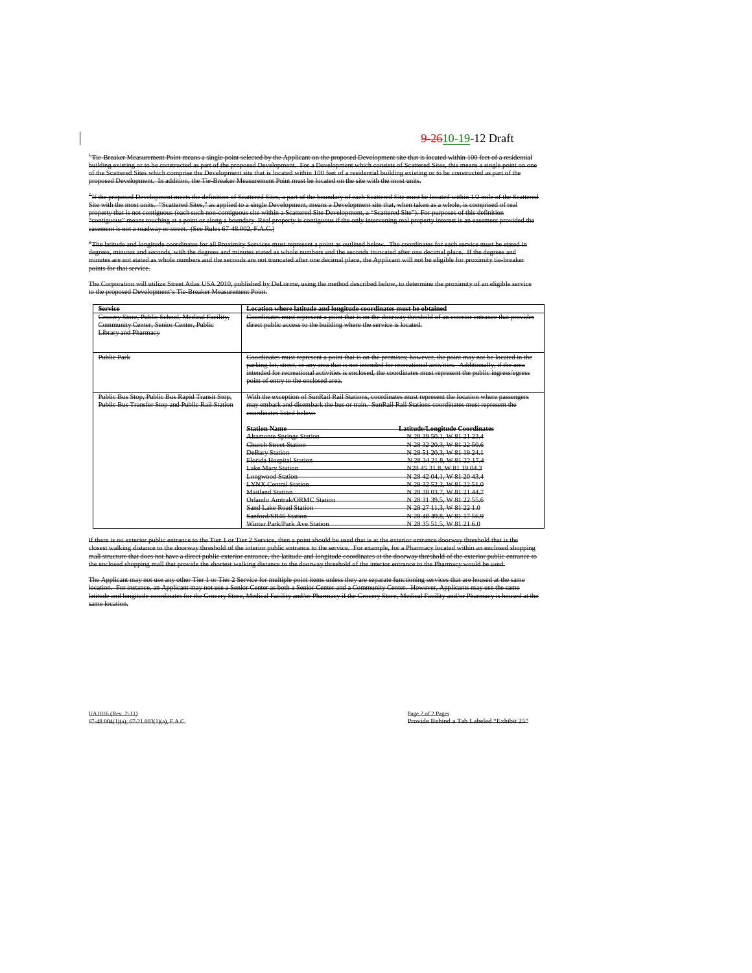\*Tie Breaker-Measurement Point means a single point selected by the Applicant on the proposed Development site that is located within 100 feet of a residential<br>building existing or to be constructed as part of the proposed proposed Development. In addition, the Tie-Breaker Measurement Point must be located on the site with the most units.

) If the boundary of each Scattered Site must be located within 1/2 mile of the Sc<br>nt, means a Development site that, when taken as a whole, is comprised of real Site with the most units. "Scattered Sites," as applied to a single Development, means a Development site that, when taken as a whole, is comprised of real property that in exercutions that is not continued that is non-continuous is not continuous if the only interval<br>in a scattering of the only intervaling real property interest is an exercis that "contiguous" means touching at a point or along a boundary. Real property is contiguous if the only intervening real property interest is an easement provided the<br>easement is not a roadway or street. (See Rules 67-48.002,

<sup>3</sup>The latitude and longitude coordinates for all Proximity Services must represent a point as outlined below. The coordinates for each service must be stated in<br>degrees, minutes and seconds, with the degrees and minutes s minutes are not stated as whole numbers and the seconds are not truncated after one decimal place, the Applicant will not be eligible for proximity tie-breaker service.

The Corporation will utilize Street Atlas USA 2010, published by DeLorme, using the method described below, to determine the proximity of an eligible service<br>to the proposed Development's Tie Breaker Measurement Point.

| <b>Service</b>                                   | Location where latitude and longitude coordinates must be obtained |                                                                                                              |  |  |  |  |  |
|--------------------------------------------------|--------------------------------------------------------------------|--------------------------------------------------------------------------------------------------------------|--|--|--|--|--|
| Grocery Store, Public School, Medical Facility,  |                                                                    | Coordinates must represent a point that is on the doorway threshold of an exterior entrance that provides    |  |  |  |  |  |
| Community Center, Senior Center, Public          |                                                                    | direct public access to the building where the service is located.                                           |  |  |  |  |  |
| <b>Library and Pharmacy</b>                      |                                                                    |                                                                                                              |  |  |  |  |  |
|                                                  |                                                                    |                                                                                                              |  |  |  |  |  |
|                                                  |                                                                    |                                                                                                              |  |  |  |  |  |
| <b>Public Park</b>                               |                                                                    | Coordinates must represent a point that is on the premises; however, the point may not be located in the     |  |  |  |  |  |
|                                                  |                                                                    | parking lot, street, or any area that is not intended for recreational activities. Additionally, if the area |  |  |  |  |  |
|                                                  |                                                                    | intended for recreational activities is enclosed, the coordinates must represent the public ingress/egress   |  |  |  |  |  |
|                                                  | point of entry to the enclosed area.                               |                                                                                                              |  |  |  |  |  |
|                                                  |                                                                    |                                                                                                              |  |  |  |  |  |
| Public Bus Stop, Public Bus Rapid Transit Stop,  |                                                                    | With the exception of SunRail Rail Stations, coordinates must represent the location where passengers        |  |  |  |  |  |
| Public Bus Transfer Stop and Public Rail Station |                                                                    | may embark and disembark the bus or train. SunRail Rail Stations coordinates must represent the              |  |  |  |  |  |
|                                                  | coordinates listed below-                                          |                                                                                                              |  |  |  |  |  |
|                                                  |                                                                    |                                                                                                              |  |  |  |  |  |
|                                                  | <b>Station Name</b>                                                | <b>Latitude/Longitude Coordinates</b>                                                                        |  |  |  |  |  |
|                                                  | <b>Altamonte Springs Station</b>                                   | N 28 39 50 1. W 81 21 23 4                                                                                   |  |  |  |  |  |
|                                                  | <b>Church Street Station</b>                                       | N 28 32 20.3, W 81 22 50.6                                                                                   |  |  |  |  |  |
|                                                  | <b>DeBary Station</b>                                              | N 28 51 20 3, W 81 19 24 1                                                                                   |  |  |  |  |  |
|                                                  | <b>Florida Hospital Station</b>                                    | N 28 34 21 8 W 81 22 17 4                                                                                    |  |  |  |  |  |
|                                                  | <b>Lake Mary Station</b>                                           | N28 45 31.8, W 81 19 04.3                                                                                    |  |  |  |  |  |
|                                                  | <b>Longwood Station</b>                                            | N 28 42 04 1, W 81 20 43 4                                                                                   |  |  |  |  |  |
|                                                  | <b>LYNX Central Station</b>                                        | N 28 32 52.2, W 81 22 51.0                                                                                   |  |  |  |  |  |
|                                                  | <b>Maitland Station</b>                                            | N 28 38 03.7, W 81 21 44.7                                                                                   |  |  |  |  |  |
|                                                  | Orlando Amtrak/ORMC Station                                        | N 28 31 39 5, W 81 22 55 6                                                                                   |  |  |  |  |  |
|                                                  | Sand Lake Road Station                                             | N 28 27 11 3 W 81 22 1.0                                                                                     |  |  |  |  |  |
|                                                  | Sanford/SR46 Station                                               | N 28 48 49.8, W 81 17 56.9                                                                                   |  |  |  |  |  |
|                                                  | Winter Park/Park Ave Station                                       | N 28 35 51 5, W 81 21 6.0                                                                                    |  |  |  |  |  |

If there is no exterior public entrance to the Tier 1 or Tier 2 Service, then a point should be used that is at the exterior entrance doorway threshold that is the<br>closest walking distance to the doorway threshold of the i the entrance to we receive that provide the entrance to the service. For example, for a Pharmacy located within an entrance to the doorway threshold of the interior entrance to the doorway threshold of the interior entranc

The Applicant may not use any other Tier 1 or Tier 2 Service for multiple point items unless they are separate functioning services that are housed at the same location. For instance, an Applicant may not use a Senior Center as both a Senior Center and a Community Center. However, Applicants may use the same<br>latitude and longitude coordinates for the Grocery Store, Medical Facili same location.

 $\overline{\phantom{a}}$ 

UA1016 (Rev. 2-11)<br>67-48.004(1)(a); 67-21.003(1)(a), F.A.C. Pages 2 of 2 Pages 2 of 2 Pages 2 of 2 Pages 2 of 2 Pages 2 of 2 Page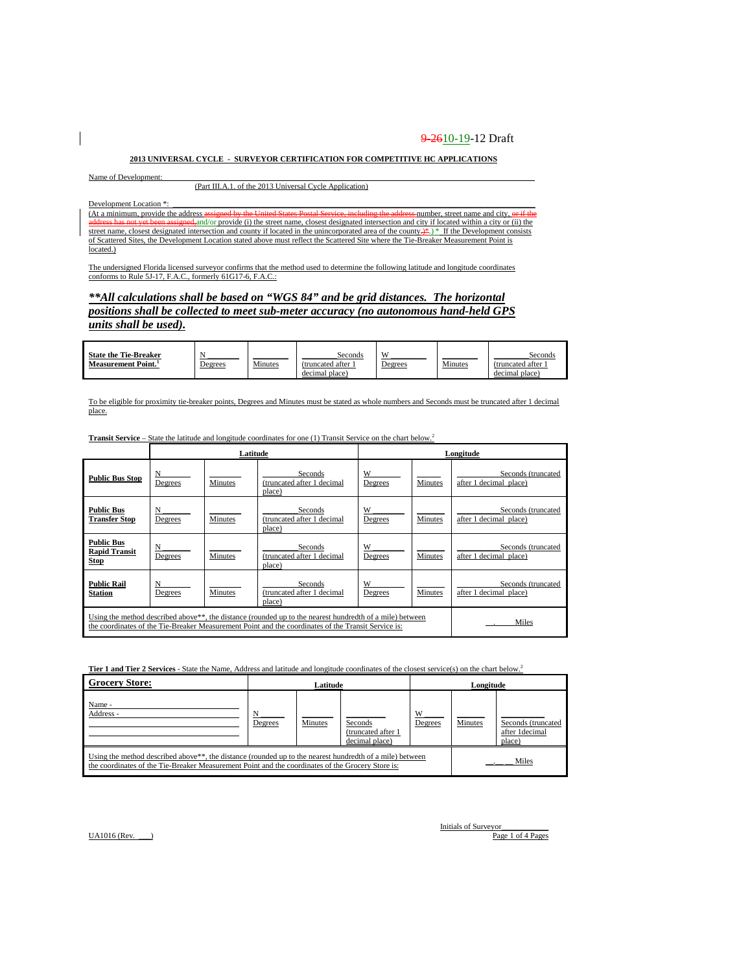#### **2013 UNIVERSAL CYCLE - SURVEYOR CERTIFICATION FOR COMPETITIVE HC APPLICATIONS**

Name of Development:

(Part III.A.1. of the 2013 Universal Cycle Application)

Development Location \*:

(At a minimum, provide the address assigned by the United States Postal Service, including the address number, street name and city, or if the and or provide (i) the street name, closest designated intersection and city if located within a city or (ii) the need-and/or provide (i) the street name, closest designated intersection and city if located within a city o street name, closest designated intersection and county if located in the unincorporated area of the county.)\*. If the Development consists of Scattered Sites, the Development Location stated above must reflect the Scattered Site where the Tie-Breaker Measurement Point is located.)

The undersigned Florida licensed surveyor confirms that the method used to determine the following latitude and longitude coordinates conforms to Rule 5J-17, F.A.C., formerly 61G17-6, F.A.C.:

### *\*\*All calculations shall be based on "WGS 84" and be grid distances. The horizontal positions shall be collected to meet sub-meter accuracy (no autonomous hand-held GPS units shall be used).*

| <b>State the Tie-Breaker</b> |         |                | Seconds          | W       |         | Seconds           |
|------------------------------|---------|----------------|------------------|---------|---------|-------------------|
| <b>Measurement Point.</b>    | Degrees | <b>Minutes</b> | (truncated after | Degrees | Minutes | (truncated after) |
|                              |         |                | decimal place)   |         |         | decimal place     |

To be eligible for proximity tie-breaker points, Degrees and Minutes must be stated as whole numbers and Seconds must be truncated after 1 decimal place.

|                                                                                                                                                                                                                              |              | Latitude       | Longitude                                       |              |                |                                              |
|------------------------------------------------------------------------------------------------------------------------------------------------------------------------------------------------------------------------------|--------------|----------------|-------------------------------------------------|--------------|----------------|----------------------------------------------|
| <b>Public Bus Stop</b>                                                                                                                                                                                                       | N<br>Degrees | Minutes        | Seconds<br>(truncated after 1 decimal<br>place) | W<br>Degrees | <b>Minutes</b> | Seconds (truncated<br>after 1 decimal place) |
| <b>Public Bus</b><br><b>Transfer Stop</b>                                                                                                                                                                                    | N<br>Degrees | <b>Minutes</b> | Seconds<br>(truncated after 1 decimal<br>place) | W<br>Degrees | <b>Minutes</b> | Seconds (truncated<br>after 1 decimal place) |
| <b>Public Bus</b><br><b>Rapid Transit</b><br><b>Stop</b>                                                                                                                                                                     | N<br>Degrees | <b>Minutes</b> | Seconds<br>(truncated after 1 decimal<br>place) | W<br>Degrees | <b>Minutes</b> | Seconds (truncated<br>after 1 decimal place) |
| <b>Public Rail</b><br><b>Station</b>                                                                                                                                                                                         | N<br>Degrees | Minutes        | Seconds<br>(truncated after 1 decimal<br>place) | W<br>Degrees | Minutes        | Seconds (truncated<br>after 1 decimal place) |
| Using the method described above <sup>**</sup> , the distance (rounded up to the nearest hundredth of a mile) between<br>the coordinates of the Tie-Breaker Measurement Point and the coordinates of the Transit Service is: | Miles        |                |                                                 |              |                |                                              |

**Transit Service** – State the latitude and longitude coordinates for one (1) Transit Service on the chart below.<sup>2</sup>

**Tier 1 and Tier 2 Services** - State the Name, Address and latitude and longitude coordinates of the closest service(s) on the chart below.<sup>2</sup>

| <b>Grocery Store:</b>                                                                                                                                                                                                      | Latitude       |         |                                                  |              | Longitude      |                                                |  |
|----------------------------------------------------------------------------------------------------------------------------------------------------------------------------------------------------------------------------|----------------|---------|--------------------------------------------------|--------------|----------------|------------------------------------------------|--|
| Name -<br>Address -                                                                                                                                                                                                        | <u>Degrees</u> | Minutes | Seconds<br>(truncated after 1)<br>decimal place) | W<br>Degrees | <b>Minutes</b> | Seconds (truncated<br>after 1decimal<br>place) |  |
| Using the method described above <sup>**</sup> , the distance (rounded up to the nearest hundredth of a mile) between<br>the coordinates of the Tie-Breaker Measurement Point and the coordinates of the Grocery Store is: |                |         |                                                  |              |                | Miles                                          |  |

 $UA1016$  (Rev.  $\qquad$  )

Initials of Surveyor<br>Page 1 of 4 Pages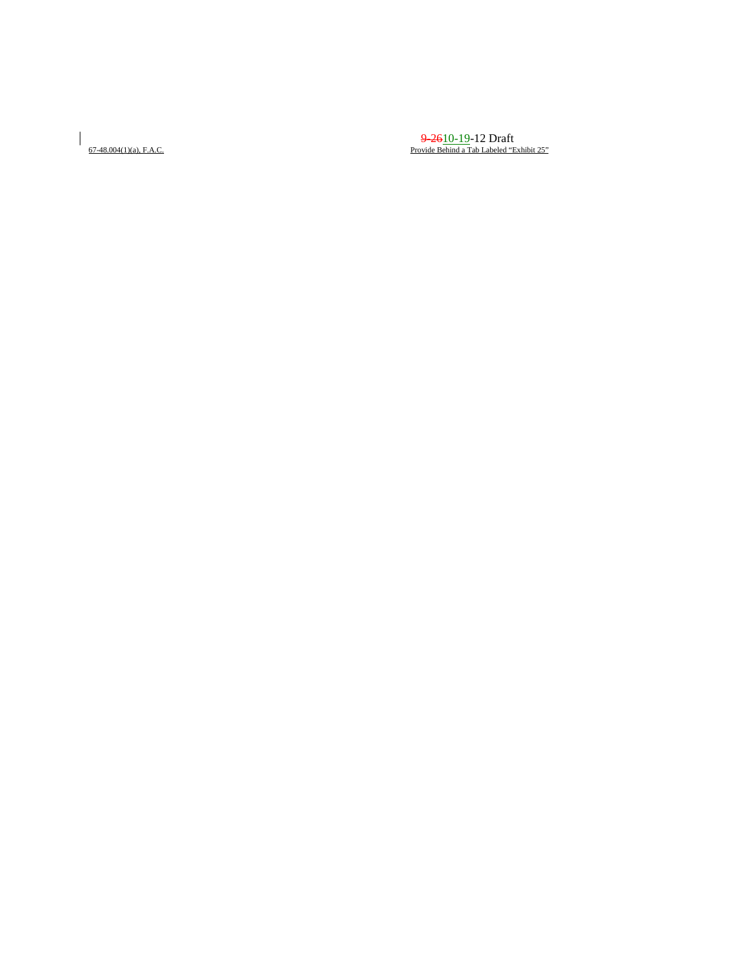$\overline{\phantom{a}}$ 

 $\frac{9.2610-19-12 \text{ Draft}}{9.2610-19}$  Draft Provide Behind a Tab Labeled "Exhibit 25"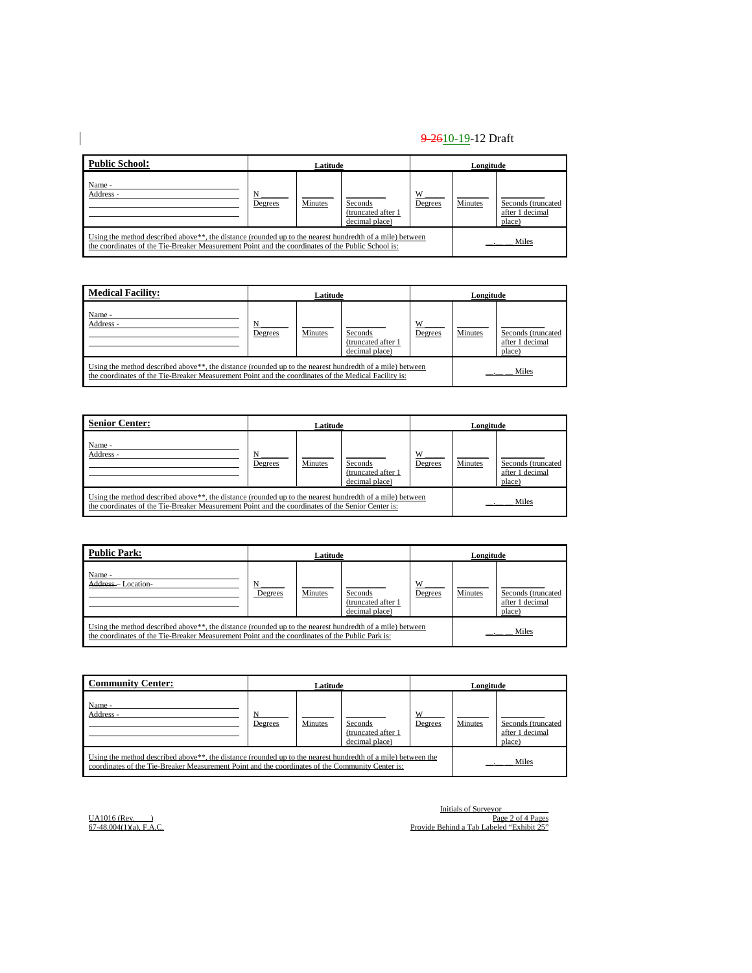| <b>Public School:</b>                                                                                                                                                                                         | Latitude |         |                                                  | Longitude    |         |                                                 |
|---------------------------------------------------------------------------------------------------------------------------------------------------------------------------------------------------------------|----------|---------|--------------------------------------------------|--------------|---------|-------------------------------------------------|
| Name -<br>Address -                                                                                                                                                                                           | Degrees  | Minutes | Seconds<br>(truncated after 1)<br>decimal place) | W<br>Degrees | Minutes | Seconds (truncated<br>after 1 decimal<br>place) |
| Using the method described above**, the distance (rounded up to the nearest hundredth of a mile) between<br>the coordinates of the Tie-Breaker Measurement Point and the coordinates of the Public School is: |          |         |                                                  |              |         | Miles                                           |

| <b>Medical Facility:</b>                                                                                                                                                                                                      | Latitude |         |                                                  |              | Longitude |                                                 |  |
|-------------------------------------------------------------------------------------------------------------------------------------------------------------------------------------------------------------------------------|----------|---------|--------------------------------------------------|--------------|-----------|-------------------------------------------------|--|
| Name -<br>Address -                                                                                                                                                                                                           | Degrees  | Minutes | Seconds<br>(truncated after 1)<br>decimal place) | W<br>Degrees | Minutes   | Seconds (truncated<br>after 1 decimal<br>place) |  |
| Using the method described above <sup>**</sup> , the distance (rounded up to the nearest hundredth of a mile) between<br>the coordinates of the Tie-Breaker Measurement Point and the coordinates of the Medical Facility is: |          |         |                                                  |              |           | Miles                                           |  |

| <b>Senior Center:</b>                                                                                                                                                                                                      | Latitude     |                |                                                 | Longitude    |                |                                                 |
|----------------------------------------------------------------------------------------------------------------------------------------------------------------------------------------------------------------------------|--------------|----------------|-------------------------------------------------|--------------|----------------|-------------------------------------------------|
| Name -<br>Address -                                                                                                                                                                                                        | N<br>Degrees | <b>Minutes</b> | Seconds<br>(truncated after 1<br>decimal place) | W<br>Degrees | <b>Minutes</b> | Seconds (truncated<br>after 1 decimal<br>place) |
| Using the method described above <sup>**</sup> , the distance (rounded up to the nearest hundredth of a mile) between<br>the coordinates of the Tie-Breaker Measurement Point and the coordinates of the Senior Center is: |              |                |                                                 |              |                | Miles                                           |

| <b>Public Park:</b>                                                                                                                                                                                                      | Latitude |                |                                                  | Longitude    |         |                                                 |
|--------------------------------------------------------------------------------------------------------------------------------------------------------------------------------------------------------------------------|----------|----------------|--------------------------------------------------|--------------|---------|-------------------------------------------------|
| Name -<br>Address-Location-                                                                                                                                                                                              | Degrees  | <b>Minutes</b> | Seconds<br>(truncated after 1)<br>decimal place) | W<br>Degrees | Minutes | Seconds (truncated<br>after 1 decimal<br>place) |
| Using the method described above <sup>**</sup> , the distance (rounded up to the nearest hundredth of a mile) between<br>the coordinates of the Tie-Breaker Measurement Point and the coordinates of the Public Park is: |          |                |                                                  |              |         | Miles                                           |

| <b>Community Center:</b>                                                                                                                                                                                                      | Latitude |         |                                                  | Longitude    |         |                                                 |
|-------------------------------------------------------------------------------------------------------------------------------------------------------------------------------------------------------------------------------|----------|---------|--------------------------------------------------|--------------|---------|-------------------------------------------------|
| Name -<br>Address -                                                                                                                                                                                                           | Degrees  | Minutes | Seconds<br>(truncated after 1)<br>decimal place) | W<br>Degrees | Minutes | Seconds (truncated<br>after 1 decimal<br>place) |
| Using the method described above <sup>**</sup> , the distance (rounded up to the nearest hundredth of a mile) between the<br>coordinates of the Tie-Breaker Measurement Point and the coordinates of the Community Center is: |          |         |                                                  |              |         | Miles                                           |

 $\overline{\phantom{a}}$ 

Initials of Surveyor\_\_\_\_\_\_\_\_\_\_\_\_ UA1016 (Rev. \_\_\_) Page 2 of 4 Pages 67-48.004(1)(a), F.A.C. Provide Behind a Tab Labeled "Exhibit 25"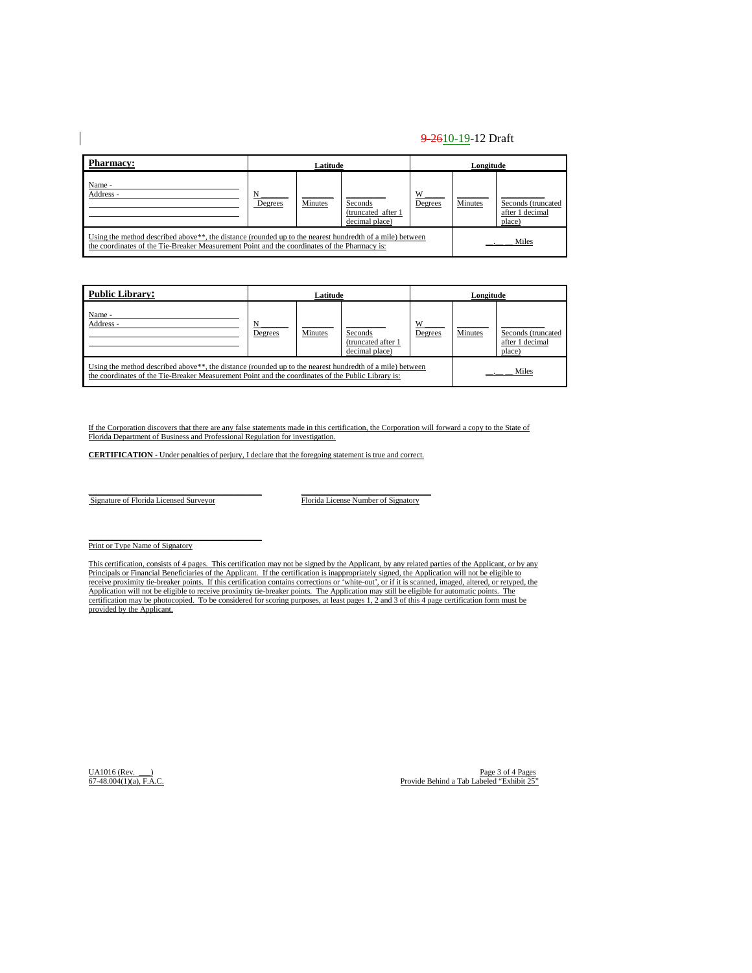| <b>Pharmacy:</b>                                                                                                                                                                                                      | Latitude |                |                                                 | Longitude    |         |                                                 |
|-----------------------------------------------------------------------------------------------------------------------------------------------------------------------------------------------------------------------|----------|----------------|-------------------------------------------------|--------------|---------|-------------------------------------------------|
| Name -<br>Address -                                                                                                                                                                                                   | Degrees  | <b>Minutes</b> | Seconds<br>(truncated after 1<br>decimal place) | W<br>Degrees | Minutes | Seconds (truncated<br>after 1 decimal<br>place) |
| Using the method described above <sup>**</sup> , the distance (rounded up to the nearest hundredth of a mile) between<br>the coordinates of the Tie-Breaker Measurement Point and the coordinates of the Pharmacy is: |          |                |                                                 |              |         | Miles                                           |

| <b>Public Library:</b>                                                                                                                                                                                                      | Latitude |                |                                                 | Longitude    |         |                                                 |
|-----------------------------------------------------------------------------------------------------------------------------------------------------------------------------------------------------------------------------|----------|----------------|-------------------------------------------------|--------------|---------|-------------------------------------------------|
| Name -<br>Address -                                                                                                                                                                                                         | Degrees  | <b>Minutes</b> | Seconds<br>(truncated after 1<br>decimal place) | W<br>Degrees | Minutes | Seconds (truncated<br>after 1 decimal<br>place) |
| Using the method described above <sup>**</sup> , the distance (rounded up to the nearest hundredth of a mile) between<br>the coordinates of the Tie-Breaker Measurement Point and the coordinates of the Public Library is: |          |                |                                                 |              |         | Miles                                           |

If the Corporation discovers that there are any false statements made in this certification, the Corporation will forward a copy to the State of Florida Department of Business and Professional Regulation for investigation.

**CERTIFICATION** - Under penalties of perjury, I declare that the foregoing statement is true and correct.

Signature of Florida Licensed Surveyor Florida License Number of Signatory

Print or Type Name of Signatory

This certification, consists of 4 pages. This certification may not be signed by the Applicant, by any related parties of the Applicant, or by any Principals or Financial Beneficiaries of the Applicant. If the certification is inappropriately signed, the Application will not be eligible to receive proximity tie-breaker points. If this certification contains corrections or 'white-out', or if it is scanned, imaged, altered, or retyped, the<br>Application will not be eligible to receive proximity tie-breaker point certification may be photocopied. To be considered for scoring purposes, at least pages 1, 2 and 3 of this 4 page certification form must be provided by the Applicant.

UA1016 (Rev. \_\_\_) Page 3 of 4 Pages 67-48.004(1)(a), F.A.C. Provide Behind a Tab Labeled "Exhibit 25"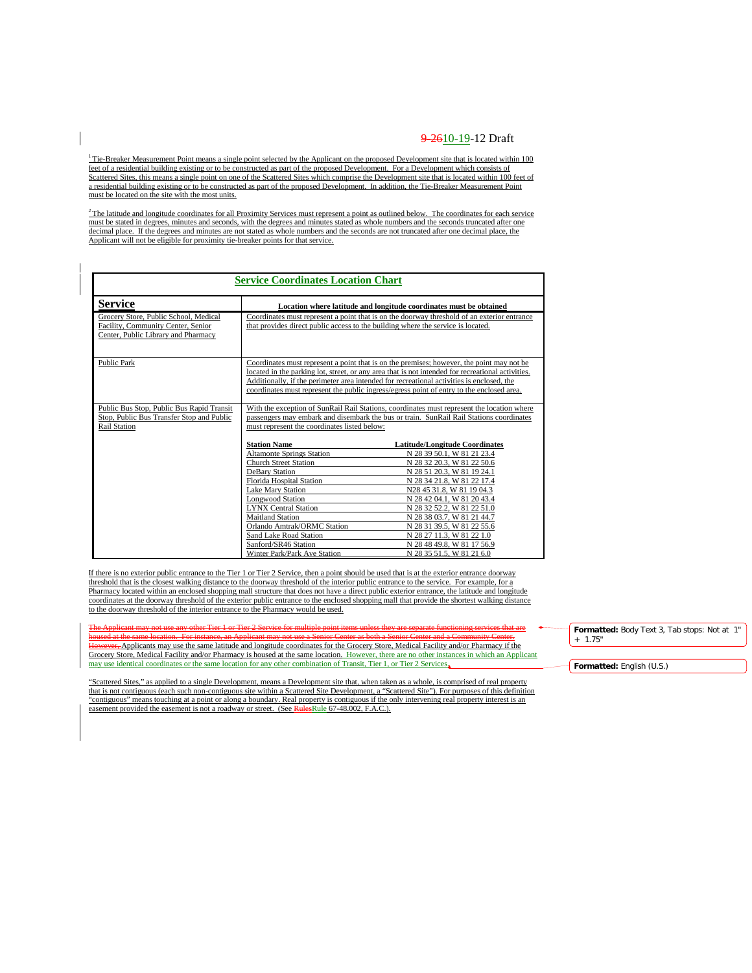$1$ <sup>1</sup> Tie-Breaker Measurement Point means a single point selected by the Applicant on the proposed Development site that is located within 100 feet of a residential building existing or to be constructed as part of the proposed Development. For a Development which consists of Scattered Sites, this means a single point on one of the Scattered Sites which comprise the Development site that is located within 100 feet of a residential building existing or to be constructed as part of the proposed Development. In addition, the Tie-Breaker Measurement Point must be located on the site with the most units.

 $2$ The latitude and longitude coordinates for all Proximity Services must represent a point as outlined below. The coordinates for each service must be stated in degrees, minutes and seconds, with the degrees and minutes stated as whole numbers and the seconds truncated after one decimal place. If the degrees and minutes are not stated as whole numbers and the seconds are not truncated after one decimal place, the Applicant will not be eligible for proximity tie-breaker points for that service.

|                                                                                                                    | <b>Service Coordinates Location Chart</b>                                                                                                                                                                                                                                                                                                                                                |                                                                                                                                                                                                                                                                                                                                                                                                            |  |  |  |  |  |  |
|--------------------------------------------------------------------------------------------------------------------|------------------------------------------------------------------------------------------------------------------------------------------------------------------------------------------------------------------------------------------------------------------------------------------------------------------------------------------------------------------------------------------|------------------------------------------------------------------------------------------------------------------------------------------------------------------------------------------------------------------------------------------------------------------------------------------------------------------------------------------------------------------------------------------------------------|--|--|--|--|--|--|
| <b>Service</b>                                                                                                     | Location where latitude and longitude coordinates must be obtained                                                                                                                                                                                                                                                                                                                       |                                                                                                                                                                                                                                                                                                                                                                                                            |  |  |  |  |  |  |
| Grocery Store, Public School, Medical<br>Facility, Community Center, Senior<br>Center, Public Library and Pharmacy | Coordinates must represent a point that is on the doorway threshold of an exterior entrance<br>that provides direct public access to the building where the service is located.                                                                                                                                                                                                          |                                                                                                                                                                                                                                                                                                                                                                                                            |  |  |  |  |  |  |
| <b>Public Park</b>                                                                                                 | Coordinates must represent a point that is on the premises; however, the point may not be<br>located in the parking lot, street, or any area that is not intended for recreational activities.<br>Additionally, if the perimeter area intended for recreational activities is enclosed, the<br>coordinates must represent the public ingress/egress point of entry to the enclosed area. |                                                                                                                                                                                                                                                                                                                                                                                                            |  |  |  |  |  |  |
| Public Bus Stop, Public Bus Rapid Transit<br>Stop, Public Bus Transfer Stop and Public<br><b>Rail Station</b>      | With the exception of SunRail Rail Stations, coordinates must represent the location where<br>passengers may embark and disembark the bus or train. SunRail Rail Stations coordinates<br>must represent the coordinates listed below:                                                                                                                                                    |                                                                                                                                                                                                                                                                                                                                                                                                            |  |  |  |  |  |  |
|                                                                                                                    | <b>Station Name</b><br><b>Altamonte Springs Station</b><br>Church Street Station<br>DeBary Station<br>Florida Hospital Station<br><b>Lake Mary Station</b><br><b>Longwood Station</b><br><b>LYNX Central Station</b><br><b>Maitland Station</b><br>Orlando Amtrak/ORMC Station<br>Sand Lake Road Station<br>Sanford/SR46 Station<br>Winter Park/Park Ave Station                         | <b>Latitude/Longitude Coordinates</b><br>N 28 39 50.1, W 81 21 23.4<br>N 28 32 20.3, W 81 22 50.6<br>N 28 51 20.3, W 81 19 24.1<br>N 28 34 21.8, W 81 22 17.4<br>N28 45 31.8, W 81 19 04.3<br>N 28 42 04.1, W 81 20 43.4<br>N 28 32 52.2, W 81 22 51.0<br>N 28 38 03.7, W 81 21 44.7<br>N 28 31 39.5, W 81 22 55.6<br>N 28 27 11.3, W 81 22 1.0<br>N 28 48 49.8, W 81 17 56.9<br>N 28 35 51.5, W 81 21 6.0 |  |  |  |  |  |  |

If there is no exterior public entrance to the Tier 1 or Tier 2 Service, then a point should be used that is at the exterior entrance doorway threshold that is the closest walking distance to the doorway threshold of the interior public entrance to the service. For example, for a Pharmacy located within an enclosed shopping mall structure that does not have a direct public exterior entrance, the latitude and longitude coordinates at the doorway threshold of the exterior public entrance to the enclosed shopping mall that provide the shortest walking distance to the doorway threshold of the interior entrance to the Pharmacy would be used.

The Applicant may not use any other Tier 1 or Tier 2 Service for multiple point items unless they are separate functioning services that are housed at the same location. For instance, an Applicant may not use a Senior Center as both a Senior Center and a Community Center.<br><del>However, A</del>pplicants may use the same latitude and longitude coordinates for the Grocery Grocery Store, Medical Facility and/or Pharmacy is housed at the same location. However, there are no other instances in which an Applicant may use identical coordinates or the same location for any other combination of Transit, Tier 1, or Tier 2 Services.

"Scattered Sites," as applied to a single Development, means a Development site that, when taken as a whole, is comprised of real property that is not contiguous (each such non-contiguous site within a Scattered Site Development, a "Scattered Site"). For purposes of this definition "contiguous" means touching at a point or along a boundary. Real property is contiguous if the only intervening real property interest is an easement provided the easement is not a roadway or street. (See RulesRule 67-48.002, F.A.C.).

**Formatted:** Body Text 3, Tab stops: Not at 1" + 1.75"

**Formatted:** English (U.S.)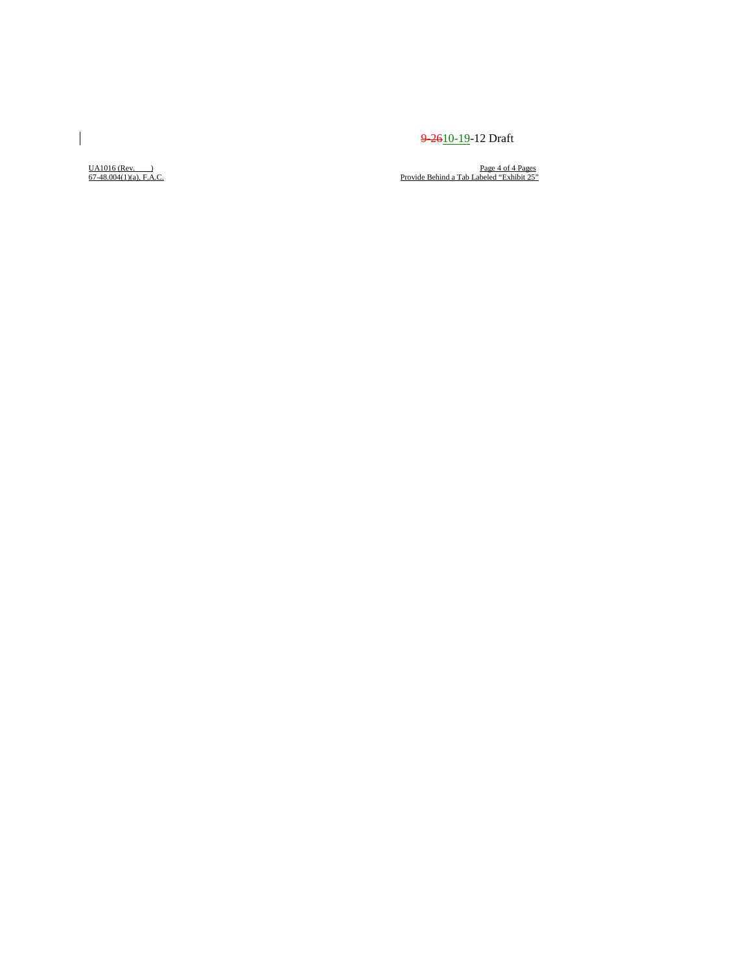$\underline{UA1016}$  (Rev. \_\_)<br>67-48.004(1)(a), F.A.C.

 $\begin{array}{c} \rule{0pt}{2ex} \rule{0pt}{2ex} \rule{0pt}{2ex} \rule{0pt}{2ex} \rule{0pt}{2ex} \rule{0pt}{2ex} \rule{0pt}{2ex} \rule{0pt}{2ex} \rule{0pt}{2ex} \rule{0pt}{2ex} \rule{0pt}{2ex} \rule{0pt}{2ex} \rule{0pt}{2ex} \rule{0pt}{2ex} \rule{0pt}{2ex} \rule{0pt}{2ex} \rule{0pt}{2ex} \rule{0pt}{2ex} \rule{0pt}{2ex} \rule{0pt}{2ex} \rule{0pt}{2ex} \rule{0pt}{2ex} \rule{0pt}{2ex} \rule{0pt}{$ 

UA1016 (Rev. <u>)</u><br>
Page 4 of 4 Pages<br>
Provide Behind a Tab Labeled "Exhibit 25"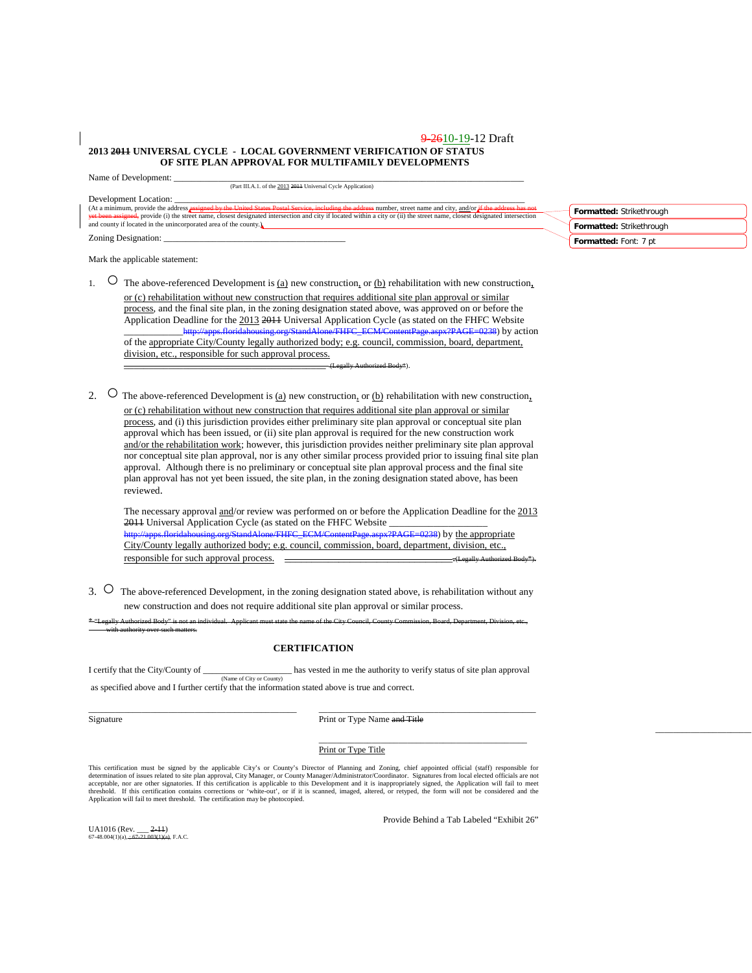#### 9-2610-19-12 Draft **2013 2011 UNIVERSAL CYCLE - LOCAL GOVERNMENT VERIFICATION OF STATUS OF SITE PLAN APPROVAL FOR MULTIFAMILY DEVELOPMENTS**

Name of Development:

(Part III.A.1. of the 2013 2011 Universal Cycle Application)

Development Location:<br>(At a minimum, provide the address **assigned by the United States Postal Service, including the address** number, street name and city, and/or if the address has not<br>yet been assigned, provide (i) the Zoning Designation:

Mark the applicable statement:

1.  $\circ$  The above-referenced Development is <u>(a)</u> new construction, or <u>(b)</u> rehabilitation with new construction, or (c) rehabilitation without new construction that requires additional site plan approval or similar process, and the final site plan, in the zoning designation stated above, was approved on or before the Application Deadline for the  $2013$  2011 Universal Application Cycle (as stated on the FHFC Website<br>http://anns.floridabousing.org/StandAlone/FHFC\_FCM/ContentPage.aspx?PAGE=0238) by act aspx?PAGE=0238) by action of the appropriate City/County legally authorized body; e.g. council, commission, board, department, division, etc., responsible for such approval process. \_\_\_\_\_\_\_\_\_\_\_\_\_\_\_\_\_\_\_\_\_\_\_\_\_\_\_\_\_\_\_\_\_\_\_\_\_\_\_\_\_ (Legally Authorized Body\*).

2.  $\circ$  The above-referenced Development is <u>(a)</u> new construction, or <u>(b)</u> rehabilitation with new construction, or (c) rehabilitation without new construction that requires additional site plan approval or similar process, and (i) this jurisdiction provides either preliminary site plan approval or conceptual site plan approval which has been issued, or (ii) site plan approval is required for the new construction work and/or the rehabilitation work; however, this jurisdiction provides neither preliminary site plan approval nor conceptual site plan approval, nor is any other similar process provided prior to issuing final site plan approval. Although there is no preliminary or conceptual site plan approval process and the final site plan approval has not yet been issued, the site plan, in the zoning designation stated above, has been reviewed.

The necessary approval and/or review was performed on or before the Application Deadline for the 2013 2011 Universal Application Cycle (as stated on the FHFC Website \_\_\_\_\_\_\_\_\_\_\_\_\_\_\_\_\_\_\_\_ =0238) by the appropriate City/County legally authorized body; e.g. council, commission, board, department, division, etc., responsible for such approval process.  $\Box$ 

3. <sup>O</sup> The above-referenced Development, in the zoning designation stated above, is rehabilitation without any new construction and does not require additional site plan approval or similar process.

\* "Legally Authorized Body" is not an individual. Applicant must state the name of the City Council, County Commission, Board, Department, Division, etc.,

#### **CERTIFICATION**

I certify that the City/County of \_\_\_\_\_\_\_\_\_\_\_\_\_\_\_\_\_\_\_\_ has vested in me the authority to verify status of site plan approval (Name of City or County) as specified above and I further certify that the information stated above is true and correct.

\_\_\_\_\_\_\_\_\_\_\_\_\_\_\_\_\_\_\_\_\_\_\_\_\_\_\_\_\_\_\_\_\_\_\_\_\_\_\_\_\_\_\_\_\_\_\_ \_\_\_\_\_\_\_\_\_\_\_\_\_\_\_\_\_\_\_\_\_\_\_\_\_\_\_\_\_\_\_\_\_\_\_\_\_\_\_\_\_\_\_\_\_\_\_\_\_

UA1016 (Rev. \_\_\_ 2-11)  $67-48.004(1)(a)$ ; +

with authority over such matters.

Signature Print or Type Name and Title

#### Print or Type Title

This certification must be signed by the applicable City's or County's Director of Planning and Zoning, chief appointed official (staff) responsible for<br>determination of issues related to site plan approval, City Manager, acceptable, nor are other signatories. If this certification is applicable to this Development and it is inappropriately signed, the Application will fail to meet<br>threshold. If this certification contains corrections or 'w

Provide Behind a Tab Labeled "Exhibit 26"

\_\_\_\_\_\_\_\_\_\_\_\_\_\_\_\_\_\_\_\_\_\_\_\_\_\_\_\_\_\_\_\_\_\_\_\_\_\_\_\_\_\_\_\_\_\_\_

| Formatted: Strikethrough     |
|------------------------------|
| Formatted: Strikethrough     |
| <b>Enrmatted:</b> Ennt: 7 nt |

\_\_\_\_\_\_\_\_\_\_\_\_\_\_\_\_\_\_\_\_\_\_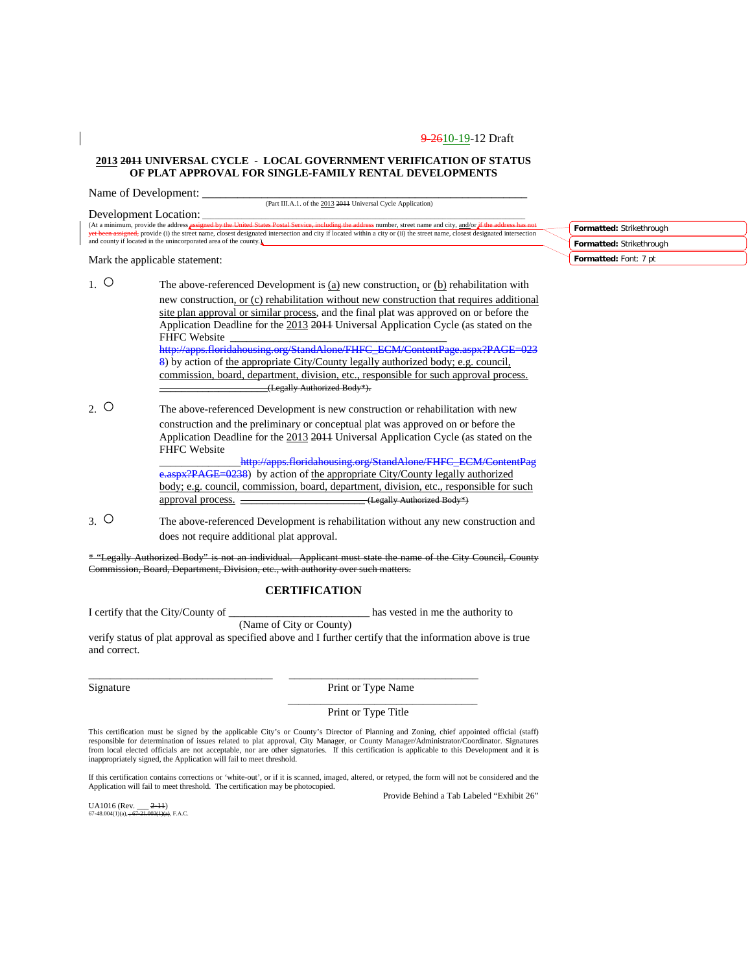#### **2013 2011 UNIVERSAL CYCLE - LOCAL GOVERNMENT VERIFICATION OF STATUS OF PLAT APPROVAL FOR SINGLE-FAMILY RENTAL DEVELOPMENTS**

Name of Development:

(Part III.A.1. of the 2013 2011 Universal Cycle Application)

Development Location:<br>(At a minimum, provide the address assigned by the United States Postal Service, including the address number, street name and city, and/or if the address has not<br>yet been assigned, provide (i) the st

Mark the applicable statement:

- 1.  $\circ$  The above-referenced Development is (a) new construction, or (b) rehabilitation with new construction, or (c) rehabilitation without new construction that requires additional site plan approval or similar process, and the final plat was approved on or before the Application Deadline for the 2013 2011 Universal Application Cycle (as stated on the FHFC Website [http://apps.floridahousing.org/StandAlone/FHFC\\_ECM/ContentPage.aspx?PAGE=023](http://apps.floridahousing.org/StandAlone/FHFC_ECM/ContentPage.aspx?PAGE=0238) [8\)](http://apps.floridahousing.org/StandAlone/FHFC_ECM/ContentPage.aspx?PAGE=0238) by action of the appropriate City/County legally authorized body; e.g. council, commission, board, department, division, etc., responsible for such approval process. \_\_\_\_\_\_\_\_\_\_\_\_\_\_\_\_\_\_\_\_(Legally Authorized Body\*).
- 2. O The above-referenced Development is new construction or rehabilitation with new construction and the preliminary or conceptual plat was approved on or before the Application Deadline for the 2013 2011 Universal Application Cycle (as stated on the FHFC Website

http://apps.floridahousing.org/StandAlone/FHFC\_ECM/ContentPag [e.aspx?PAGE=0238\)](http://apps.floridahousing.org/StandAlone/FHFC_ECM/ContentPage.aspx?PAGE=0238) by action of the appropriate City/County legally authorized body; e.g. council, commission, board, department, division, etc., responsible for such approval process. \_\_\_\_\_\_\_\_\_\_\_\_\_\_\_\_\_\_\_\_\_\_\_\_\_(Legally Authorized Body\*)

3. ○ The above-referenced Development is rehabilitation without any new construction and does not require additional plat approval.

\* "Legally Authorized Body" is not an individual. Applicant must state the name of the City Council, County Commission, Board, Department, Division, etc., with authority over such matters.

### **CERTIFICATION**

I certify that the City/County of \_\_\_\_\_\_\_\_\_\_\_\_\_\_\_\_\_\_\_\_\_\_\_\_\_\_ has vested in me the authority to (Name of City or County)

\_\_\_\_\_\_\_\_\_\_\_\_\_\_\_\_\_\_\_\_\_\_\_\_\_\_\_\_\_\_\_\_\_\_ \_\_\_\_\_\_\_\_\_\_\_\_\_\_\_\_\_\_\_\_\_\_\_\_\_\_\_\_\_\_\_\_\_\_\_

verify status of plat approval as specified above and I further certify that the information above is true and correct.

Signature Print or Type Name

#### Print or Type Title

\_\_\_\_\_\_\_\_\_\_\_\_\_\_\_\_\_\_\_\_\_\_\_\_\_\_\_\_\_\_\_\_\_\_\_

This certification must be signed by the applicable City's or County's Director of Planning and Zoning, chief appointed official (staff) responsible for determination of issues related to plat approval, City Manager, or County Manager/Administrator/Coordinator. Signatures<br>from local elected officials are not acceptable, nor are other signatories. If this ce inappropriately signed, the Application will fail to meet threshold.

If this certification contains corrections or 'white-out', or if it is scanned, imaged, altered, or retyped, the form will not be considered and the Application will fail to meet threshold. The certification may be photocopied.

UA1016 (Rev. \_\_\_ <del>2-11</del>)<br>67-48.004(1)(a), <del>; 67-21.003(1)(a)</del>, F.A.C.

Provide Behind a Tab Labeled "Exhibit 26"

**Formatted:** Strikethrough **Formatted:** Strikethrough **Formatted:** Font: 7 pt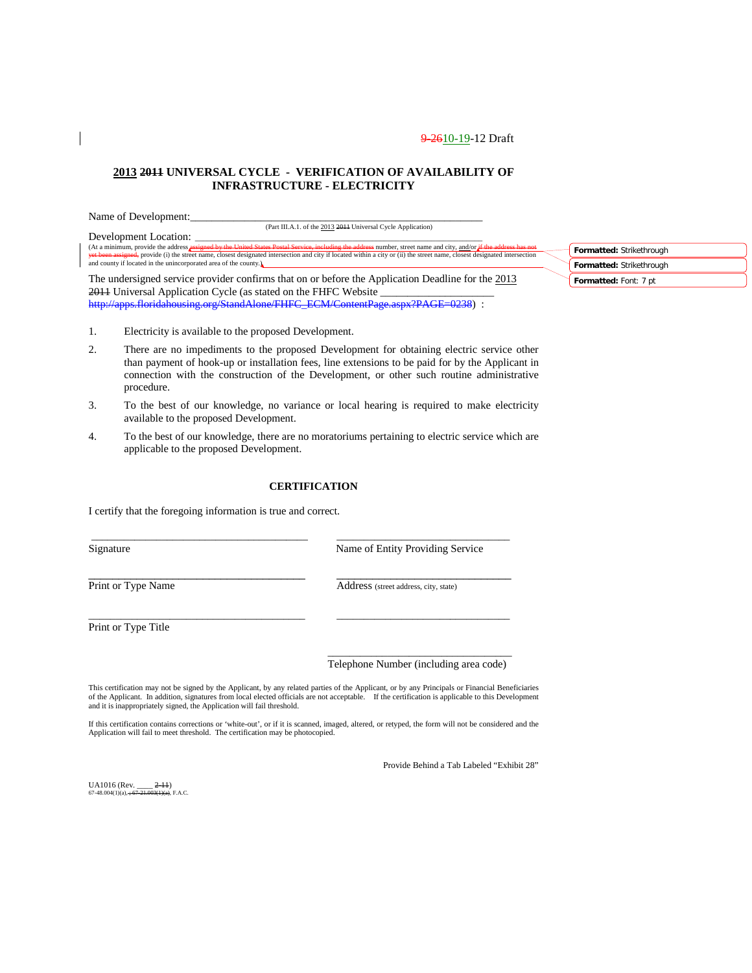### **2013 2011 UNIVERSAL CYCLE - VERIFICATION OF AVAILABILITY OF INFRASTRUCTURE - ELECTRICITY**

| Name of Development:                                                                                                                                                                                                                                                                                                                             |                          |
|--------------------------------------------------------------------------------------------------------------------------------------------------------------------------------------------------------------------------------------------------------------------------------------------------------------------------------------------------|--------------------------|
| (Part III.A.1. of the 2013 2014 Universal Cycle Application)                                                                                                                                                                                                                                                                                     |                          |
| Development Location:                                                                                                                                                                                                                                                                                                                            |                          |
| (At a minimum, provide the address assigned by the United States Postal Service, including the address number, street name and city, and/or if the address has not<br>vet been assigned, provide (i) the street name, closest designated intersection and city if located within a city or (ii) the street name, closest designated intersection | Formatted: Strikethrough |
| and county if located in the unincorporated area of the county.                                                                                                                                                                                                                                                                                  | Formatted: Strikethrough |
| The undersigned service provider confirms that on or before the Application Deadline for the 2013                                                                                                                                                                                                                                                | Formatted: Font: 7 pt    |
| 2011 Universal Application Cycle (as stated on the FHFC Website                                                                                                                                                                                                                                                                                  |                          |

[http://apps.floridahousing.org/StandAlone/FHFC\\_ECM/ContentPage.aspx?PAGE=0238\)](http://apps.floridahousing.org/StandAlone/FHFC_ECM/ContentPage.aspx?PAGE=0238) :

- 1. Electricity is available to the proposed Development.
- 2. There are no impediments to the proposed Development for obtaining electric service other than payment of hook-up or installation fees, line extensions to be paid for by the Applicant in connection with the construction of the Development, or other such routine administrative procedure.
- 3. To the best of our knowledge, no variance or local hearing is required to make electricity available to the proposed Development.
- 4. To the best of our knowledge, there are no moratoriums pertaining to electric service which are applicable to the proposed Development.

#### **CERTIFICATION**

\_\_\_\_\_\_\_\_\_\_\_\_\_\_\_\_\_\_\_\_\_\_\_\_\_\_\_\_\_\_\_\_\_\_\_\_\_\_\_\_ \_\_\_\_\_\_\_\_\_\_\_\_\_\_\_\_\_\_\_\_\_\_\_\_\_\_\_\_\_\_\_\_

 $\_$  ,  $\_$  ,  $\_$  ,  $\_$  ,  $\_$  ,  $\_$  ,  $\_$  ,  $\_$  ,  $\_$  ,  $\_$  ,  $\_$  ,  $\_$  ,  $\_$  ,  $\_$  ,  $\_$  ,  $\_$  ,  $\_$  ,  $\_$  ,  $\_$  ,  $\_$ 

\_\_\_\_\_\_\_\_\_\_\_\_\_\_\_\_\_\_\_\_\_\_\_\_\_\_\_\_\_\_\_\_\_\_\_\_\_\_\_\_ \_\_\_\_\_\_\_\_\_\_\_\_\_\_\_\_\_\_\_\_\_\_\_\_\_\_\_\_\_\_\_\_

I certify that the foregoing information is true and correct.

Signature Name of Entity Providing Service

Print or Type Name Address (street address, city, state)

Print or Type Title

\_\_\_\_\_\_\_\_\_\_\_\_\_\_\_\_\_\_\_\_\_\_\_\_\_\_\_\_\_\_\_\_\_\_ Telephone Number (including area code)

This certification may not be signed by the Applicant, by any related parties of the Applicant, or by any Principals or Financial Beneficiaries of the Applicant. In addition, signatures from local elected officials are not acceptable. If the certification is applicable to this Development and it is inappropriately signed, the Application will fail threshold.

If this certification contains corrections or 'white-out', or if it is scanned, imaged, altered, or retyped, the form will not be considered and the Application will fail to meet threshold. The certification may be photocopied.

Provide Behind a Tab Labeled "Exhibit 28"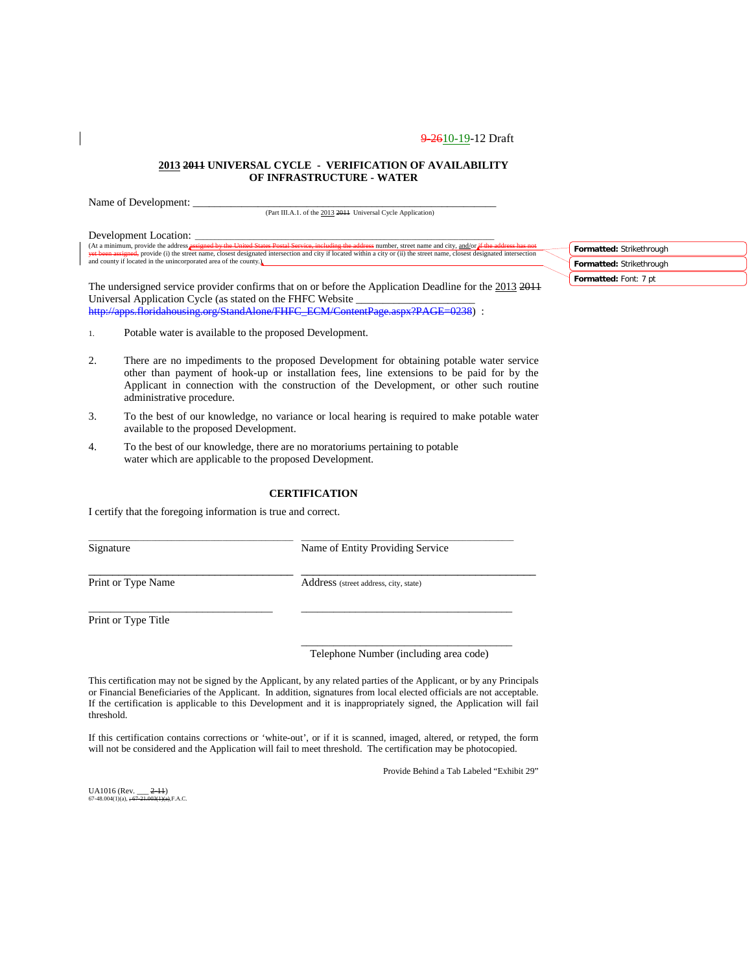#### **2013 2011 UNIVERSAL CYCLE - VERIFICATION OF AVAILABILITY OF INFRASTRUCTURE - WATER**

Name of Development:

(Part III.A.1. of the 2013 2011 Universal Cycle Application)

Development Location:<br>(At a minimum, provide the address assigned by the United States Postal Service, including the address number, street name and city, and/or if the address has not<br>yet been assigned, provide (i) the st

The undersigned service provider confirms that on or before the Application Deadline for the 2013 2011 Universal Application Cycle (as stated on the FHFC Website [http://apps.floridahousing.org/StandAlone/FHFC\\_ECM/ContentPage.aspx?PAGE=0238\)](http://apps.floridahousing.org/StandAlone/FHFC_ECM/ContentPage.aspx?PAGE=0238) :

**Formatted:** Strikethrough **Formatted:** Strikethrough **Formatted:** Font: 7 pt

- 1. Potable water is available to the proposed Development.
- 2. There are no impediments to the proposed Development for obtaining potable water service other than payment of hook-up or installation fees, line extensions to be paid for by the Applicant in connection with the construction of the Development, or other such routine administrative procedure.
- 3. To the best of our knowledge, no variance or local hearing is required to make potable water available to the proposed Development.
- 4. To the best of our knowledge, there are no moratoriums pertaining to potable water which are applicable to the proposed Development.

### **CERTIFICATION**

\_\_\_\_\_\_\_\_\_\_\_\_\_\_\_\_\_\_\_\_\_\_\_\_\_\_\_\_\_\_\_\_\_\_\_\_\_\_\_\_\_\_\_\_\_\_\_\_\_\_\_\_ \_\_\_\_\_\_\_\_\_\_\_\_\_\_\_\_\_\_\_\_\_\_\_\_\_\_\_\_\_\_\_\_\_\_\_\_\_\_\_\_\_\_\_\_\_\_\_\_\_\_\_\_\_\_

\_\_\_\_\_\_\_\_\_\_\_\_\_\_\_\_\_\_\_\_\_\_\_\_\_\_\_\_\_\_\_\_\_\_ \_\_\_\_\_\_\_\_\_\_\_\_\_\_\_\_\_\_\_\_\_\_\_\_\_\_\_\_\_\_\_\_\_\_\_\_\_\_\_

\_\_\_\_\_\_\_\_\_\_\_\_\_\_\_\_\_\_\_\_\_\_\_\_\_\_\_\_\_\_\_\_\_\_ \_\_\_\_\_\_\_\_\_\_\_\_\_\_\_\_\_\_\_\_\_\_\_\_\_\_\_\_\_\_\_\_\_\_\_\_\_\_\_

I certify that the foregoing information is true and correct.

Signature Name of Entity Providing Service

Print or Type Name Address (street address, city, state)

Print or Type Title

\_\_\_\_\_\_\_\_\_\_\_\_\_\_\_\_\_\_\_\_\_\_\_\_\_\_\_\_\_\_\_\_\_\_\_\_\_\_\_ Telephone Number (including area code)

This certification may not be signed by the Applicant, by any related parties of the Applicant, or by any Principals or Financial Beneficiaries of the Applicant. In addition, signatures from local elected officials are not acceptable. If the certification is applicable to this Development and it is inappropriately signed, the Application will fail threshold.

If this certification contains corrections or 'white-out', or if it is scanned, imaged, altered, or retyped, the form will not be considered and the Application will fail to meet threshold. The certification may be photocopied.

Provide Behind a Tab Labeled "Exhibit 29"

UA1016 (Rev.  $2-11$ )  $67-48.004(1)(a), +6$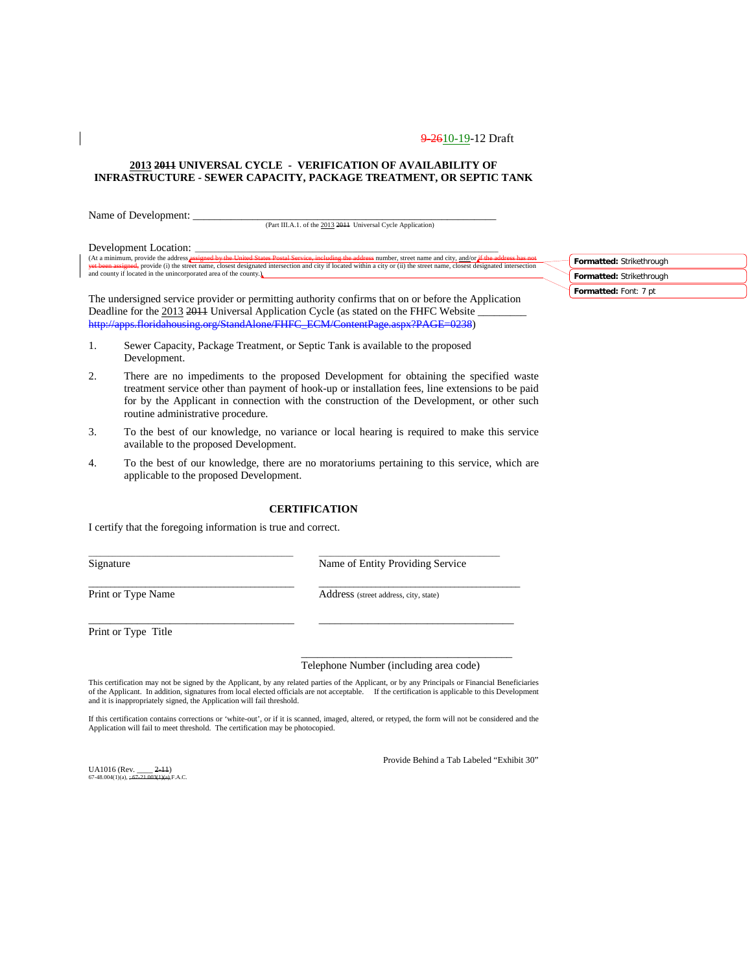#### **2013 2011 UNIVERSAL CYCLE - VERIFICATION OF AVAILABILITY OF INFRASTRUCTURE - SEWER CAPACITY, PACKAGE TREATMENT, OR SEPTIC TANK**

Name of Development:

(Part III.A.1. of the 2013 2011 Universal Cycle Application)

Development Location:

(At a minimum, provide the address <mark>assigned by the United States Postal Service, including the address number</mark>, street name and city, and/or i<del>f the address has not</del><br><del>yet been assigned,</del> provide (i) the street name, close **And county if located in the unincorporated area of the county.** 

The undersigned service provider or permitting authority confirms that on or before the Application Deadline for the 2013 2014 Universal Application Cycle (as stated on the FHFC Website [http://apps.floridahousing.org/StandAlone/FHFC\\_ECM/ContentPage.aspx?PAGE=0238\)](http://apps.floridahousing.org/StandAlone/FHFC_ECM/ContentPage.aspx?PAGE=0238)

- 1. Sewer Capacity, Package Treatment, or Septic Tank is available to the proposed Development.
- 2. There are no impediments to the proposed Development for obtaining the specified waste treatment service other than payment of hook-up or installation fees, line extensions to be paid for by the Applicant in connection with the construction of the Development, or other such routine administrative procedure.
- 3. To the best of our knowledge, no variance or local hearing is required to make this service available to the proposed Development.
- 4. To the best of our knowledge, there are no moratoriums pertaining to this service, which are applicable to the proposed Development.

#### **CERTIFICATION**

\_\_\_\_\_\_\_\_\_\_\_\_\_\_\_\_\_\_\_\_\_\_\_\_\_\_\_\_\_\_\_\_\_\_\_\_\_\_\_\_\_\_\_\_\_\_\_\_\_\_\_\_ \_\_\_\_\_\_\_\_\_\_\_\_\_\_\_\_\_\_\_\_\_\_\_\_\_\_\_\_\_\_\_\_\_\_\_\_\_\_\_\_\_\_\_\_\_\_

 $\_$  ,  $\_$  ,  $\_$  ,  $\_$  ,  $\_$  ,  $\_$  ,  $\_$  ,  $\_$  ,  $\_$  ,  $\_$  ,  $\_$  ,  $\_$  ,  $\_$  ,  $\_$  ,  $\_$  ,  $\_$  ,  $\_$  ,  $\_$  ,  $\_$ 

\_\_\_\_\_\_\_\_\_\_\_\_\_\_\_\_\_\_\_\_\_\_\_\_\_\_\_\_\_\_\_\_\_\_\_\_\_\_ \_\_\_\_\_\_\_\_\_\_\_\_\_\_\_\_\_\_\_\_\_\_\_\_\_\_\_\_\_\_\_\_\_\_\_\_

I certify that the foregoing information is true and correct.

Signature Name of Entity Providing Service

Print or Type Name Address (street address, city, state)

Print or Type Title

#### Telephone Number (including area code)

\_\_\_\_\_\_\_\_\_\_\_\_\_\_\_\_\_\_\_\_\_\_\_\_\_\_\_\_\_\_\_\_\_\_\_\_\_\_\_

This certification may not be signed by the Applicant, by any related parties of the Applicant, or by any Principals or Financial Beneficiaries<br>of the Applicant. In addition, signatures from local elected officials are not and it is inappropriately signed, the Application will fail threshold.

If this certification contains corrections or 'white-out', or if it is scanned, imaged, altered, or retyped, the form will not be considered and the Application will fail to meet threshold. The certification may be photocopied.

Provide Behind a Tab Labeled "Exhibit 30"

UA1016 (Rev. \_\_\_\_ <del>2-11</del>)<br>67-48.004(1)(a), <del>; 67-21.003(1)(a)</del>,F.A.C.

**Formatted:** Strikethrough **Formatted:** Strikethrough **Formatted:** Font: 7 pt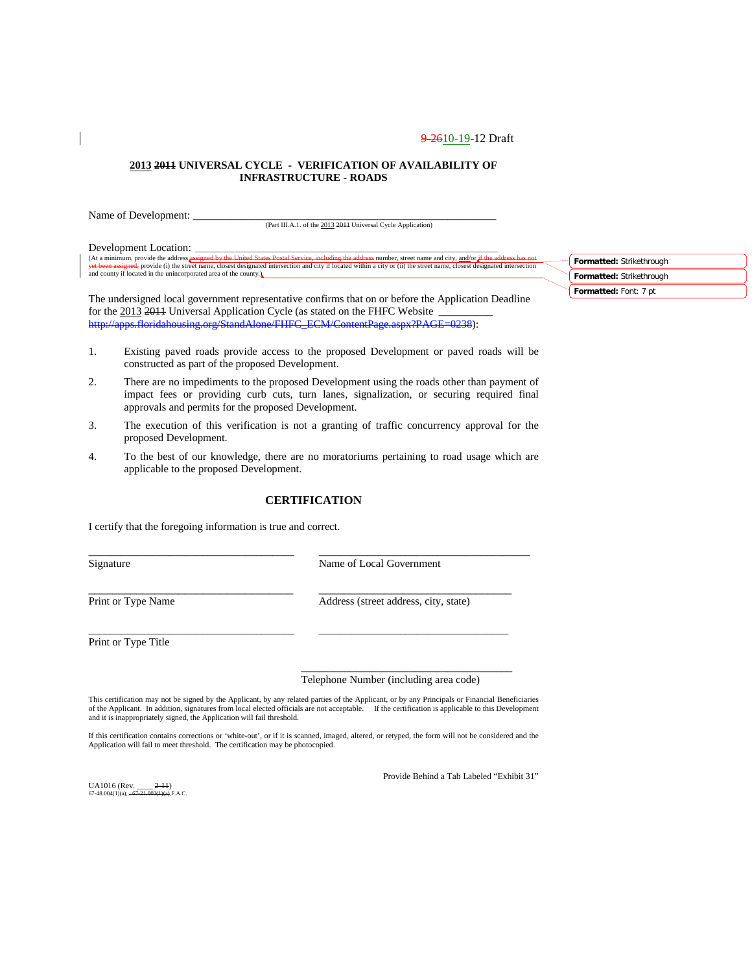#### **2013 2011 UNIVERSAL CYCLE - VERIFICATION OF AVAILABILITY OF INFRASTRUCTURE - ROADS**

Name of Development: (Part III.A.1. of the 2013 2011 Universal Cycle Application)

Development Location: (At a minimum, provide the address <mark>assigned by the United States Postal Service, including the address number</mark>, street name and city, and/or i<del>f the address has not</del><br><del>yet been assigned,</del> provide (i) the street name, close **And county if located in the unincorporated area of the county.** 

The undersigned local government representative confirms that on or before the Application Deadline for the 2013 2011 Universal Application Cycle (as stated on the FHFC Website [http://apps.floridahousing.org/StandAlone/FHFC\\_ECM/ContentPage.aspx?PAGE=0238\)](http://apps.floridahousing.org/StandAlone/FHFC_ECM/ContentPage.aspx?PAGE=0238):

- 1. Existing paved roads provide access to the proposed Development or paved roads will be constructed as part of the proposed Development.
- 2. There are no impediments to the proposed Development using the roads other than payment of impact fees or providing curb cuts, turn lanes, signalization, or securing required final approvals and permits for the proposed Development.
- 3. The execution of this verification is not a granting of traffic concurrency approval for the proposed Development.
- 4. To the best of our knowledge, there are no moratoriums pertaining to road usage which are applicable to the proposed Development.

### **CERTIFICATION**

\_\_\_\_\_\_\_\_\_\_\_\_\_\_\_\_\_\_\_\_\_\_\_\_\_\_\_\_\_\_\_\_\_\_\_\_\_\_ \_\_\_\_\_\_\_\_\_\_\_\_\_\_\_\_\_\_\_\_\_\_\_\_\_\_\_\_\_\_\_\_\_\_\_\_\_\_\_

\_\_\_\_\_\_\_\_\_\_\_\_\_\_\_\_\_\_\_\_\_\_\_\_\_\_\_\_\_\_\_\_\_\_\_\_\_\_ \_\_\_\_\_\_\_\_\_\_\_\_\_\_\_\_\_\_\_\_\_\_\_\_\_\_\_\_\_\_\_\_\_\_\_

I certify that the foregoing information is true and correct.

Signature Name of Local Government

\_\_\_\_\_\_\_\_\_\_\_\_\_\_\_\_\_\_\_\_\_\_\_\_\_\_\_\_\_\_\_\_\_\_ \_\_\_\_\_\_\_\_\_\_\_\_\_\_\_\_\_\_\_\_\_\_\_\_\_\_\_\_\_\_\_\_ Print or Type Name Address (street address, city, state)

Print or Type Title

### Telephone Number (including area code)

\_\_\_\_\_\_\_\_\_\_\_\_\_\_\_\_\_\_\_\_\_\_\_\_\_\_\_\_\_\_\_\_\_\_\_\_\_\_\_

This certification may not be signed by the Applicant, by any related parties of the Applicant, or by any Principals or Financial Beneficiaries of the Applicant. In addition, signatures from local elected officials are not acceptable. If the certification is applicable to this Development and it is inappropriately signed, the Application will fail threshold.

If this certification contains corrections or 'white-out', or if it is scanned, imaged, altered, or retyped, the form will not be considered and the Application will fail to meet threshold. The certification may be photocopied.

UA1016 (Rev. \_\_\_\_ <del>2-11</del>)<br>67-48.004(1)(a), <del>; 67-21.003(1)(a)</del>,F.A.C.

Provide Behind a Tab Labeled "Exhibit 31"

| Formatted: Strikethrough |
|--------------------------|
| Formatted: Strikethrough |
| Formatted: Font: 7 pt    |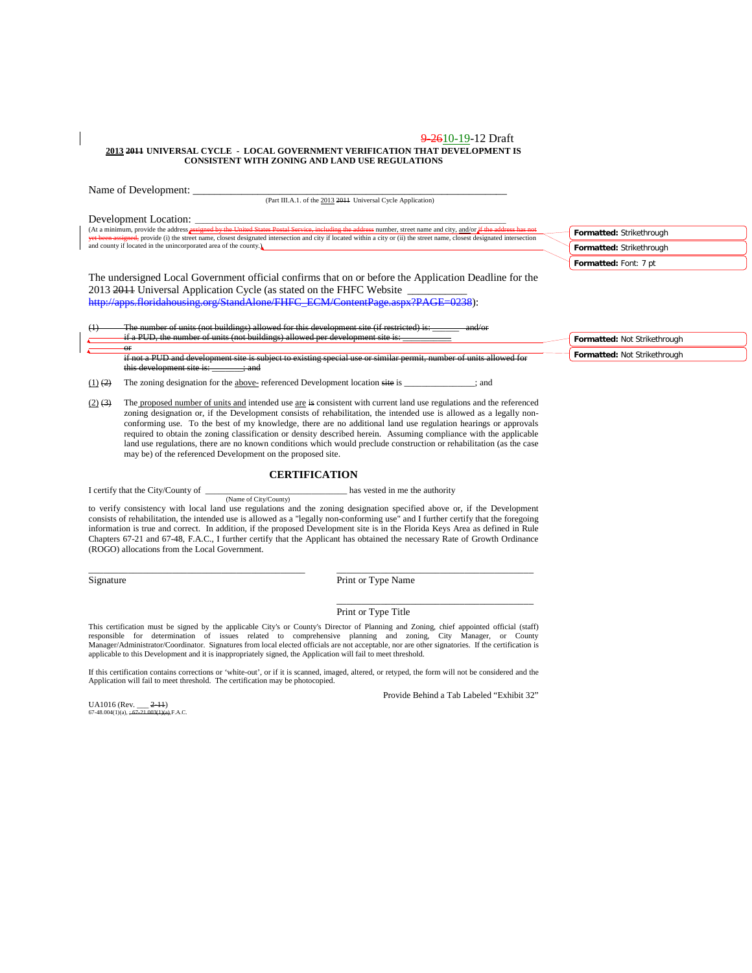#### 9-2610-19-12 Draft **2013 2011 UNIVERSAL CYCLE - LOCAL GOVERNMENT VERIFICATION THAT DEVELOPMENT IS CONSISTENT WITH ZONING AND LAND USE REGULATIONS**

|             | Name of Development:                                                                                                                                                                                                                                                                                                                                                                                                                                  |                                                                               |
|-------------|-------------------------------------------------------------------------------------------------------------------------------------------------------------------------------------------------------------------------------------------------------------------------------------------------------------------------------------------------------------------------------------------------------------------------------------------------------|-------------------------------------------------------------------------------|
|             | (Part III.A.1. of the 2013 2014 Universal Cycle Application)                                                                                                                                                                                                                                                                                                                                                                                          |                                                                               |
|             | Development Location:<br>(At a minimum, provide the address <i>assigned by the United States Postal Service</i> , including the address number, street name and city, and/or if the address has not<br>yet been assigned, provide (i) the street name, closest designated intersection and city if located within a city or (ii) the street name, closest designated intersection<br>and county if located in the unincorporated area of the county.) | Formatted: Strikethrough<br>Formatted: Strikethrough<br>Formatted: Font: 7 pt |
| (1)         | The undersigned Local Government official confirms that on or before the Application Deadline for the<br>2013 2014 Universal Application Cycle (as stated on the FHFC Website<br>http://apps.floridahousing.org/StandAlone/FHFC_ECM/ContentPage.aspx?PAGE=0238):<br>The number of units (not buildings) allowed for this development site (if restricted) is:                                                                                         |                                                                               |
|             | if a PUD, the number of units (not buildings) allowed per development site is:                                                                                                                                                                                                                                                                                                                                                                        | Formatted: Not Strikethrough                                                  |
|             | $\sigma$<br>if not a PUD and development site is subject to existing special use or similar permit, number of units allowed for<br>this development site is: _______ ; and                                                                                                                                                                                                                                                                            | Formatted: Not Strikethrough                                                  |
| $(1)$ $(2)$ | The zoning designation for the above-referenced Development location site is<br>: and                                                                                                                                                                                                                                                                                                                                                                 |                                                                               |
| $(2)$ (3)   | The proposed number of units and intended use are is consistent with current land use regulations and the referenced<br>zoning designation or, if the Development consists of rehabilitation, the intended use is allowed as a legally non-<br>conforming use. To the best of my knowledge, there are no additional land use regulation hearings or approvals                                                                                         |                                                                               |

#### **CERTIFICATION**

required to obtain the zoning classification or density described herein. Assuming compliance with the applicable land use regulations, there are no known conditions which would preclude construction or rehabilitation (as the case

I certify that the City/County of  $\qquad$  has vested in me the authority (Name of City/County)

may be) of the referenced Development on the proposed site.

to verify consistency with local land use regulations and the zoning designation specified above or, if the Development consists of rehabilitation, the intended use is allowed as a "legally non-conforming use" and I further certify that the foregoing information is true and correct. In addition, if the proposed Development site is in the Florida Keys Area as defined in Rule Chapters 67-21 and 67-48, F.A.C., I further certify that the Applicant has obtained the necessary Rate of Growth Ordinance (ROGO) allocations from the Local Government.

\_\_\_\_\_\_\_\_\_\_\_\_\_\_\_\_\_\_\_\_\_\_\_\_\_\_\_\_\_\_\_\_\_\_\_\_\_\_\_\_\_\_\_\_ \_\_\_\_\_\_\_\_\_\_\_\_\_\_\_\_\_\_\_\_\_\_\_\_\_\_\_\_\_\_\_\_\_\_\_\_\_\_\_\_

Signature Print or Type Name

#### Print or Type Title

This certification must be signed by the applicable City's or County's Director of Planning and Zoning, chief appointed official (staff) responsible for determination of issues related to comprehensive planning and zoning, applicable to this Development and it is inappropriately signed, the Application will fail to meet threshold.

If this certification contains corrections or 'white-out', or if it is scanned, imaged, altered, or retyped, the form will not be considered and the Application will fail to meet threshold. The certification may be photocopied.

Provide Behind a Tab Labeled "Exhibit 32"

\_\_\_\_\_\_\_\_\_\_\_\_\_\_\_\_\_\_\_\_\_\_\_\_\_\_\_\_\_\_\_\_\_\_\_\_\_\_\_\_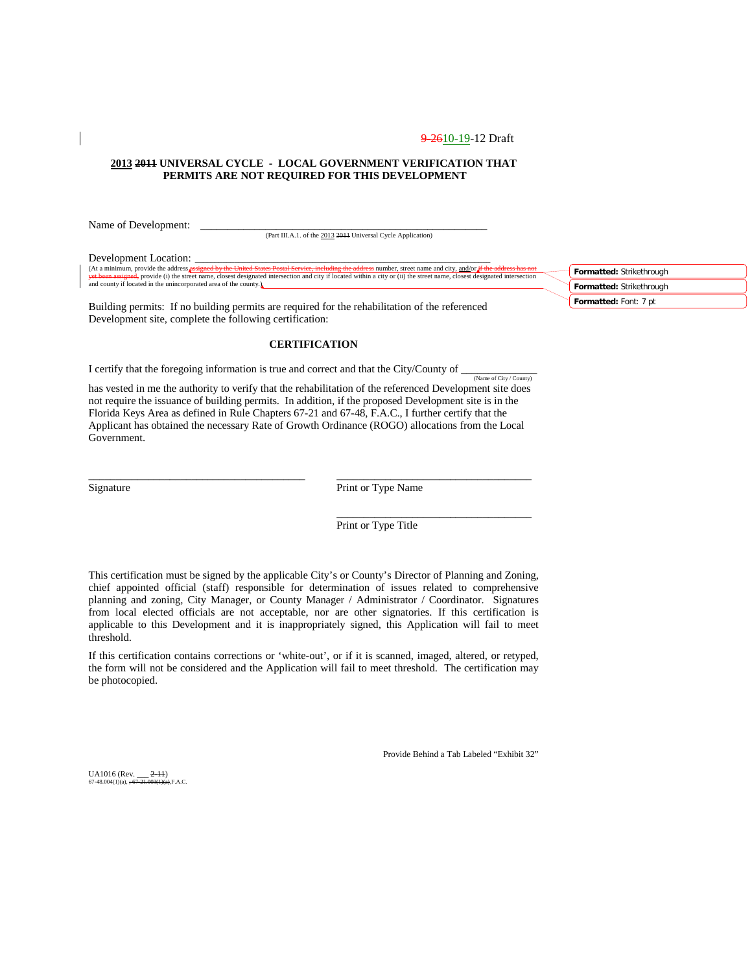#### **2013 2011 UNIVERSAL CYCLE - LOCAL GOVERNMENT VERIFICATION THAT PERMITS ARE NOT REQUIRED FOR THIS DEVELOPMENT**

Name of Development: \_

(Part III.A.1. of the 2013 2011 Universal Cycle Application)

Development Location:

(At a minimum, provide the address <mark>assigned by the United States Postal Service, including the address number</mark>, street name and city, and/or i<del>f the address has not</del><br><del>yet been assigned,</del> provide (i) the street name, close and county if located in the unincorporated area of the county. **Formatted:** Strikethrough **Formatted:** Strikethrough

Building permits: If no building permits are required for the rehabilitation of the referenced Development site, complete the following certification:

### **CERTIFICATION**

I certify that the foregoing information is true and correct and that the City/County of  $\frac{N_{\text{dimer of City}/\text{Country}}}{N_{\text{dimer of City}/\text{Country}}}$ 

has vested in me the authority to verify that the rehabilitation of the referenced Development site does not require the issuance of building permits. In addition, if the proposed Development site is in the Florida Keys Area as defined in Rule Chapters 67-21 and 67-48, F.A.C., I further certify that the Applicant has obtained the necessary Rate of Growth Ordinance (ROGO) allocations from the Local Government.

\_\_\_\_\_\_\_\_\_\_\_\_\_\_\_\_\_\_\_\_\_\_\_\_\_\_\_\_\_\_\_\_\_\_\_\_\_\_\_\_ \_\_\_\_\_\_\_\_\_\_\_\_\_\_\_\_\_\_\_\_\_\_\_\_\_\_\_\_\_\_\_\_\_\_\_\_

| Signature |  |
|-----------|--|
|           |  |

Print or Type Name

Print or Type Title

\_\_\_\_\_\_\_\_\_\_\_\_\_\_\_\_\_\_\_\_\_\_\_\_\_\_\_\_\_\_\_\_\_\_\_\_

This certification must be signed by the applicable City's or County's Director of Planning and Zoning, chief appointed official (staff) responsible for determination of issues related to comprehensive planning and zoning, City Manager, or County Manager / Administrator / Coordinator. Signatures from local elected officials are not acceptable, nor are other signatories. If this certification is applicable to this Development and it is inappropriately signed, this Application will fail to meet threshold.

If this certification contains corrections or 'white-out', or if it is scanned, imaged, altered, or retyped, the form will not be considered and the Application will fail to meet threshold. The certification may be photocopied.

Provide Behind a Tab Labeled "Exhibit 32"

UA1016 (Rev.  $2-11$ )  $67-48.004(1)(a)$ 

**Formatted:** Font: 7 pt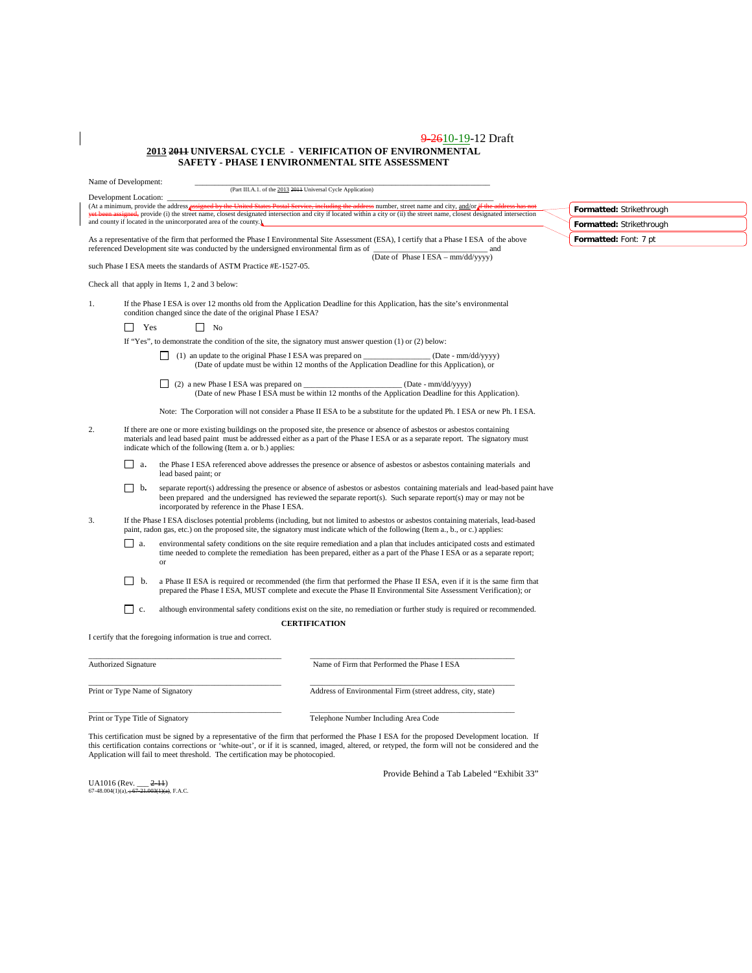#### 9-2610-19-12 Draft **2013 2011 UNIVERSAL CYCLE - VERIFICATION OF ENVIRONMENTAL SAFETY - PHASE I ENVIRONMENTAL SITE ASSESSMENT**

|                                                                | Name of Development:             |                                                                                                                                             | (Part III.A.1. of the 2013 2011 Universal Cycle Application)                                                                                                                                                                                                                                                                                     |                          |
|----------------------------------------------------------------|----------------------------------|---------------------------------------------------------------------------------------------------------------------------------------------|--------------------------------------------------------------------------------------------------------------------------------------------------------------------------------------------------------------------------------------------------------------------------------------------------------------------------------------------------|--------------------------|
|                                                                | Development Location:            |                                                                                                                                             |                                                                                                                                                                                                                                                                                                                                                  |                          |
|                                                                |                                  |                                                                                                                                             | (At a minimum, provide the address assigned by the United States Postal Service, including the address number, street name and city, and/or if the address has not<br>yet been assigned, provide (i) the street name, closest designated intersection and city if located within a city or (ii) the street name, closest designated intersection | Formatted: Strikethrough |
|                                                                |                                  | and county if located in the unincorporated area of the county.)                                                                            |                                                                                                                                                                                                                                                                                                                                                  | Formatted: Strikethrough |
|                                                                |                                  | referenced Development site was conducted by the undersigned environmental firm as of                                                       | As a representative of the firm that performed the Phase I Environmental Site Assessment (ESA), I certify that a Phase I ESA of the above<br>and                                                                                                                                                                                                 | Formatted: Font: 7 pt    |
|                                                                |                                  | such Phase I ESA meets the standards of ASTM Practice #E-1527-05.                                                                           | (Date of Phase I ESA - mm/dd/yyyy)                                                                                                                                                                                                                                                                                                               |                          |
|                                                                |                                  | Check all that apply in Items 1, 2 and 3 below:                                                                                             |                                                                                                                                                                                                                                                                                                                                                  |                          |
| 1.                                                             |                                  | condition changed since the date of the original Phase I ESA?                                                                               | If the Phase I ESA is over 12 months old from the Application Deadline for this Application, has the site's environmental                                                                                                                                                                                                                        |                          |
|                                                                | $\Box$<br>Yes                    | $\Box$ No                                                                                                                                   |                                                                                                                                                                                                                                                                                                                                                  |                          |
|                                                                |                                  |                                                                                                                                             | If "Yes", to demonstrate the condition of the site, the signatory must answer question $(1)$ or $(2)$ below:                                                                                                                                                                                                                                     |                          |
|                                                                |                                  | $\Box$ (1) an update to the original Phase I ESA was prepared on $\Box$                                                                     | (Date - mm/dd/yyyy)<br>(Date of update must be within 12 months of the Application Deadline for this Application), or                                                                                                                                                                                                                            |                          |
|                                                                |                                  | $\Box$ (2) a new Phase I ESA was prepared on $\Box$                                                                                         | (Date - mm/dd/yyyy)<br>(Date of new Phase I ESA must be within 12 months of the Application Deadline for this Application).                                                                                                                                                                                                                      |                          |
|                                                                |                                  |                                                                                                                                             | Note: The Corporation will not consider a Phase II ESA to be a substitute for the updated Ph. I ESA or new Ph. I ESA.                                                                                                                                                                                                                            |                          |
| 2.<br>indicate which of the following (Item a. or b.) applies: |                                  |                                                                                                                                             | If there are one or more existing buildings on the proposed site, the presence or absence of asbestos or asbestos containing<br>materials and lead based paint must be addressed either as a part of the Phase I ESA or as a separate report. The signatory must                                                                                 |                          |
|                                                                | a.<br>$\mathsf{L}$               | the Phase I ESA referenced above addresses the presence or absence of asbestos or asbestos containing materials and<br>lead based paint; or |                                                                                                                                                                                                                                                                                                                                                  |                          |
|                                                                | $\Box$ b.                        | incorporated by reference in the Phase I ESA.                                                                                               | separate report(s) addressing the presence or absence of asbestos or asbestos containing materials and lead-based paint have<br>been prepared and the undersigned has reviewed the separate report(s). Such separate report(s) may or may not be                                                                                                 |                          |
| 3.                                                             |                                  |                                                                                                                                             | If the Phase I ESA discloses potential problems (including, but not limited to asbestos or asbestos containing materials, lead-based<br>paint, radon gas, etc.) on the proposed site, the signatory must indicate which of the following (Item a., b., or c.) applies:                                                                           |                          |
|                                                                | ГI a.                            | or                                                                                                                                          | environmental safety conditions on the site require remediation and a plan that includes anticipated costs and estimated<br>time needed to complete the remediation has been prepared, either as a part of the Phase I ESA or as a separate report;                                                                                              |                          |
|                                                                | b.                               |                                                                                                                                             | a Phase II ESA is required or recommended (the firm that performed the Phase II ESA, even if it is the same firm that<br>prepared the Phase I ESA, MUST complete and execute the Phase II Environmental Site Assessment Verification); or                                                                                                        |                          |
|                                                                | $\vert \vert$ c.                 |                                                                                                                                             | although environmental safety conditions exist on the site, no remediation or further study is required or recommended.                                                                                                                                                                                                                          |                          |
|                                                                |                                  |                                                                                                                                             | <b>CERTIFICATION</b>                                                                                                                                                                                                                                                                                                                             |                          |
|                                                                |                                  | I certify that the foregoing information is true and correct.                                                                               |                                                                                                                                                                                                                                                                                                                                                  |                          |
|                                                                | Authorized Signature             |                                                                                                                                             | Name of Firm that Performed the Phase I ESA                                                                                                                                                                                                                                                                                                      |                          |
|                                                                |                                  |                                                                                                                                             |                                                                                                                                                                                                                                                                                                                                                  |                          |
|                                                                |                                  | Print or Type Name of Signatory                                                                                                             | Address of Environmental Firm (street address, city, state)                                                                                                                                                                                                                                                                                      |                          |
|                                                                | Print or Type Title of Signatory |                                                                                                                                             | Telephone Number Including Area Code                                                                                                                                                                                                                                                                                                             |                          |

This certification must be signed by a representative of the firm that performed the Phase I ESA for the proposed Development location. If<br>this certification contains corrections or 'white-out', or if it is scanned, imaged

UA1016 (Rev. <u>\_\_\_ 2-11)</u><br>67-48.004(1)(a), <del>; 67-21.003(1)(a)</del>, F.A.C.

 $\overline{\phantom{a}}$ 

Provide Behind a Tab Labeled "Exhibit 33"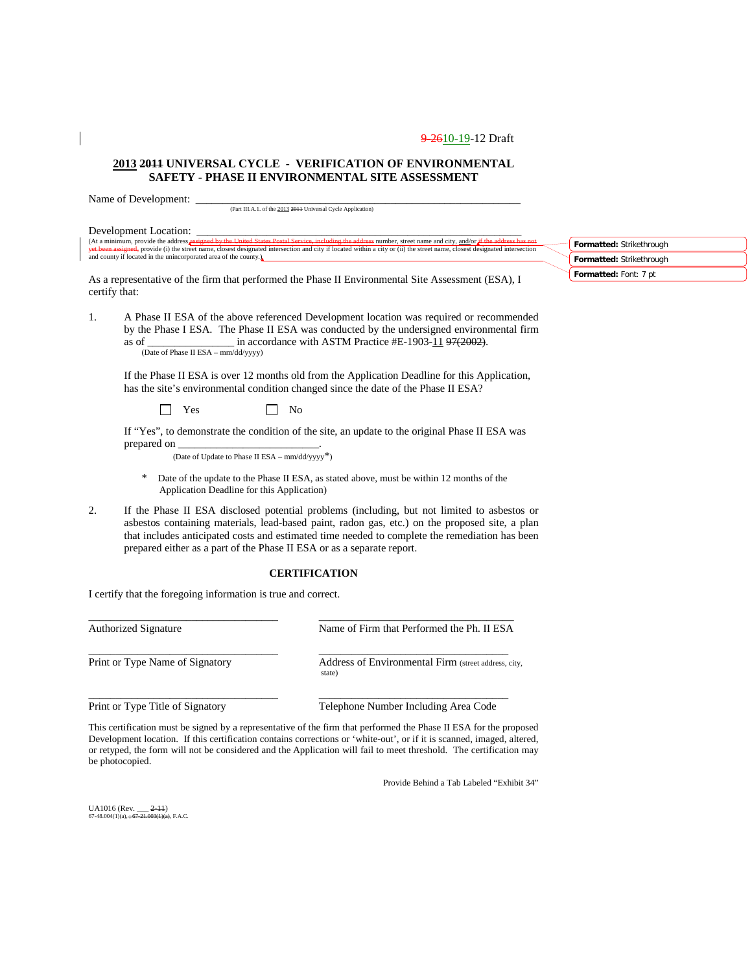### **2013 2011 UNIVERSAL CYCLE - VERIFICATION OF ENVIRONMENTAL SAFETY - PHASE II ENVIRONMENTAL SITE ASSESSMENT**

Name of Development:

(Part III.A.1. of the 2013 2011 Universal Cycle Application)

|               | Development Location:                                                                                                                                                                                                                                                                                                                                                     |                          |
|---------------|---------------------------------------------------------------------------------------------------------------------------------------------------------------------------------------------------------------------------------------------------------------------------------------------------------------------------------------------------------------------------|--------------------------|
|               | (At a minimum, provide the address assigned by the United States Postal Service, including the address number, street name and city, and/or if the address has not                                                                                                                                                                                                        | Formatted: Strikethrough |
|               | vet been assigned, provide (i) the street name, closest designated intersection and city if located within a city or (ii) the street name, closest designated intersection<br>and county if located in the unincorporated area of the county.                                                                                                                             | Formatted: Strikethrough |
| certify that: | As a representative of the firm that performed the Phase II Environmental Site Assessment (ESA), I                                                                                                                                                                                                                                                                        | Formatted: Font: 7 pt    |
| 1.            | A Phase II ESA of the above referenced Development location was required or recommended<br>by the Phase I ESA. The Phase II ESA was conducted by the undersigned environmental firm<br>as of $\frac{1}{2002}$ in accordance with ASTM Practice #E-1903-11 97(2002).<br>(Date of Phase II ESA - mm/dd/yyyy)                                                                |                          |
|               | If the Phase II ESA is over 12 months old from the Application Deadline for this Application,<br>has the site's environmental condition changed since the date of the Phase II ESA?                                                                                                                                                                                       |                          |
|               | Yes<br>No                                                                                                                                                                                                                                                                                                                                                                 |                          |
|               | If "Yes", to demonstrate the condition of the site, an update to the original Phase II ESA was<br>(Date of Update to Phase II ESA - mm/dd/yyyy*)                                                                                                                                                                                                                          |                          |
|               | Date of the update to the Phase II ESA, as stated above, must be within 12 months of the<br>∗<br>Application Deadline for this Application)                                                                                                                                                                                                                               |                          |
| 2.            | If the Phase II ESA disclosed potential problems (including, but not limited to asbestos or<br>asbestos containing materials, lead-based paint, radon gas, etc.) on the proposed site, a plan<br>that includes anticipated costs and estimated time needed to complete the remediation has been<br>prepared either as a part of the Phase II ESA or as a separate report. |                          |

#### **CERTIFICATION**

I certify that the foregoing information is true and correct.

\_\_\_\_\_\_\_\_\_\_\_\_\_\_\_\_\_\_\_\_\_\_\_\_\_\_\_\_\_\_\_\_\_\_\_ \_\_\_\_\_\_\_\_\_\_\_\_\_\_\_\_\_\_\_\_\_\_\_\_\_\_\_\_\_\_\_\_\_\_\_\_ Authorized Signature Name of Firm that Performed the Ph. II ESA \_\_\_\_\_\_\_\_\_\_\_\_\_\_\_\_\_\_\_\_\_\_\_\_\_\_\_\_\_\_\_\_\_\_\_ \_\_\_\_\_\_\_\_\_\_\_\_\_\_\_\_\_\_\_\_\_\_\_\_\_\_\_\_\_\_\_\_\_\_\_ Print or Type Name of Signatory Address of Environmental Firm (street address, city, state) \_\_\_\_\_\_\_\_\_\_\_\_\_\_\_\_\_\_\_\_\_\_\_\_\_\_\_\_\_\_\_\_\_\_\_ \_\_\_\_\_\_\_\_\_\_\_\_\_\_\_\_\_\_\_\_\_\_\_\_\_\_\_\_\_\_\_\_\_\_\_ Print or Type Title of Signatory Telephone Number Including Area Code

This certification must be signed by a representative of the firm that performed the Phase II ESA for the proposed Development location.If this certification contains corrections or 'white-out', or if it is scanned, imaged, altered, or retyped, the form will not be considered and the Application will fail to meet threshold. The certification may be photocopied.

Provide Behind a Tab Labeled "Exhibit 34"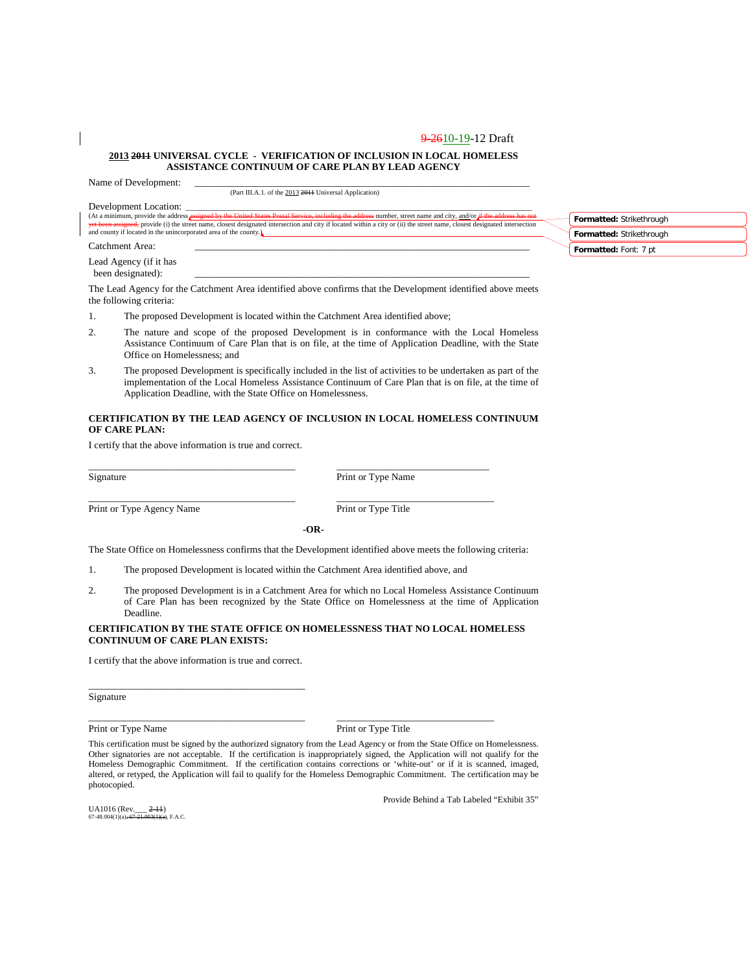#### **2013 2011 UNIVERSAL CYCLE - VERIFICATION OF INCLUSION IN LOCAL HOMELESS ASSISTANCE CONTINUUM OF CARE PLAN BY LEAD AGENCY**

Name of Development:

(Part III.A.1. of the 2013 2011 Universal Application)

| Development Location:                                                                                                                                                                                                                                                                                                                            |                          |
|--------------------------------------------------------------------------------------------------------------------------------------------------------------------------------------------------------------------------------------------------------------------------------------------------------------------------------------------------|--------------------------|
| (At a minimum, provide the address assigned by the United States Postal Service, including the address number, street name and city, and/or if the address has not<br>vet been assigned, provide (i) the street name, closest designated intersection and city if located within a city or (ii) the street name, closest designated intersection | Formatted: Strikethrough |
| and county if located in the unincorporated area of the county.                                                                                                                                                                                                                                                                                  | Formatted: Strikethrough |
| Catchment Area:                                                                                                                                                                                                                                                                                                                                  | Formatted: Font: 7 pt    |
| Lead Agency (if it has<br>been designated):                                                                                                                                                                                                                                                                                                      |                          |
| The Lead Agency for the Catchment Area identified above confirms that the Development identified above meets                                                                                                                                                                                                                                     |                          |

The Lead Agency for the Catchment Area identified above confirms that the Development identified above meets the following criteria:

- 1. The proposed Development is located within the Catchment Area identified above;
- 2. The nature and scope of the proposed Development is in conformance with the Local Homeless Assistance Continuum of Care Plan that is on file, at the time of Application Deadline, with the State Office on Homelessness; and
- 3. The proposed Development is specifically included in the list of activities to be undertaken as part of the implementation of the Local Homeless Assistance Continuum of Care Plan that is on file, at the time of Application Deadline, with the State Office on Homelessness.

#### **CERTIFICATION BY THE LEAD AGENCY OF INCLUSION IN LOCAL HOMELESS CONTINUUM OF CARE PLAN:**

I certify that the above information is true and correct.

Signature Print or Type Name

Print or Type Agency Name Print or Type Title

\_\_\_\_\_\_\_\_\_\_\_\_\_\_\_\_\_\_\_\_\_\_\_\_\_\_\_\_\_\_\_\_\_\_\_\_\_\_\_\_\_\_ \_\_\_\_\_\_\_\_\_\_\_\_\_\_\_\_\_\_\_\_\_\_\_\_\_\_\_\_\_\_\_\_

**-OR-**

The State Office on Homelessness confirms that the Development identified above meets the following criteria:

1. The proposed Development is located within the Catchment Area identified above, and

\_\_\_\_\_\_\_\_\_\_\_\_\_\_\_\_\_\_\_\_\_\_\_\_\_\_\_\_\_\_\_\_\_\_\_\_\_\_\_\_\_\_ \_\_\_\_\_\_\_\_\_\_\_\_\_\_\_\_\_\_\_\_\_\_\_\_\_\_\_\_\_\_\_

2. The proposed Development is in a Catchment Area for which no Local Homeless Assistance Continuum of Care Plan has been recognized by the State Office on Homelessness at the time of Application Deadline.

#### **CERTIFICATION BY THE STATE OFFICE ON HOMELESSNESS THAT NO LOCAL HOMELESS CONTINUUM OF CARE PLAN EXISTS:**

I certify that the above information is true and correct.

\_\_\_\_\_\_\_\_\_\_\_\_\_\_\_\_\_\_\_\_\_\_\_\_\_\_\_\_\_\_\_\_\_\_\_\_\_\_\_\_\_\_\_\_

Signature

Print or Type Name Print or Type Title

This certification must be signed by the authorized signatory from the Lead Agency or from the State Office on Homelessness. Other signatories are not acceptable. If the certification is inappropriately signed, the Application will not qualify for the Homeless Demographic Commitment. If the certification contains corrections or 'white-out' or if it is scanned, imaged, altered, or retyped, the Application will fail to qualify for the Homeless Demographic Commitment. The certification may be photocopied.

\_\_\_\_\_\_\_\_\_\_\_\_\_\_\_\_\_\_\_\_\_\_\_\_\_\_\_\_\_\_\_\_\_\_\_\_\_\_\_\_\_\_\_\_ \_\_\_\_\_\_\_\_\_\_\_\_\_\_\_\_\_\_\_\_\_\_\_\_\_\_\_\_\_\_\_\_

UA1016 (Rev.<sub>\_\_\_</sub> <del>2-11)</del><br>67-48.004(1)(a)<del>; 67-21.003(1)(a)</del>, F.A.C.

Provide Behind a Tab Labeled "Exhibit 35"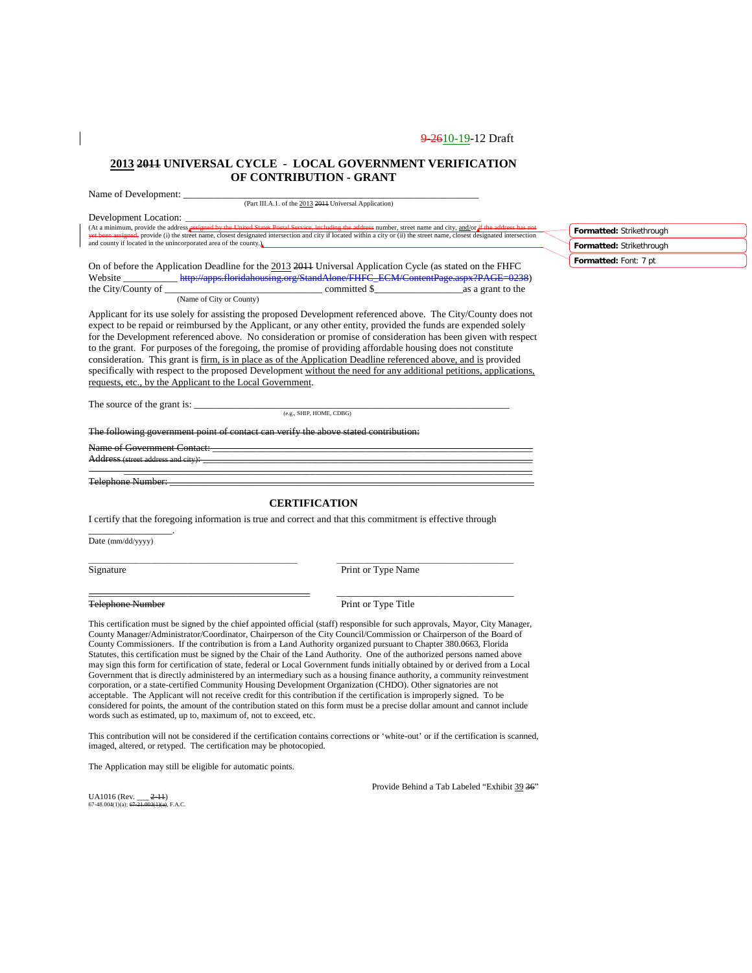**Formatted:** Strikethrough **Formatted:** Strikethrough **Formatted:** Font: 7 pt

### **2013 2011 UNIVERSAL CYCLE - LOCAL GOVERNMENT VERIFICATION OF CONTRIBUTION - GRANT**

| Development Location:<br>Development Location:<br>(At a minimum, provide the address assigned by the United States Postal Service, including the address number, street name and city, and/or if the address has not<br>yet been assigned, provide (i) the street name, closest designated intersection and city if located within a city or (ii) the street name, closest designated intersection<br>and county if located in the unincorporated area of the county.)                                                                                                                                                                                                                                                                                                    |                      |  |  |  |  |  |  |
|---------------------------------------------------------------------------------------------------------------------------------------------------------------------------------------------------------------------------------------------------------------------------------------------------------------------------------------------------------------------------------------------------------------------------------------------------------------------------------------------------------------------------------------------------------------------------------------------------------------------------------------------------------------------------------------------------------------------------------------------------------------------------|----------------------|--|--|--|--|--|--|
| On of before the Application Deadline for the 2013 2011 Universal Application Cycle (as stated on the FHFC                                                                                                                                                                                                                                                                                                                                                                                                                                                                                                                                                                                                                                                                |                      |  |  |  |  |  |  |
| Applicant for its use solely for assisting the proposed Development referenced above. The City/County does not<br>expect to be repaid or reimbursed by the Applicant, or any other entity, provided the funds are expended solely<br>for the Development referenced above. No consideration or promise of consideration has been given with respect<br>to the grant. For purposes of the foregoing, the promise of providing affordable housing does not constitute<br>consideration. This grant is firm, is in place as of the Application Deadline referenced above, and is provided<br>specifically with respect to the proposed Development without the need for any additional petitions, applications,<br>requests, etc., by the Applicant to the Local Government. |                      |  |  |  |  |  |  |
| The source of the grant is: $\frac{(\text{e.g., SHIP, HOME, CDBG})}{(\text{e.g., SHIP, HOME, CDBG})}$                                                                                                                                                                                                                                                                                                                                                                                                                                                                                                                                                                                                                                                                     |                      |  |  |  |  |  |  |
| The following government point of contact can verify the above stated contribution:                                                                                                                                                                                                                                                                                                                                                                                                                                                                                                                                                                                                                                                                                       |                      |  |  |  |  |  |  |
|                                                                                                                                                                                                                                                                                                                                                                                                                                                                                                                                                                                                                                                                                                                                                                           |                      |  |  |  |  |  |  |
|                                                                                                                                                                                                                                                                                                                                                                                                                                                                                                                                                                                                                                                                                                                                                                           |                      |  |  |  |  |  |  |
|                                                                                                                                                                                                                                                                                                                                                                                                                                                                                                                                                                                                                                                                                                                                                                           | <b>CERTIFICATION</b> |  |  |  |  |  |  |
| I certify that the foregoing information is true and correct and that this commitment is effective through                                                                                                                                                                                                                                                                                                                                                                                                                                                                                                                                                                                                                                                                |                      |  |  |  |  |  |  |
| Date (mm/dd/yyyy)                                                                                                                                                                                                                                                                                                                                                                                                                                                                                                                                                                                                                                                                                                                                                         |                      |  |  |  |  |  |  |
| Signature                                                                                                                                                                                                                                                                                                                                                                                                                                                                                                                                                                                                                                                                                                                                                                 | Print or Type Name   |  |  |  |  |  |  |

Telephone Number Print or Type Title

This certification must be signed by the chief appointed official (staff) responsible for such approvals, Mayor, City Manager, County Manager/Administrator/Coordinator, Chairperson of the City Council/Commission or Chairperson of the Board of County Commissioners. If the contribution is from a Land Authority organized pursuant to Chapter 380.0663, Florida Statutes, this certification must be signed by the Chair of the Land Authority. One of the authorized persons named above may sign this form for certification of state, federal or Local Government funds initially obtained by or derived from a Local Government that is directly administered by an intermediary such as a housing finance authority, a community reinvestment corporation, or a state-certified Community Housing Development Organization (CHDO). Other signatories are not acceptable. The Applicant will not receive credit for this contribution if the certification is improperly signed. To be considered for points, the amount of the contribution stated on this form must be a precise dollar amount and cannot include words such as estimated, up to, maximum of, not to exceed, etc.

\_\_\_\_\_\_\_\_\_\_\_\_\_\_\_\_\_\_\_\_\_\_\_\_\_\_\_\_\_\_\_\_\_\_\_\_\_\_\_\_\_\_\_\_\_ \_\_\_\_\_\_\_\_\_\_\_\_\_\_\_\_\_\_\_\_\_\_\_\_\_\_\_\_\_\_\_\_\_\_\_\_

This contribution will not be considered if the certification contains corrections or 'white-out' or if the certification is scanned, imaged, altered, or retyped. The certification may be photocopied.

The Application may still be eligible for automatic points.

UA1016 (Rev. \_\_\_ <del>2-11</del>)<br>67-48.004(1)(a); <del>67-21.003(1)(a),</del> F.A.C.

Provide Behind a Tab Labeled "Exhibit 39 36"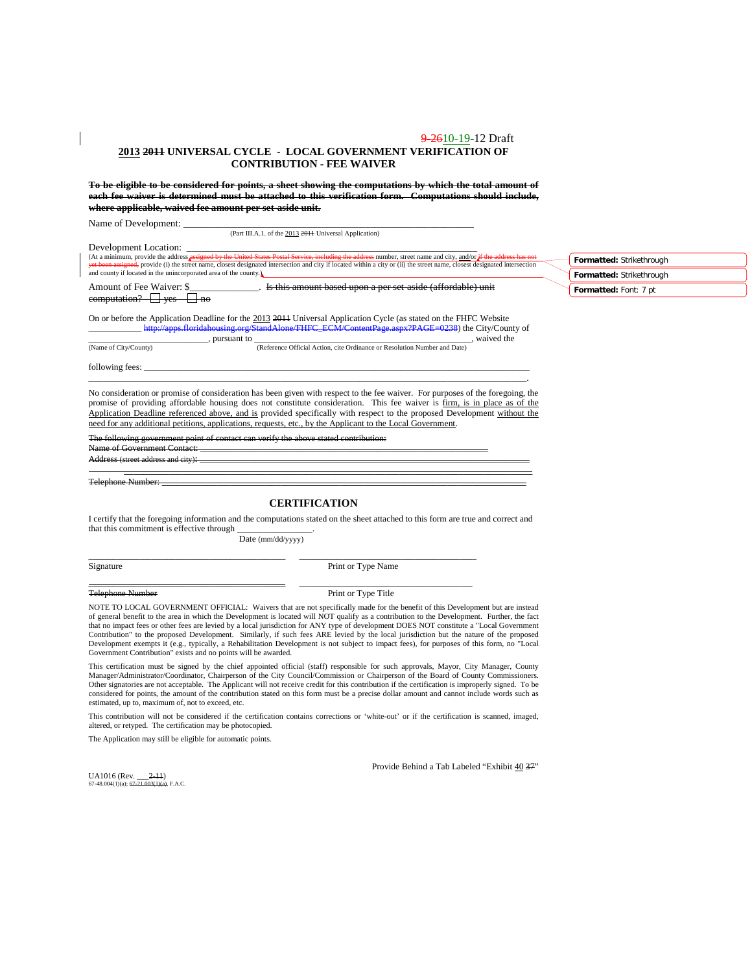#### 9-2610-19-12 Draft **2013 2011 UNIVERSAL CYCLE - LOCAL GOVERNMENT VERIFICATION OF CONTRIBUTION - FEE WAIVER**

**To be eligible to be considered for points, a sheet showing the computations by which the total amount of each fee waiver is determined must be attached to this verification form. Computations should include, where applicable, waived fee amount per set-aside unit.**

Name of Development:

|                                                                                            | (Part III.A.1. of the 2013 2014 Universal Application)                                                                                                                                                                                                                                                                                                                                 |                                                      |  |
|--------------------------------------------------------------------------------------------|----------------------------------------------------------------------------------------------------------------------------------------------------------------------------------------------------------------------------------------------------------------------------------------------------------------------------------------------------------------------------------------|------------------------------------------------------|--|
| Development Location:<br>and county if located in the unincorporated area of the county.   | (At a minimum, provide the address <i>assigned by the United States Postal Service</i> , including the address number, street name and city, and/or if the address has not<br><del>yet been assigned,</del> provide (i) the street name, closest designated intersection and city if located within a city or (ii) the street name, closest designated intersection                    | Formatted: Strikethrough<br>Formatted: Strikethrough |  |
| $\overline{\mathsf{computation}}$ ? $\overline{\phantom{}}$ yes $\overline{\phantom{}}$ no |                                                                                                                                                                                                                                                                                                                                                                                        | Formatted: Font: 7 pt                                |  |
|                                                                                            | On or before the Application Deadline for the 2013 2011 Universal Application Cycle (as stated on the FHFC Website<br>http://apps.floridahousing.org/StandAlone/FHFC_ECM/ContentPage.aspx?PAGE=0238) the City/County of<br>pursuant to<br>waived the                                                                                                                                   |                                                      |  |
| (Name of City/County)                                                                      | (Reference Official Action, cite Ordinance or Resolution Number and Date)                                                                                                                                                                                                                                                                                                              |                                                      |  |
| following fees:                                                                            |                                                                                                                                                                                                                                                                                                                                                                                        |                                                      |  |
|                                                                                            | No consideration or promise of consideration has been given with respect to the fee waiver. For purposes of the foregoing, the<br>promise of providing affordable housing does not constitute consideration. This fee waiver is firm, is in place as of the<br>Application Deadline referenced above and is provided specifically with respect to the proposed Development without the |                                                      |  |

Application Deadline referenced above, and is provided specifically with respect to the proposed Development without the need for any additional petitions, applications, requests, etc., by the Applicant to the Local Government.

The following government point of contact can verify the above stated contribution: Novernment Contact:

Address (street address and city): \_\_\_\_\_\_\_\_\_\_\_\_\_\_\_\_\_\_\_\_\_\_\_\_\_\_\_\_\_\_\_\_\_\_\_\_\_\_\_\_\_\_\_\_\_\_\_\_\_\_\_\_\_\_\_\_\_\_\_\_\_\_\_\_\_\_\_

\_\_\_\_\_\_\_\_\_\_\_\_\_\_\_\_\_\_\_\_\_\_\_\_\_\_\_\_\_\_\_\_\_\_\_\_\_\_\_\_\_\_\_\_\_\_\_\_\_\_\_\_\_\_\_\_\_\_\_\_\_\_\_\_\_\_\_\_\_\_\_\_\_\_\_\_\_\_\_\_\_\_\_ Telephone Number: \_\_\_\_\_\_\_\_\_\_\_\_\_\_\_\_\_\_\_\_\_\_\_\_\_\_\_\_\_\_\_\_\_\_\_\_\_\_\_\_\_\_\_\_\_\_\_\_\_\_\_\_\_\_\_\_\_\_\_\_\_\_\_\_\_\_\_\_\_\_\_\_\_\_

### **CERTIFICATION**

I certify that the foregoing information and the computations stated on the sheet attached to this form are true and correct and that this commitment is effective through

Date (mm/dd/yyyy)

\_\_\_\_\_\_\_\_\_\_\_\_\_\_\_\_\_\_\_\_\_\_\_\_\_\_\_\_\_\_\_\_\_\_\_\_\_\_\_\_\_\_\_\_\_\_\_\_\_\_ \_\_\_\_\_\_\_\_\_\_\_\_\_\_\_\_\_\_\_\_\_\_\_\_\_\_\_\_\_\_\_\_\_\_\_\_\_\_\_\_\_\_\_\_\_

Signature Print or Type Name

Telephone Number Print or Type Title

\_\_\_\_\_\_\_\_\_\_\_\_\_\_\_\_\_\_\_\_\_\_\_\_\_\_\_\_\_\_\_\_\_\_\_\_\_\_\_\_\_\_\_\_\_\_\_\_\_\_ \_\_\_\_\_\_\_\_\_\_\_\_\_\_\_\_\_\_\_\_\_\_\_\_\_\_\_\_\_\_\_\_\_\_\_\_\_\_\_\_\_\_\_\_

NOTE TO LOCAL GOVERNMENT OFFICIAL: Waivers that are not specifically made for the benefit of this Development but are instead of general benefit to the area in which the Development is located will NOT qualify as a contribution to the Development. Further, the fact that no impact fees or other fees are levied by a local jurisdiction for ANY type of development DOES NOT constitute a "Local Government Contribution" to the proposed Development. Similarly, if such fees ARE levied by the local jurisdiction but the nature of the proposed<br>Development exempts it (e.g., typically, a Rehabilitation Development is not subject to Government Contribution" exists and no points will be awarded.

This certification must be signed by the chief appointed official (staff) responsible for such approvals, Mayor, City Manager, County Manager/Administrator/Coordinator, Chairperson of the City Council/Commission or Chairperson of the Board of County Commissioners. Other signatories are not acceptable. The Applicant will not receive credit for this contribution if the certification is improperly signed. To be considered for points, the amount of the contribution stated on this form must be a precise dollar amount and cannot include words such as estimated, up to, maximum of, not to exceed, etc.

This contribution will not be considered if the certification contains corrections or 'white-out' or if the certification is scanned, imaged, altered, or retyped. The certification may be photocopied.

The Application may still be eligible for automatic points.

Provide Behind a Tab Labeled "Exhibit 40 37"

UA1016 (Rev.  $-2-11$ )<br>67-48.004(1)(a): 67-21.003(1)(a): F.A.C  $67-48.004(1)(a)$ ; 67-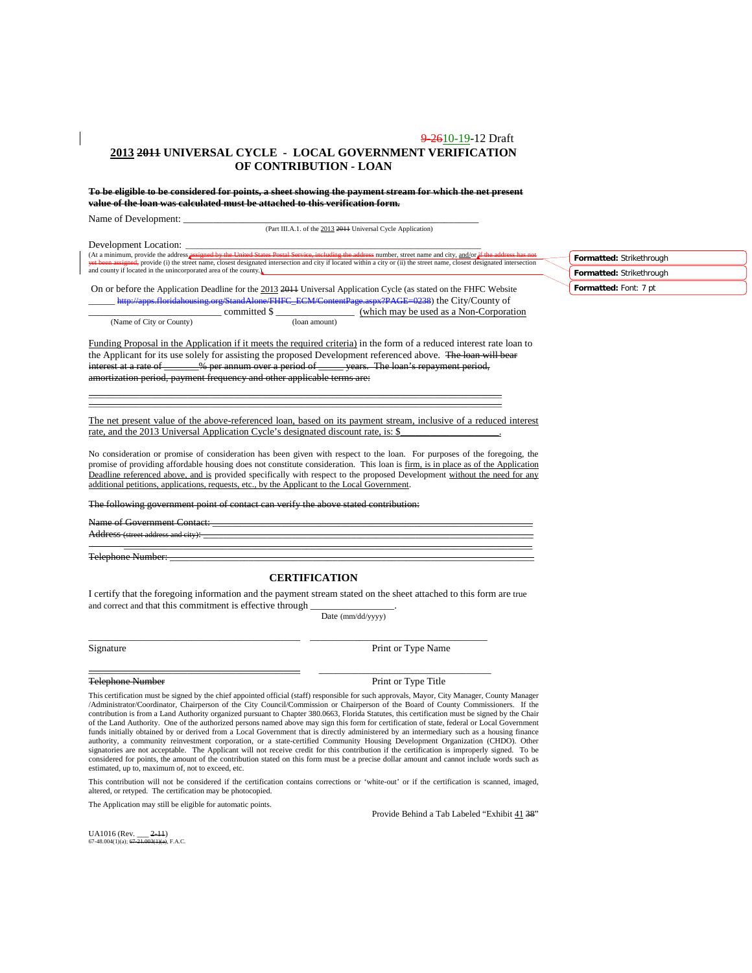### 9-2610-19-12 Draft **2013 2011 UNIVERSAL CYCLE - LOCAL GOVERNMENT VERIFICATION OF CONTRIBUTION - LOAN**

**To be eligible to be considered for points, a sheet showing the payment stream for which the net present value of the loan was calculated must be attached to this verification form.** 

Name of Development:

(Part III.A.1. of the 2013 2011 Universal Cycle Application)

Development Location:

(At a minimum, provide the address <mark>assigned by the United States Postal Service, including the address</mark> number, street name and city, <u>and/or if the address has not</u><br><del>yet been assigned,</del> provide (i) the street name, close and county if located in the unincorporated area of the county.)

On or before the Application Deadline for the 2013 2011 Universal Application Cycle (as stated on the FHFC Website \_\_\_\_\_\_ [http://apps.floridahousing.org/StandAlone/FHFC\\_ECM/ContentPage.aspx?PAGE=0238\)](http://apps.floridahousing.org/StandAlone/FHFC_ECM/ContentPage.aspx?PAGE=0238) the City/County of  $\frac{\text{(which may be used as a Non-Corporation)}}{\text{(loan amount)}}$ (Name of City or County)

Funding Proposal in the Application if it meets the required criteria) in the form of a reduced interest rate loan to the Applicant for its use solely for assisting the proposed Development referenced above. The loan will bear<br>interest at a rate of \_\_\_\_\_% per annum over a period of \_\_\_\_\_ years. The loan's repayment period, interest at a rate of \_\_\_\_\_\_\_% per annum over a period of \_\_\_\_\_ years. The loan's repayment period, amortization period, payment frequency and other applicable terms are:

\_\_\_\_\_\_\_\_\_\_\_\_\_\_\_\_\_\_\_\_\_\_\_\_\_\_\_\_\_\_\_\_\_\_\_\_\_\_\_\_\_\_\_\_\_\_\_\_\_\_\_\_\_\_\_\_\_\_\_\_\_\_\_\_\_\_\_\_\_\_\_\_\_\_\_\_\_\_\_\_\_\_\_\_\_\_\_\_\_\_\_\_\_\_\_\_\_\_\_\_\_\_\_\_\_ \_\_\_\_\_\_\_\_\_\_\_\_\_\_\_\_\_\_\_\_\_\_\_\_\_\_\_\_\_\_\_\_\_\_\_\_\_\_\_\_\_\_\_\_\_\_\_\_\_\_\_\_\_\_\_\_\_\_\_\_\_\_\_\_\_\_\_\_\_\_\_\_\_\_\_\_\_\_\_\_\_\_\_\_\_\_\_\_\_\_\_\_\_\_\_\_\_\_\_\_\_\_\_\_\_

The net present value of the above-referenced loan, based on its payment stream, inclusive of a reduced interest rate, and the 2013 Universal Application Cycle's designated discount rate, is: \$

No consideration or promise of consideration has been given with respect to the loan. For purposes of the foregoing, the promise of providing affordable housing does not constitute consideration. This loan is firm, is in place as of the Application Deadline referenced above, and is provided specifically with respect to the proposed Development without the need for any additional petitions, applications, requests, etc., by the Applicant to the Local Government.

The following government point of contact can verify the above stated

Name of Government

Address (street address and city): \_\_\_\_\_\_\_\_\_\_\_\_\_\_\_\_\_\_\_\_\_\_\_\_\_\_\_\_\_\_\_\_\_\_\_\_\_\_\_\_\_\_\_\_\_\_\_\_\_\_\_\_\_\_\_\_\_\_\_\_\_\_\_\_\_\_\_ \_\_\_\_\_\_\_\_\_\_\_\_\_\_\_\_\_\_\_\_\_\_\_\_\_\_\_\_\_\_\_\_\_\_\_\_\_\_\_\_\_\_\_\_\_\_\_\_\_\_\_\_\_\_\_\_\_\_\_\_\_\_\_\_\_\_\_\_\_\_\_\_\_\_\_\_\_\_\_\_\_\_\_

Telephone Number: \_\_\_\_\_\_\_\_\_\_\_\_\_\_\_\_\_\_\_\_\_\_\_\_\_\_\_\_\_\_\_\_\_\_\_\_\_\_\_\_\_\_\_\_\_\_\_\_\_\_\_\_\_\_\_\_\_\_\_\_\_\_\_\_\_\_\_\_\_\_\_\_\_\_

#### **CERTIFICATION**

I certify that the foregoing information and the payment stream stated on the sheet attached to this form are true and correct and that this commitment is effective through

\_\_\_\_\_\_\_\_\_\_\_\_\_\_\_\_\_\_\_\_\_\_\_\_\_\_\_\_\_\_\_\_\_\_\_\_\_\_\_\_\_\_\_ \_\_\_\_\_\_\_\_\_\_\_\_\_\_\_\_\_\_\_\_\_\_\_\_\_\_\_\_\_\_\_\_\_\_\_\_

Date (mm/dd/yyyy)

Signature Print or Type Name

\_\_\_\_\_\_\_\_\_\_\_\_\_\_\_\_\_\_\_\_\_\_\_\_\_\_\_\_\_\_\_\_\_\_\_\_\_\_\_\_\_\_\_ \_\_\_\_\_\_\_\_\_\_\_\_\_\_\_\_\_\_\_\_\_\_\_\_\_\_\_\_\_\_\_\_\_\_\_ Telephone Number Print or Type Title

This certification must be signed by the chief appointed official (staff) responsible for such approvals, Mayor, City Manager, County Manager /Administrator/Coordinator, Chairperson of the City Council/Commission or Chairperson of the Board of County Commissioners. If the contribution is from a Land Authority organized pursuant to Chapter 380.0663, Florida Statutes, this certification must be signed by the Chair of the Land Authority. One of the authorized persons named above may sign this form for certification of state, federal or Local Government funds initially obtained by or derived from a Local Government that is directly administered by an intermediary such as a housing finance authority, a community reinvestment corporation, or a state-certified Community Housing Development Organization (CHDO). Other signatories are not acceptable. The Applicant will not receive credit for this contribution if the certification is improperly signed. To be considered for points, the amount of the contribution stated on this form must be a precise dollar amount and cannot include words such as estimated, up to, maximum of, not to exceed, etc.

This contribution will not be considered if the certification contains corrections or 'white-out' or if the certification is scanned, imaged, altered, or retyped. The certification may be photocopied.

The Application may still be eligible for automatic points.

Provide Behind a Tab Labeled "Exhibit 41 38"

UA1016 (Rev.  $\underline{\hspace{1cm}} 2-11$ )<br>67-48.004(1)(a): 67-21.003(1)(a). F.A.C.  $67-48.004(1)(a)$ ;  $67-2$ 

**Formatted:** Strikethrough **Formatted:** Strikethrough **Formatted:** Font: 7 pt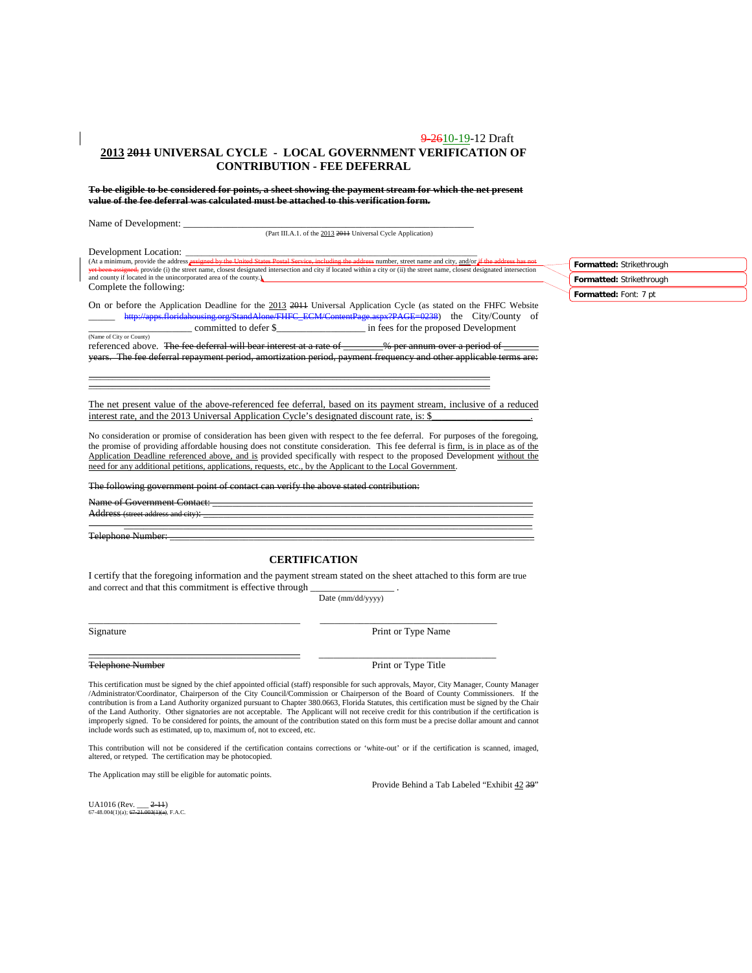#### 9-2610-19-12 Draft **2013 2011 UNIVERSAL CYCLE - LOCAL GOVERNMENT VERIFICATION OF CONTRIBUTION - FEE DEFERRAL**

**To be eligible to be considered for points, a sheet showing the payment stream for which the net present value of the fee deferral was calculated must be attached to this verification form.**

Name of Development:

(Part III.A.1. of the 2013 2011 Universal Cycle Application)

Development Location:<br>(At a minimum, provide the address assigned by the United States Postal Service, including the address number, street name and city, <u>and/or if the address has not</u><br>yet been assigned, provide (i) the and county if located in the unincorporated area of the county.) Complete the following:

On or before the Application Deadline for the 2013 2011 Universal Application Cycle (as stated on the FHFC Website [http://apps.floridahousing.org/StandAlone/FHFC\\_ECM/ContentPage.aspx?PAGE=0238\)](http://apps.floridahousing.org/StandAlone/FHFC_ECM/ContentPage.aspx?PAGE=0238) the City/County of \_\_\_\_\_\_\_\_\_\_\_\_\_\_\_\_\_\_\_\_\_ committed to defer \$\_\_\_\_\_\_\_\_\_\_\_\_\_\_\_\_\_\_ in fees for the proposed Development (Name of City or County)

referenced above. The fee deferral will bear interest at a rate of \_\_\_\_\_\_\_% per annum over a period of years. The fee deferral repayment period, amortization period, payment frequency and other applicable terms are:

The net present value of the above-referenced fee deferral, based on its payment stream, inclusive of a reduced interest rate, and the 2013 Universal Application Cycle's designated discount rate, is: \$

\_\_\_\_\_\_\_\_\_\_\_\_\_\_\_\_\_\_\_\_\_\_\_\_\_\_\_\_\_\_\_\_\_\_\_\_\_\_\_\_\_\_\_\_\_\_\_\_\_\_\_\_\_\_\_\_\_\_\_\_\_\_\_\_\_\_\_\_\_\_\_\_\_\_\_\_\_\_\_\_\_\_\_\_\_\_\_\_\_\_\_\_\_\_\_\_\_\_\_\_\_\_ \_\_\_\_\_\_\_\_\_\_\_\_\_\_\_\_\_\_\_\_\_\_\_\_\_\_\_\_\_\_\_\_\_\_\_\_\_\_\_\_\_\_\_\_\_\_\_\_\_\_\_\_\_\_\_\_\_\_\_\_\_\_\_\_\_\_\_\_\_\_\_\_\_\_\_\_\_\_\_\_\_\_\_\_\_\_\_\_\_\_\_\_\_\_\_\_\_\_\_\_\_\_

No consideration or promise of consideration has been given with respect to the fee deferral. For purposes of the foregoing, the promise of providing affordable housing does not constitute consideration. This fee deferral is firm, is in place as of the Application Deadline referenced above, and is provided specifically with respect to the proposed Development without the need for any additional petitions, applications, requests, etc., by the Applicant to the Local Government.

The following government point of contact can verify the above stated contribution:

Name of Government Contact:

Address (street addre

Telephone Number:

#### **CERTIFICATION**

\_\_\_\_\_\_\_\_\_\_\_\_\_\_\_\_\_\_\_\_\_\_\_\_\_\_\_\_\_\_\_\_\_\_\_\_\_\_\_\_\_\_\_\_\_\_\_\_\_\_\_\_\_\_\_\_\_\_\_\_\_\_\_\_\_\_\_\_\_\_\_\_\_\_\_\_\_\_\_\_\_\_\_

I certify that the foregoing information and the payment stream stated on the sheet attached to this form are true and correct and that this commitment is effective through

\_\_\_\_\_\_\_\_\_\_\_\_\_\_\_\_\_\_\_\_\_\_\_\_\_\_\_\_\_\_\_\_\_\_\_\_\_\_\_\_\_\_\_ \_\_\_\_\_\_\_\_\_\_\_\_\_\_\_\_\_\_\_\_\_\_\_\_\_\_\_\_\_\_\_\_\_\_\_\_

Date (mm/dd/yyyy)

Signature Print or Type Name Print or Type Name

\_\_\_\_\_\_\_\_\_\_\_\_\_\_\_\_\_\_\_\_\_\_\_\_\_\_\_\_\_\_\_\_\_\_\_\_\_\_\_\_\_\_\_ \_\_\_\_\_\_\_\_\_\_\_\_\_\_\_\_\_\_\_\_\_\_\_\_\_\_\_\_\_\_\_\_\_\_\_\_ Telephone Number **Print of Type Title** 

This certification must be signed by the chief appointed official (staff) responsible for such approvals, Mayor, City Manager, County Manager /Administrator/Coordinator, Chairperson of the City Council/Commission or Chairperson of the Board of County Commissioners. If the contribution is from a Land Authority organized pursuant to Chapter 380.0663, Florida Statutes, this certification must be signed by the Chair of the Land Authority. Other signatories are not acceptable. The Applicant will not receive credit for this contribution if the certification is improperly signed. To be considered for points, the amount of the contribution stated on this form must be a precise dollar amount and cannot include words such as estimated, up to, maximum of, not to exceed, etc.

This contribution will not be considered if the certification contains corrections or 'white-out' or if the certification is scanned, imaged, altered, or retyped. The certification may be photocopied.

The Application may still be eligible for automatic points.

Provide Behind a Tab Labeled "Exhibit 42 39"

UA1016 (Rev. \_ 67-48.004(1)(a);  $67-21.003(1)(a)$ , F.A.C. **Formatted:** Strikethrough **Formatted:** Strikethrough **Formatted:** Font: 7 pt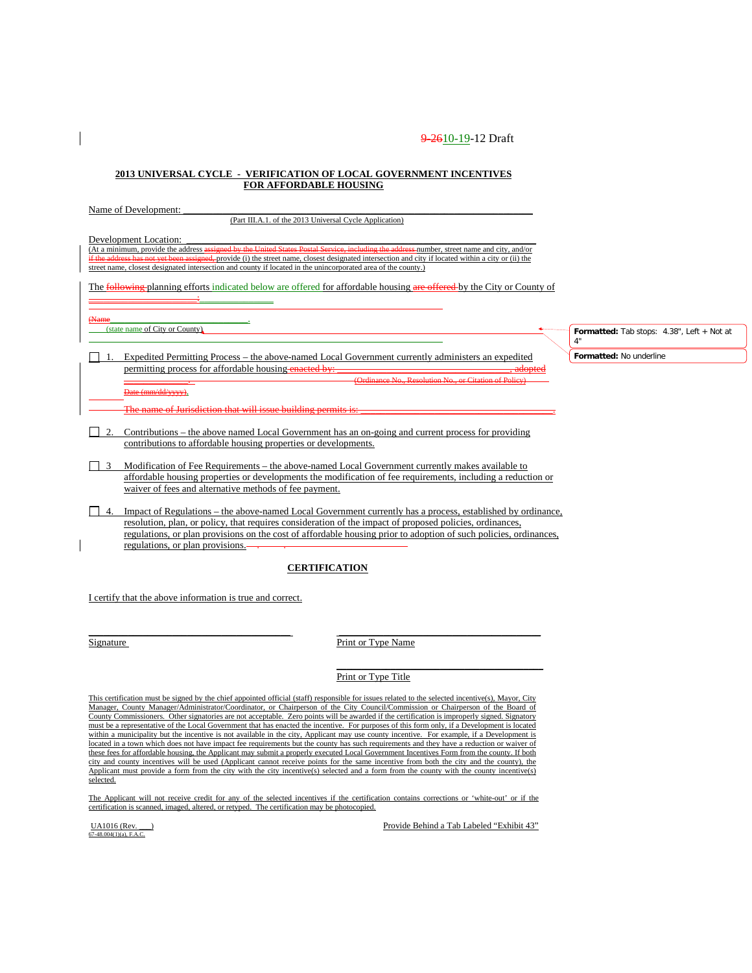#### **2013 UNIVERSAL CYCLE - VERIFICATION OF LOCAL GOVERNMENT INCENTIVES FOR AFFORDABLE HOUSING**

Name of Development:

(Part III.A.1. of the 2013 Universal Cycle Application)

Development Location:<br>(At a minimum, provide the address assigned by the United States Postal Service, including the address-number, street name and city, and/or (At a minimum, provide the address as if the address has not it is the street name, closest designated intersection and city if located within a city or (ii) the street name, closest designated intersection and county if located in the unincorporated area of the county.)

The following planning efforts indicated below are offered for affordable housing are offered by the City or County of \_\_\_\_\_\_\_\_\_\_\_\_\_\_\_\_\_\_\_\_\_\_:\_\_\_\_\_\_\_\_\_\_\_\_\_\_\_

(Name<br>(state name of City or County)

1. Expedited Permitting Process – the above-named Local Government currently administers an expedited permitting process for affordable housing enacted by \_\_\_\_\_\_\_\_\_\_\_\_\_. (Ordinance No., Resolution No., or Citation of Policy)

Date (mm/dd/yyyy).

name of Jurisdiction that will issue buildin

- 2. Contributions the above named Local Government has an on-going and current process for providing contributions to affordable housing properties or developments.
- 3 Modification of Fee Requirements the above-named Local Government currently makes available to affordable housing properties or developments the modification of fee requirements, including a reduction or waiver of fees and alternative methods of fee payment.
- 4. Impact of Regulations the above-named Local Government currently has a process, established by ordinance, resolution, plan, or policy, that requires consideration of the impact of proposed policies, ordinances, regulations, or plan provisions on the cost of affordable housing prior to adoption of such policies, ordinances, regulations, or plan provisions. . .

### **CERTIFICATION**

I certify that the above information is true and correct.

Signature Print or Type Name

#### Print or Type Title

This certification must be signed by the chief appointed official (staff) responsible for issues related to the selected incentive(s), Mayor, City Manager, County Manager/Administrator/Coordinator, or Chairperson of the City Council/Commission or Chairperson of the Board of County Commissioners. Other signatories are not acceptable. Zero points will be awarded if the certification is improperly signed. Signatory must be a representative of the Local Government that has enacted the incentive. For purposes of this form only, if a Development is located within a municipality but the incentive is not available in the city, Applicant may use county incentive. For example, if a Development is located in a town which does not have impact fee requirements but the county has such requirements and they have a reduction or waiver of these fees for affordable housing, the Applicant may submit a properly executed Local Government Incentives Form from the county. If both city and county incentives will be used (Applicant cannot receive points for the same incentive from both the city and the county), the Applicant must provide a form from the city with the city incentive(s) selected and a form from the county with the county incentive(s) selected.

\_\_\_\_\_\_\_\_\_\_\_\_\_\_\_\_\_\_\_\_\_\_\_\_\_\_\_\_\_\_\_\_\_\_\_\_\_\_\_\_\_ \_\_\_\_\_\_\_\_\_\_\_\_\_\_\_\_\_\_\_\_\_\_\_\_\_\_\_\_\_\_\_\_\_\_\_\_\_\_\_\_\_

The Applicant will not receive credit for any of the selected incentives if the certification contains corrections or 'white-out' or if the certification is scanned, imaged, altered, or retyped. The certification may be photocopied.

UA1016 (Rev.<br>67-48.004(1)(a), F.A.C.

Provide Behind a Tab Labeled "Exhibit 43"

\_\_\_\_\_\_\_\_\_\_\_\_\_\_\_\_\_\_\_\_\_\_\_\_\_\_\_\_\_\_\_\_\_\_\_\_\_\_\_\_\_\_

Formatted: Tab stops: 4.38", Left + Not at 4"

**Formatted:** No underline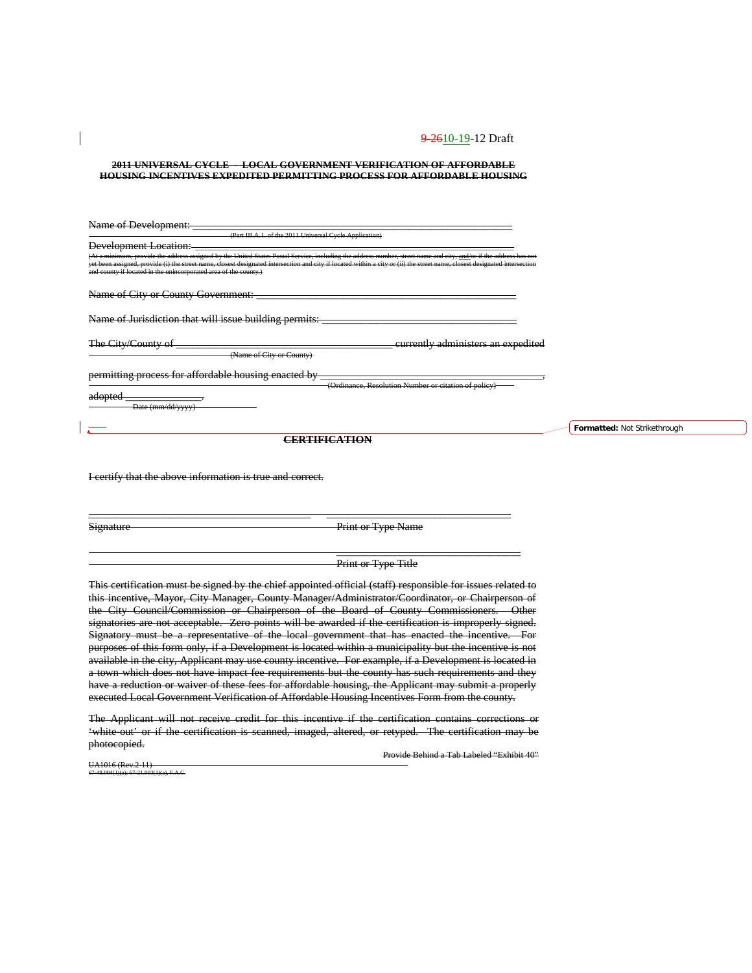**2011 UNIVERSAL CYCLE - LOCAL GOVERNMENT VERIFICATION OF AFFORDABLE HOUSING INCENTIVES EXPEDITED PERMITTING PROCESS FOR AFFORDABLE HOUSING**

| Name of Development:                                                                                                                                                                                                                                                                                                                                                                                                 |                                                      |
|----------------------------------------------------------------------------------------------------------------------------------------------------------------------------------------------------------------------------------------------------------------------------------------------------------------------------------------------------------------------------------------------------------------------|------------------------------------------------------|
| (Part III.A.1. of the 2011 Universal Cycle Application)                                                                                                                                                                                                                                                                                                                                                              |                                                      |
| <b>Development Location:</b>                                                                                                                                                                                                                                                                                                                                                                                         |                                                      |
| (At a minimum, provide the address assigned by the United States Postal Service, including the address number, street name and city, and/or if the address has not<br>yet been assigned, provide (i) the street name, closest designated intersection and city if located within a city or (ii) the street name, closest designated intersection<br>and county if located in the unincorporated area of the county.) |                                                      |
| Name of City or County Government:                                                                                                                                                                                                                                                                                                                                                                                   |                                                      |
| Name of Jurisdiction that will issue building permits:                                                                                                                                                                                                                                                                                                                                                               |                                                      |
| The City/County of                                                                                                                                                                                                                                                                                                                                                                                                   | <del>currently administers an expedited</del>        |
| (Name of City or County)                                                                                                                                                                                                                                                                                                                                                                                             |                                                      |
| permitting process for affordable housing enacted by                                                                                                                                                                                                                                                                                                                                                                 | (Ordinance, Resolution Number or citation of policy) |
| dontod<br>auvouu<br>Date (mm/dd/yyyy)                                                                                                                                                                                                                                                                                                                                                                                |                                                      |

**CERTIFICATION**

I certify that the above information is true and correct.

Signature Print or Type Name

**Print or Type Title** 

 $\overline{\phantom{a}}$  , and the contribution of the contribution of  $\overline{\phantom{a}}$ 

This certification must be signed by the chief appointed official (staff) responsible for issues related to this incentive, Mayor, City Manager, County Manager/Administrator/Coordinator, or Chairperson of the City Council/Commission or Chairperson of the Board of County Commissioners. Other signatories are not acceptable. Zero points will be awarded if the certification is improperly signed. Signatory must be a representative of the local government that has enacted the incentive. For purposes of this form only, if a Development is located within a municipality but the incentive is not available in the city, Applicant may use county incentive. For example, if a Development is located in a town which does not have impact fee requirements but the county has such requirements and they have a reduction or waiver of these fees for affordable housing, the Applicant may submit a properly executed Local Government Verification of Affordable Housing Incentives Form from the county.

\_\_\_\_\_\_\_\_\_\_\_\_\_\_\_\_\_\_\_\_\_\_\_\_\_\_\_\_\_\_\_\_\_\_\_\_\_\_\_\_\_ \_\_\_\_\_\_\_\_\_\_\_\_\_\_\_\_\_\_\_\_\_\_\_\_\_\_\_\_\_\_\_\_\_\_

The Applicant will not receive credit for this incentive if the certification contains corrections or 'white-out' or if the certification is scanned, imaged, altered, or retyped. The certification may be photocopied.

Provide Behind a Tab Labeled "Exhibit 40"

A1016 (Rev.2-11) 67-48.004(1)(a); 67-21.003(1)(a), F.A.C. **Formatted:** Not Strikethrough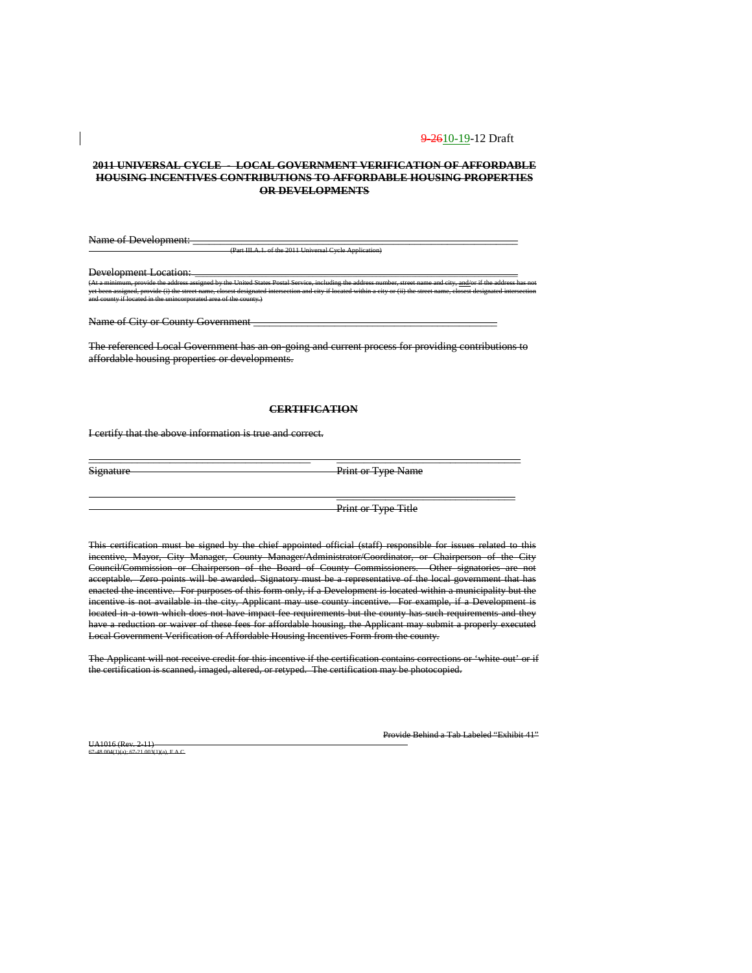#### **2011 UNIVERSAL CYCLE - LOCAL GOVERNMENT VERIFICATION OF AFFORDABLE HOUSING INCENTIVES CONTRIBUTIONS TO AFFORDABLE HOUSING PROPERTIES OR DEVELOPMENTS**

Name of Development: (Part III.A.1. of the 2011 Universal Cycle Application)

Development Location:

(At a minimum, provide the address assigned by the United States Postal Service, including the address number, street name and city, <u>and/</u>or if the address has not yet been assigned, provide (i) the street name, closest designated intersection and city if located within a city or (ii) the street name, closest designated intersection and county if located in the unincorporated area of the county.)

Name of City or County Government

The referenced Local Government has an on-going and current process for providing contributions to affordable housing properties or developments.

#### **CERTIFICATION**

\_\_\_\_\_\_\_\_\_\_\_\_\_\_\_\_\_\_\_\_\_\_\_\_\_\_\_\_\_\_\_\_\_\_\_\_\_\_\_\_\_ \_\_\_\_\_\_\_\_\_\_\_\_\_\_\_\_\_\_\_\_\_\_\_\_\_\_\_\_\_\_\_\_\_\_

I certify that the above information is true and correct.

Signature Print or Type Name

 $\overline{\phantom{a}}$  , and the contribution of the contribution of  $\overline{\phantom{a}}$ 

Print or Type Title

This certification must be signed by the chief appointed official (staff) responsible for issues related to this incentive, Mayor, City Manager, County Manager/Administrator/Coordinator, or Chairperson of the City Council/Commission or Chairperson of the Board of County Commissioners. Other signatories are not acceptable. Zero points will be awarded. Signatory must be a representative of the local government that has enacted the incentive. For purposes of this form only, if a Development is located within a municipality but the incentive is not available in the city, Applicant may use county incentive. For example, if a Development is located in a town which does not have impact fee requirements but the county has such requirements and they have a reduction or waiver of these fees for affordable housing, the Applicant may submit a properly executed Local Government Verification of Affordable Housing Incentives Form from the county.

The Applicant will not receive credit for this incentive if the certification contains corrections or 'white-out' or if the certification is scanned, imaged, altered, or retyped. The certification may be photocopied.

UA1016 (Rev. 2-11)  $0.54C$  Provide Behind a Tab Labeled "Exhibit 41"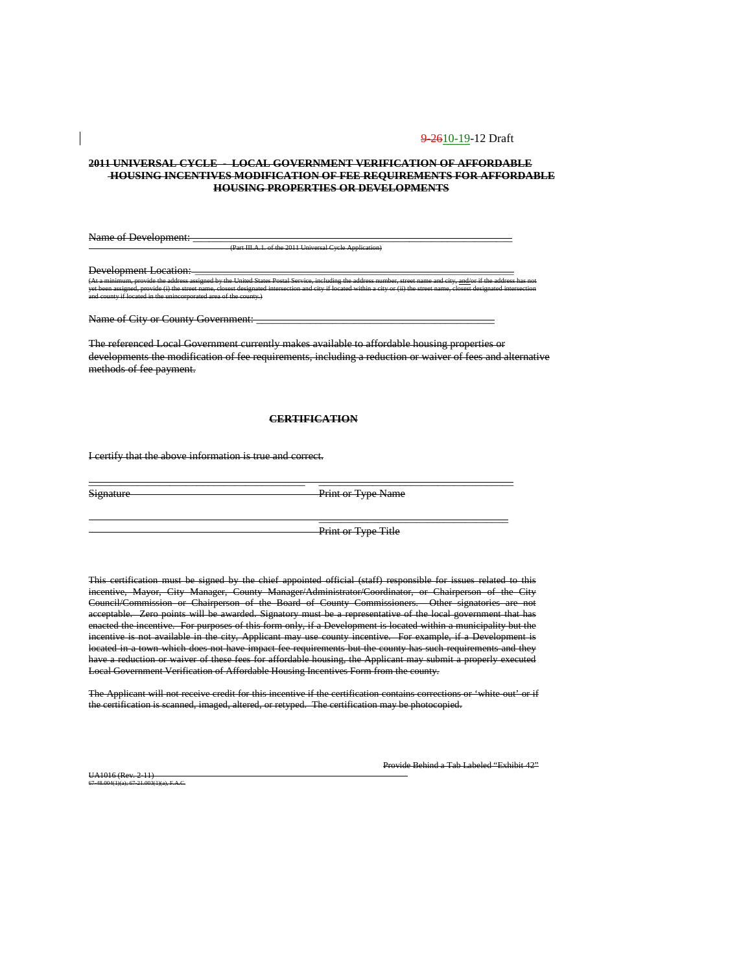#### **2011 UNIVERSAL CYCLE - LOCAL GOVERNMENT VERIFICATION OF AFFORDABLE HOUSING INCENTIVES MODIFICATION OF FEE REQUIREMENTS FOR AFFORDABLE HOUSING PROPERTIES OR DEVELOPMENTS**

Name of Development:

(Part III.A.1. of the 2011 Universal Cycle Application)

Development Location:<br>  $(At a minimum\_provides the address.)$ (At a minimum, provide the address assigned by the United States Postal Service, including the address number, street name and city, <u>and/</u>or if the address has not yet been assigned, provide (i) the street name, closest designated intersection and city if located within a city or (ii) the street name, closest designated intersection and county if located in the unincorporated area of the county.)

Name of City or County Government: \_\_\_\_\_\_\_\_\_\_\_\_\_\_\_\_\_\_\_\_\_\_\_\_\_\_\_\_\_\_\_\_\_\_\_\_\_\_\_\_\_\_\_\_

The referenced Local Government currently makes available to affordable housing properties or developments the modification of fee requirements, including a reduction or waiver of fees and alternative methods of fee payment.

### **CERTIFICATION**

\_\_\_\_\_\_\_\_\_\_\_\_\_\_\_\_\_\_\_\_\_\_\_\_\_\_\_\_\_\_\_\_\_\_\_\_\_\_\_\_ \_\_\_\_\_\_\_\_\_\_\_\_\_\_\_\_\_\_\_\_\_\_\_\_\_\_\_\_\_\_\_\_\_\_\_\_

I certify that the above information is true and correct.

Signature Print or Type Name

Print or Type Title

 $\overline{\phantom{a}}$  , and the contract of the contract of the contract of the contract of the contract of the contract of the contract of the contract of the contract of the contract of the contract of the contract of the contrac

This certification must be signed by the chief appointed official (staff) responsible for issues related to this incentive, Mayor, City Manager, County Manager/Administrator/Coordinator, or Chairperson of the City Council/Commission or Chairperson of the Board of County Commissioners. Other signatories are not acceptable. Zero points will be awarded. Signatory must be a representative of the local government that has enacted the incentive. For purposes of this form only, if a Development is located within a municipality but the incentive is not available in the city, Applicant may use county incentive. For example, if a Development is located in a town which does not have impact fee requirements but the county has such requirements and they have a reduction or waiver of these fees for affordable housing, the Applicant may submit a properly executed Local Government Verification of Affordable Housing Incentives Form from the county.

The Applicant will not receive credit for this incentive if the certification contains corrections or 'white-out' or if the certification is scanned, imaged, altered, or retyped. The certification may be photocopied.

Provide Behind a Tab Labeled "Exhibit 42"

UA1016 (Rev. 2-11) 67-48.004(1)(a); 67-21.003(1)(a), F.A.C.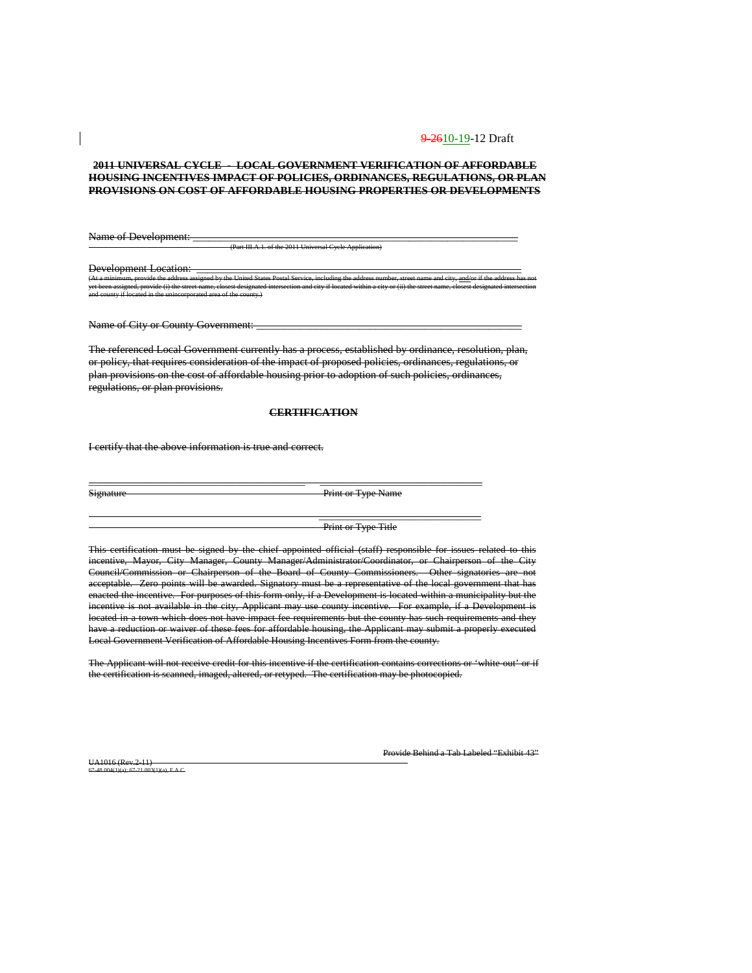#### **2011 UNIVERSAL CYCLE - LOCAL GOVERNMENT VERIFICATION OF AFFORDABLE HOUSING INCENTIVES IMPACT OF POLICIES, ORDINANCES, REGULATIONS, OR PLAN PROVISIONS ON COST OF AFFORDABLE HOUSING PROPERTIES OR DEVELOPMENTS**

Name of Development: (Part III.A.1. of the 2011 Universal Cycle Application)

Development Location: \_\_\_\_\_\_\_\_\_\_\_\_\_\_\_\_\_\_\_\_\_\_\_\_\_\_\_\_\_\_\_\_\_\_\_\_\_\_\_\_\_\_\_\_\_\_\_\_\_\_\_\_\_\_\_\_\_\_\_\_ (At a minimum, provide the address assigned by the United States Postal Service, including the address number, street name and city, <u>and/</u>or if the address has not yet been assigned, provide (i) the street name, closest designated intersection and city if located within a city or (ii) the street name, closest designated intersection and county if located in the unincorporated area of the county.)

Name of City or County Government: \_\_\_\_\_\_\_\_\_\_\_\_\_\_\_\_\_\_\_\_\_\_\_\_\_\_\_\_\_\_\_\_\_\_\_\_\_\_\_\_\_\_\_\_\_\_\_\_\_

The referenced Local Government currently has a process, established by ordinance, resolution, plan, or policy, that requires consideration of the impact of proposed policies, ordinances, regulations, or plan provisions on the cost of affordable housing prior to adoption of such policies, ordinances, regulations, or plan provisions.

#### **CERTIFICATION**

\_\_\_\_\_\_\_\_\_\_\_\_\_\_\_\_\_\_\_\_\_\_\_\_\_\_\_\_\_\_\_\_\_\_\_\_\_\_\_\_\_\_\_\_ \_\_\_\_\_\_\_\_\_\_\_\_\_\_\_\_\_\_\_\_\_\_\_\_\_\_\_\_\_\_\_\_\_

I certify that the above information is true and correct.

Signature Print or Type Name

Print or Type Title

 $\overline{\phantom{a}}$  ,  $\overline{\phantom{a}}$  ,  $\overline{\phantom{a}}$  ,  $\overline{\phantom{a}}$  ,  $\overline{\phantom{a}}$  ,  $\overline{\phantom{a}}$  ,  $\overline{\phantom{a}}$  ,  $\overline{\phantom{a}}$  ,  $\overline{\phantom{a}}$  ,  $\overline{\phantom{a}}$  ,  $\overline{\phantom{a}}$  ,  $\overline{\phantom{a}}$  ,  $\overline{\phantom{a}}$  ,  $\overline{\phantom{a}}$  ,  $\overline{\phantom{a}}$  ,  $\overline{\phantom{a}}$ 

This certification must be signed by the chief appointed official (staff) responsible for issues related to this incentive, Mayor, City Manager, County Manager/Administrator/Coordinator, or Chairperson of the City Council/Commission or Chairperson of the Board of County Commissioners. Other signatories are not acceptable. Zero points will be awarded. Signatory must be a representative of the local government that has enacted the incentive. For purposes of this form only, if a Development is located within a municipality but the incentive is not available in the city, Applicant may use county incentive. For example, if a Development is located in a town which does not have impact fee requirements but the county has such requirements and they have a reduction or waiver of these fees for affordable housing, the Applicant may submit a properly executed Local Government Verification of Affordable Housing Incentives Form from the county.

The Applicant will not receive credit for this incentive if the certification contains corrections or 'white-out' or if the certification is scanned, imaged, altered, or retyped. The certification may be photocopied.

UA1016 (Rev.2-11)  $6.5AC$  Provide Behind a Tab Labeled "Exhibit 43"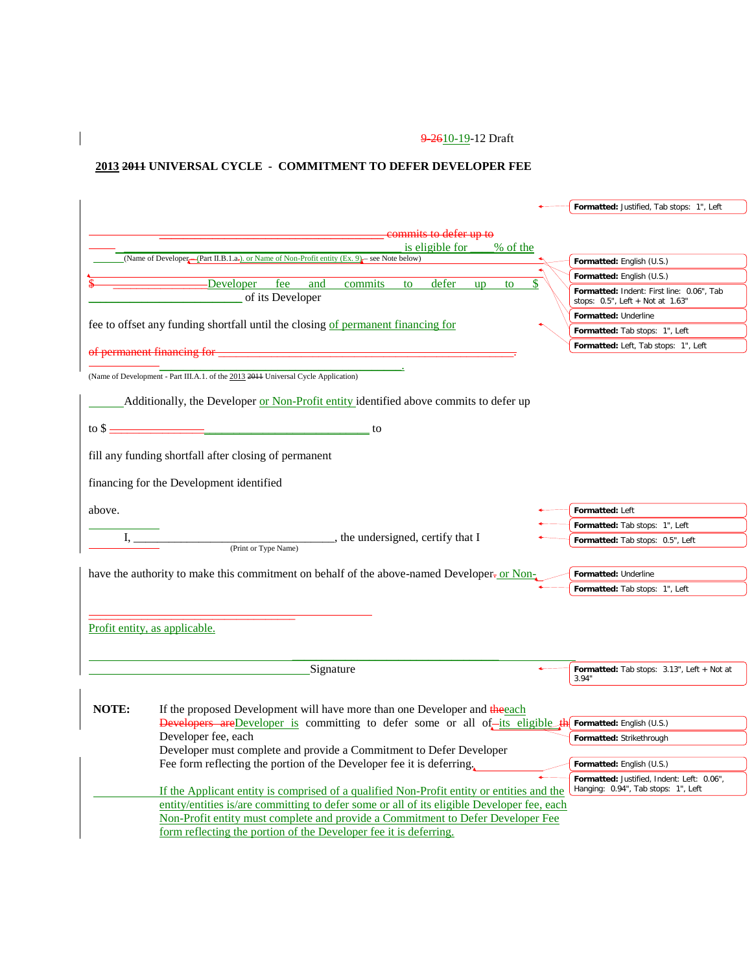## **2013 2011 UNIVERSAL CYCLE - COMMITMENT TO DEFER DEVELOPER FEE**

 $\overline{\phantom{a}}$ 

|        |                                                                                                                                                                                                                                                                                                    | Formatted: Justified, Tab stops: 1", Left                                         |
|--------|----------------------------------------------------------------------------------------------------------------------------------------------------------------------------------------------------------------------------------------------------------------------------------------------------|-----------------------------------------------------------------------------------|
|        |                                                                                                                                                                                                                                                                                                    |                                                                                   |
|        | commits to defer up to                                                                                                                                                                                                                                                                             |                                                                                   |
|        | is eligible for<br>% of the<br>(Name of Developer-(Part II.B.1.a-). or Name of Non-Profit entity (Ex. 9) - see Note below)                                                                                                                                                                         | Formatted: English (U.S.)                                                         |
|        |                                                                                                                                                                                                                                                                                                    | Formatted: English (U.S.)                                                         |
|        | -Developer<br>fee<br>and<br>commits<br>defer<br>to<br><b>up</b><br>to                                                                                                                                                                                                                              |                                                                                   |
|        | of its Developer                                                                                                                                                                                                                                                                                   | Formatted: Indent: First line: 0.06", Tab<br>stops: 0.5", Left + Not at 1.63"     |
|        | fee to offset any funding shortfall until the closing of permanent financing for                                                                                                                                                                                                                   | Formatted: Underline                                                              |
|        |                                                                                                                                                                                                                                                                                                    | Formatted: Tab stops: 1", Left                                                    |
|        | of permanent financing for -                                                                                                                                                                                                                                                                       | Formatted: Left, Tab stops: 1", Left                                              |
|        |                                                                                                                                                                                                                                                                                                    |                                                                                   |
|        | (Name of Development - Part III.A.1. of the 2013 2011 Universal Cycle Application)                                                                                                                                                                                                                 |                                                                                   |
|        | Additionally, the Developer or Non-Profit entity identified above commits to defer up                                                                                                                                                                                                              |                                                                                   |
|        | $\frac{1}{2}$ to \$ $\frac{1}{2}$ to $\frac{1}{2}$ to $\frac{1}{2}$ to $\frac{1}{2}$ to $\frac{1}{2}$ to $\frac{1}{2}$ to $\frac{1}{2}$ to $\frac{1}{2}$ to $\frac{1}{2}$ to $\frac{1}{2}$ to $\frac{1}{2}$ to $\frac{1}{2}$ to $\frac{1}{2}$ to $\frac{1}{2}$ to $\frac{1}{2}$ to $\frac{1}{2}$ t |                                                                                   |
|        |                                                                                                                                                                                                                                                                                                    |                                                                                   |
|        | fill any funding shortfall after closing of permanent                                                                                                                                                                                                                                              |                                                                                   |
|        | financing for the Development identified                                                                                                                                                                                                                                                           |                                                                                   |
| above. |                                                                                                                                                                                                                                                                                                    | Formatted: Left                                                                   |
|        |                                                                                                                                                                                                                                                                                                    | Formatted: Tab stops: 1", Left                                                    |
|        | $P$ (Print or Type Name) $\qquad \qquad$ , the undersigned, certify that I<br>$I, \underline{\hspace{2cm}}$                                                                                                                                                                                        | Formatted: Tab stops: 0.5", Left                                                  |
|        |                                                                                                                                                                                                                                                                                                    |                                                                                   |
|        | have the authority to make this commitment on behalf of the above-named Developer-or Non-                                                                                                                                                                                                          | Formatted: Underline                                                              |
|        |                                                                                                                                                                                                                                                                                                    | Formatted: Tab stops: 1", Left                                                    |
|        |                                                                                                                                                                                                                                                                                                    |                                                                                   |
|        |                                                                                                                                                                                                                                                                                                    |                                                                                   |
|        | Profit entity, as applicable.                                                                                                                                                                                                                                                                      |                                                                                   |
|        |                                                                                                                                                                                                                                                                                                    |                                                                                   |
|        | Signature                                                                                                                                                                                                                                                                                          | Formatted: Tab stops: 3.13", Left + Not at                                        |
|        |                                                                                                                                                                                                                                                                                                    | 3.94"                                                                             |
|        |                                                                                                                                                                                                                                                                                                    |                                                                                   |
| NOTE:  | If the proposed Development will have more than one Developer and the each                                                                                                                                                                                                                         |                                                                                   |
|        | Developers are Developer is committing to defer some or all of-its eligible the                                                                                                                                                                                                                    | Formatted: English (U.S.)                                                         |
|        | Developer fee, each                                                                                                                                                                                                                                                                                | Formatted: Strikethrough                                                          |
|        | Developer must complete and provide a Commitment to Defer Developer                                                                                                                                                                                                                                |                                                                                   |
|        | Fee form reflecting the portion of the Developer fee it is deferring.                                                                                                                                                                                                                              | Formatted: English (U.S.)                                                         |
|        | If the Applicant entity is comprised of a qualified Non-Profit entity or entities and the                                                                                                                                                                                                          | Formatted: Justified, Indent: Left: 0.06",<br>Hanging: 0.94", Tab stops: 1", Left |
|        | entity/entities is/are committing to defer some or all of its eligible Developer fee, each                                                                                                                                                                                                         |                                                                                   |
|        | Non-Profit entity must complete and provide a Commitment to Defer Developer Fee                                                                                                                                                                                                                    |                                                                                   |
|        | form reflecting the portion of the Developer fee it is deferring.                                                                                                                                                                                                                                  |                                                                                   |
|        |                                                                                                                                                                                                                                                                                                    |                                                                                   |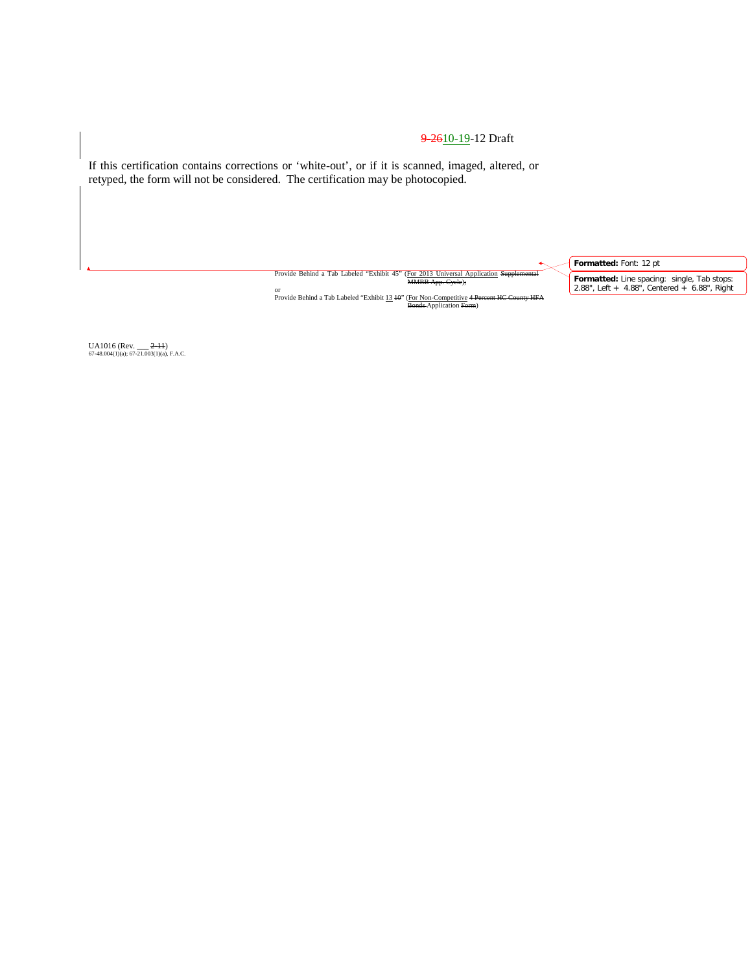If this certification contains corrections or 'white-out', or if it is scanned, imaged, altered, or retyped, the form will not be considered. The certification may be photocopied.

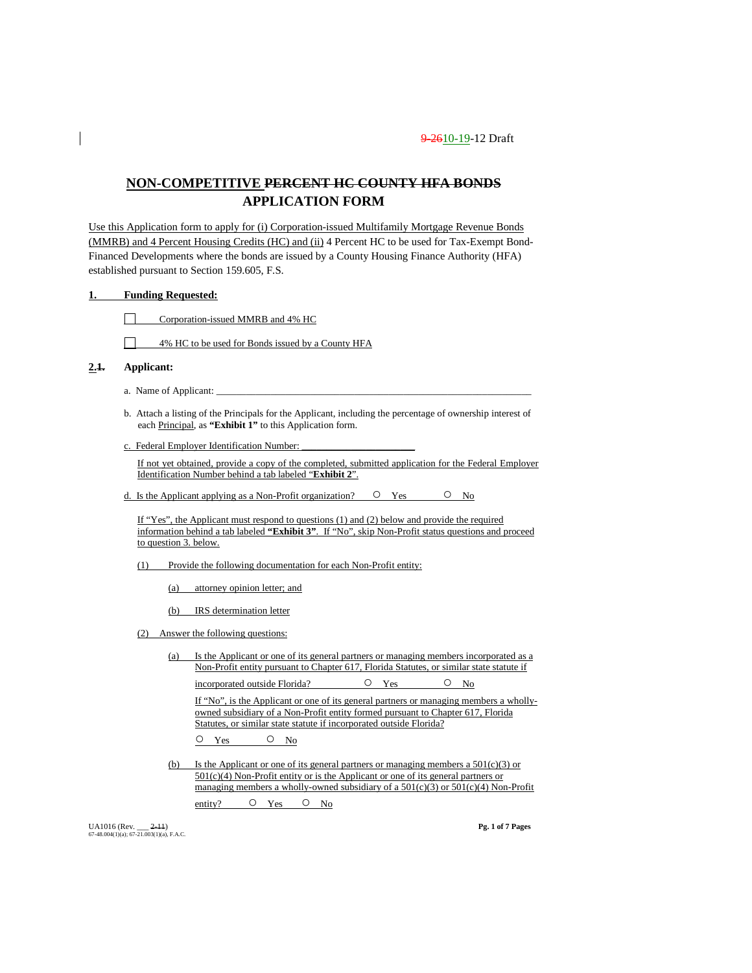### **NON-COMPETITIVE PERCENT HC COUNTY HFA BONDS APPLICATION FORM**

Use this Application form to apply for (i) Corporation-issued Multifamily Mortgage Revenue Bonds (MMRB) and 4 Percent Housing Credits (HC) and (ii) 4 Percent HC to be used for Tax-Exempt Bond-Financed Developments where the bonds are issued by a County Housing Finance Authority (HFA) established pursuant to Section 159.605, F.S.

#### **1. Funding Requested:**

П Corporation-issued MMRB and 4% HC

 $\Box$ 4% HC to be used for Bonds issued by a County HFA

#### **2.1. Applicant:**

- a. Name of Applicant:
- b. Attach a listing of the Principals for the Applicant, including the percentage of ownership interest of each Principal, as **"Exhibit 1"** to this Application form.
- c. Federal Employer Identification Number:

If not yet obtained, provide a copy of the completed, submitted application for the Federal Employer Identification Number behind a tab labeled "**Exhibit 2**".

d. Is the Applicant applying as a Non-Profit organization?  $\circ$  Yes  $\circ$  No

If "Yes", the Applicant must respond to questions (1) and (2) below and provide the required information behind a tab labeled **"Exhibit 3"**. If "No", skip Non-Profit status questions and proceed to question 3. below.

(1) Provide the following documentation for each Non-Profit entity:

(a) attorney opinion letter; and

(b) IRS determination letter

(2) Answer the following questions:

(a) Is the Applicant or one of its general partners or managing members incorporated as a Non-Profit entity pursuant to Chapter 617, Florida Statutes, or similar state statute if incorporated outside Florida? <br>  $O$  Yes  $O$  No

If "No", is the Applicant or one of its general partners or managing members a whollyowned subsidiary of a Non-Profit entity formed pursuant to Chapter 617, Florida Statutes, or similar state statute if incorporated outside Florida?

O Yes O No

(b) Is the Applicant or one of its general partners or managing members a 501(c)(3) or 501(c)(4) Non-Profit entity or is the Applicant or one of its general partners or managing members a wholly-owned subsidiary of a  $501(c)(3)$  or  $501(c)(4)$  Non-Profit

entity? O Yes O No

UA1016 (Rev. \_\_\_ 2-11) **Pg. 1 of 7 Pages** 67-48.004(1)(a); 67-21.003(1)(a), F.A.C.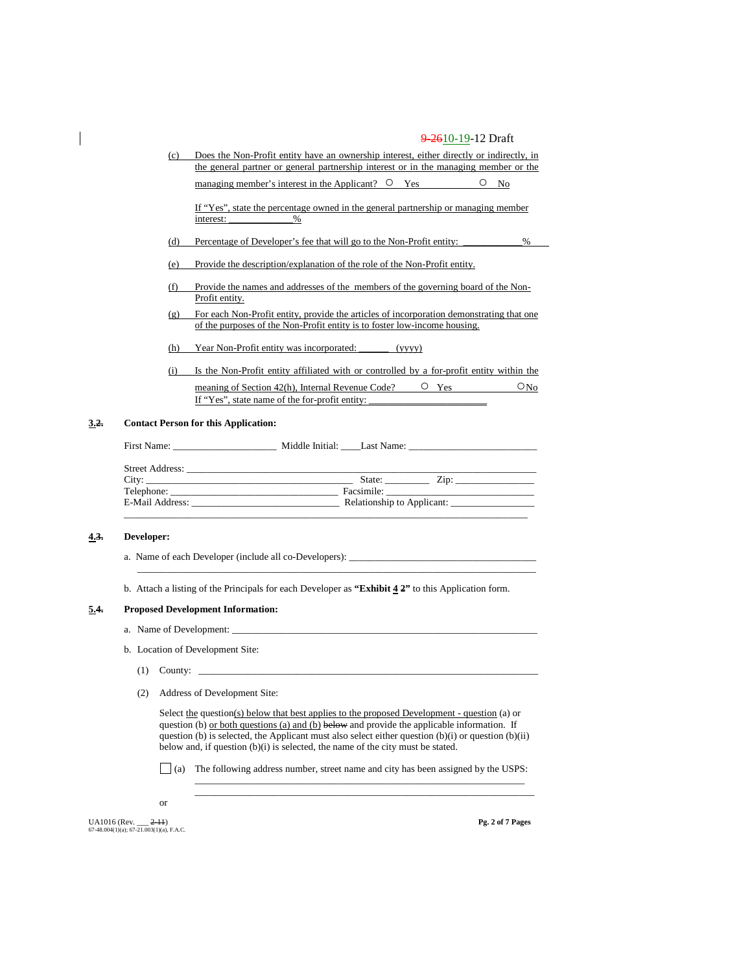(c) Does the Non-Profit entity have an ownership interest, either directly or indirectly, in the general partner or general partnership interest or in the managing member or the managing member's interest in the Applicant?  $\circ$  Yes  $\circ$  No If "Yes", state the percentage owned in the general partnership or managing member

(d) Percentage of Developer's fee that will go to the Non-Profit entity: \_\_\_\_\_\_\_\_\_\_\_\_%

- (e) Provide the description/explanation of the role of the Non-Profit entity.
- (f) Provide the names and addresses of the members of the governing board of the Non-Profit entity.
- (g) For each Non-Profit entity, provide the articles of incorporation demonstrating that one of the purposes of the Non-Profit entity is to foster low-income housing.
- (h) Year Non-Profit entity was incorporated: \_\_\_\_\_\_ (yyyy)

interest: \_\_\_\_\_\_\_\_\_\_\_\_\_%

(i) Is the Non-Profit entity affiliated with or controlled by a for-profit entity within the meaning of Section 42(h), Internal Revenue Code?  $O_{\text{Yes}}$   $O_{\text{No}}$ If "Yes", state name of the for-profit entity:

#### **3.2. Contact Person for this Application:**

| First Name:     | Middle Initial: Last Name:                       |
|-----------------|--------------------------------------------------|
|                 |                                                  |
|                 | State: $\qquad \qquad \text{Zip:} \qquad \qquad$ |
| Telephone:      |                                                  |
| E-Mail Address: | Relationship to Applicant:                       |
|                 |                                                  |

#### **4.3. Developer:**

a. Name of each Developer (include all co-Developers): \_\_

b. Attach a listing of the Principals for each Developer as **"Exhibit 4 2"** to this Application form.

\_\_\_\_\_\_\_\_\_\_\_\_\_\_\_\_\_\_\_\_\_\_\_\_\_\_\_\_\_\_\_\_\_\_\_\_\_\_\_\_\_\_\_\_\_\_\_\_\_\_\_\_\_\_\_\_\_\_\_\_\_\_\_\_\_\_\_\_\_\_\_\_\_\_\_\_\_\_\_\_\_

#### **5.4. Proposed Development Information:**

- a. Name of Development:
- b. Location of Development Site:
	- $(1)$  County:
	- (2) Address of Development Site:

Select the question(s) below that best applies to the proposed Development - question (a) or question (b) or both questions (a) and (b) below and provide the applicable information. If question (b) is selected, the Applicant must also select either question (b)(i) or question (b)(ii) below and, if question (b)(i) is selected, the name of the city must be stated.

 $\Box$  (a) The following address number, street name and city has been assigned by the USPS:

\_\_\_\_\_\_\_\_\_\_\_\_\_\_\_\_\_\_\_\_\_\_\_\_\_\_\_\_\_\_\_\_\_\_\_\_\_\_\_\_\_\_\_\_\_\_\_\_\_\_\_\_\_\_\_\_\_\_\_\_\_\_\_\_\_\_\_ \_\_\_\_\_\_\_\_\_\_\_\_\_\_\_\_\_\_\_\_\_\_\_\_\_\_\_\_\_\_\_\_\_\_\_\_\_\_\_\_\_\_\_\_\_\_\_\_\_\_\_\_\_\_\_\_\_\_\_\_\_\_\_\_\_\_\_\_\_

or

UA1016 (Rev. \_\_\_ 2-11) **Pg. 2 of 7 Pages** 67-48.004(1)(a); 67-21.003(1)(a), F.A.C.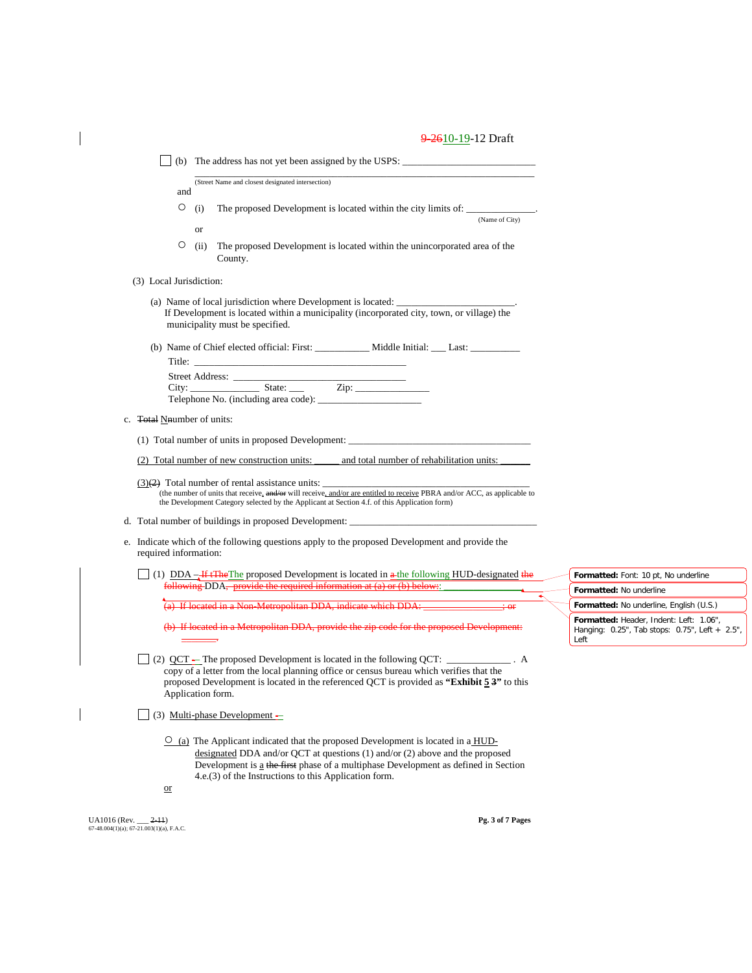| and                                |           | (Street Name and closest designated intersection)                                                                                                                                                                                                                                                                         |                                                                                                   |
|------------------------------------|-----------|---------------------------------------------------------------------------------------------------------------------------------------------------------------------------------------------------------------------------------------------------------------------------------------------------------------------------|---------------------------------------------------------------------------------------------------|
| О                                  | (i)<br>or | The proposed Development is located within the city limits of: _____________.<br>(Name of City)                                                                                                                                                                                                                           |                                                                                                   |
| О                                  | (ii)      | The proposed Development is located within the unincorporated area of the<br>County.                                                                                                                                                                                                                                      |                                                                                                   |
| (3) Local Jurisdiction:            |           |                                                                                                                                                                                                                                                                                                                           |                                                                                                   |
|                                    |           | (a) Name of local jurisdiction where Development is located: ___________________<br>If Development is located within a municipality (incorporated city, town, or village) the<br>municipality must be specified.                                                                                                          |                                                                                                   |
|                                    |           | (b) Name of Chief elected official: First: ______________ Middle Initial: ____ Last: ______________                                                                                                                                                                                                                       |                                                                                                   |
|                                    |           |                                                                                                                                                                                                                                                                                                                           |                                                                                                   |
| c. <b>Total N</b> number of units: |           |                                                                                                                                                                                                                                                                                                                           |                                                                                                   |
|                                    |           | (1) Total number of units in proposed Development:                                                                                                                                                                                                                                                                        |                                                                                                   |
|                                    |           | (2) Total number of new construction units:<br>and total number of rehabilitation units:                                                                                                                                                                                                                                  |                                                                                                   |
|                                    |           | (the number of units that receive, and/or will receive, and/or are entitled to receive PBRA and/or ACC, as applicable to<br>the Development Category selected by the Applicant at Section 4.f. of this Application form)                                                                                                  |                                                                                                   |
|                                    |           |                                                                                                                                                                                                                                                                                                                           |                                                                                                   |
| required information:              |           | e. Indicate which of the following questions apply to the proposed Development and provide the                                                                                                                                                                                                                            |                                                                                                   |
|                                    |           | (1) $DDA - H2$ He proposed Development is located in $\frac{a}{b}$ the following HUD-designated the                                                                                                                                                                                                                       | Formatted: Font: 10 pt, No underline                                                              |
|                                    |           | following DDA, provide the required information at (a) or (b) below:                                                                                                                                                                                                                                                      | Formatted: No underline                                                                           |
|                                    |           | <sup>4</sup> (a) If located in a Non-Metropolitan DDA, indicate which DDA: _______________; or                                                                                                                                                                                                                            | Formatted: No underline, English (U.S.)                                                           |
|                                    |           | (b) If located in a Metropolitan DDA, provide the zip code for the proposed Development:                                                                                                                                                                                                                                  | Formatted: Header, Indent: Left: 1.06",<br>Hanging: 0.25", Tab stops: 0.75", Left + 2.5",<br>Left |
| Application form.                  |           | (2) QCT – The proposed Development is located in the following QCT: ___________. A<br>copy of a letter from the local planning office or census bureau which verifies that the<br>proposed Development is located in the referenced QCT is provided as "Exhibit 5 3" to this                                              |                                                                                                   |
|                                    |           | (3) Multi-phase Development -                                                                                                                                                                                                                                                                                             |                                                                                                   |
| $\alpha$                           |           | $\circ$ (a) The Applicant indicated that the proposed Development is located in a HUD-<br>designated DDA and/or QCT at questions $(1)$ and/or $(2)$ above and the proposed<br>Development is a the first phase of a multiphase Development as defined in Section<br>4.e.(3) of the Instructions to this Application form. |                                                                                                   |

UA1016 (Rev. \_\_\_ 2-11) **Pg. 3 of 7 Pages** 67-48.004(1)(a); 67-21.003(1)(a), F.A.C.

 $\overline{\phantom{a}}$ 

 $\overline{\phantom{a}}$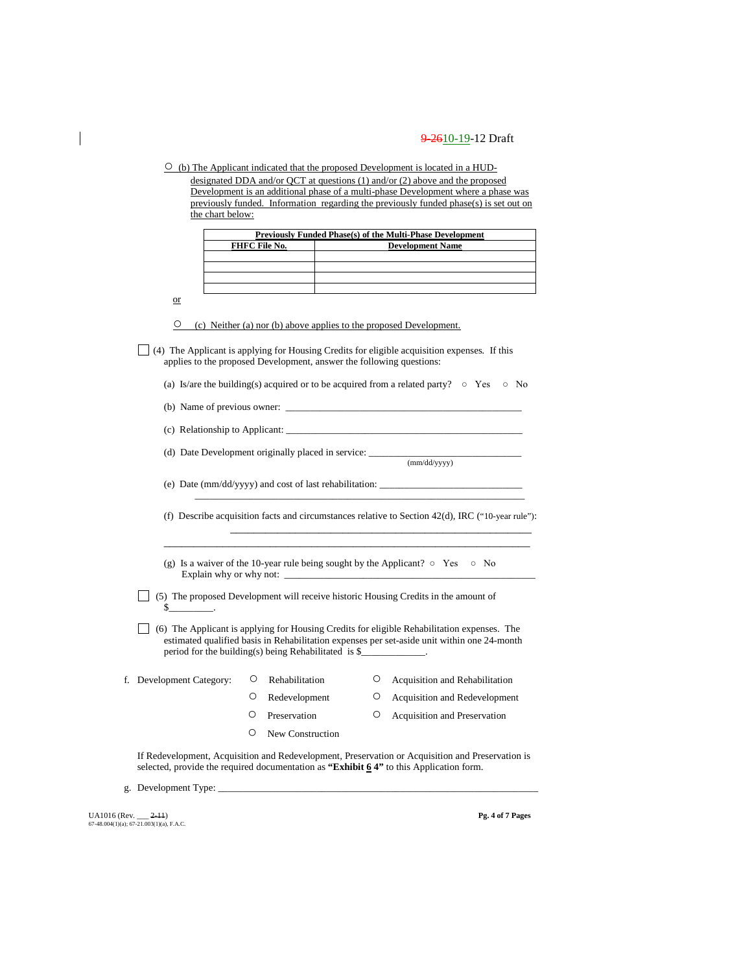$\circ$  (b) The Applicant indicated that the proposed Development is located in a HUDdesignated DDA and/or QCT at questions (1) and/or (2) above and the proposed Development is an additional phase of a multi-phase Development where a phase was previously funded. Information regarding the previously funded phase(s) is set out on the chart below:

| Previously Funded Phase(s) of the Multi-Phase Development |                         |  |  |  |
|-----------------------------------------------------------|-------------------------|--|--|--|
| FHFC File No.                                             | <b>Development Name</b> |  |  |  |
|                                                           |                         |  |  |  |
|                                                           |                         |  |  |  |
|                                                           |                         |  |  |  |
|                                                           |                         |  |  |  |

or

○ (c) Neither (a) nor (b) above applies to the proposed Development.

(4) The Applicant is applying for Housing Credits for eligible acquisition expenses*.* If this applies to the proposed Development, answer the following questions:

|  |  | (a) Is/are the building(s) acquired or to be acquired from a related party? $\circ$ Yes $\circ$ No |  |  |  |  |  |  |
|--|--|----------------------------------------------------------------------------------------------------|--|--|--|--|--|--|
|--|--|----------------------------------------------------------------------------------------------------|--|--|--|--|--|--|

(b) Name of previous owner:  $\Box$ 

(c) Relationship to Applicant:  $\overline{\phantom{a}}$ 

(d) Date Development originally placed in service: \_\_\_\_\_\_\_\_\_\_\_\_\_\_\_\_\_\_\_\_\_\_\_\_\_\_\_\_\_\_\_ (mm/dd/yyyy)

(e) Date (mm/dd/yyyy) and cost of last rehabilitation:  $\_\_$ 

(f) Describe acquisition facts and circumstances relative to Section 42(d), IRC ("10-year rule"):

\_\_\_\_\_\_\_\_\_\_\_\_\_\_\_\_\_\_\_\_\_\_\_\_\_\_\_\_\_\_\_\_\_\_\_\_\_\_\_\_\_\_\_\_\_\_\_\_\_\_\_\_\_\_\_\_\_\_\_\_\_\_

\_\_\_\_\_\_\_\_\_\_\_\_\_\_\_\_\_\_\_\_\_\_\_\_\_\_\_\_\_\_\_\_\_\_\_\_\_\_\_\_\_\_\_\_\_\_\_\_\_\_\_\_\_\_\_\_\_\_\_\_\_\_\_\_\_\_\_

\_\_\_\_\_\_\_\_\_\_\_\_\_\_\_\_\_\_\_\_\_\_\_\_\_\_\_\_\_\_\_\_\_\_\_\_\_\_\_\_\_\_\_\_\_\_\_\_\_\_\_

(g) Is a waiver of the 10-year rule being sought by the Applicant?  $\circ$  Yes  $\circ$  No Explain why or why not: \_

 $\Box$  (5) The proposed Development will receive historic Housing Credits in the amount of  $\mathbf{\hat{s}}$ 

(6) The Applicant is applying for Housing Credits for eligible Rehabilitation expenses. The estimated qualified basis in Rehabilitation expenses per set-aside unit within one 24-month period for the building(s) being Rehabilitated is \$\_

| f. Development Category: | Ő | Rehabilitation   | Acquisition and Rehabilitation      |
|--------------------------|---|------------------|-------------------------------------|
|                          |   | Redevelopment    | O Acquisition and Redevelopment     |
|                          |   | Preservation     | <b>Acquisition and Preservation</b> |
|                          |   | New Construction |                                     |
|                          |   |                  |                                     |

If Redevelopment, Acquisition and Redevelopment, Preservation or Acquisition and Preservation is selected, provide the required documentation as **"Exhibit 6 4"** to this Application form.

g. Development Type:

UA1016 (Rev. \_\_\_ 2-11) **Pg. 4 of 7 Pages** 67-48.004(1)(a); 67-21.003(1)(a), F.A.C.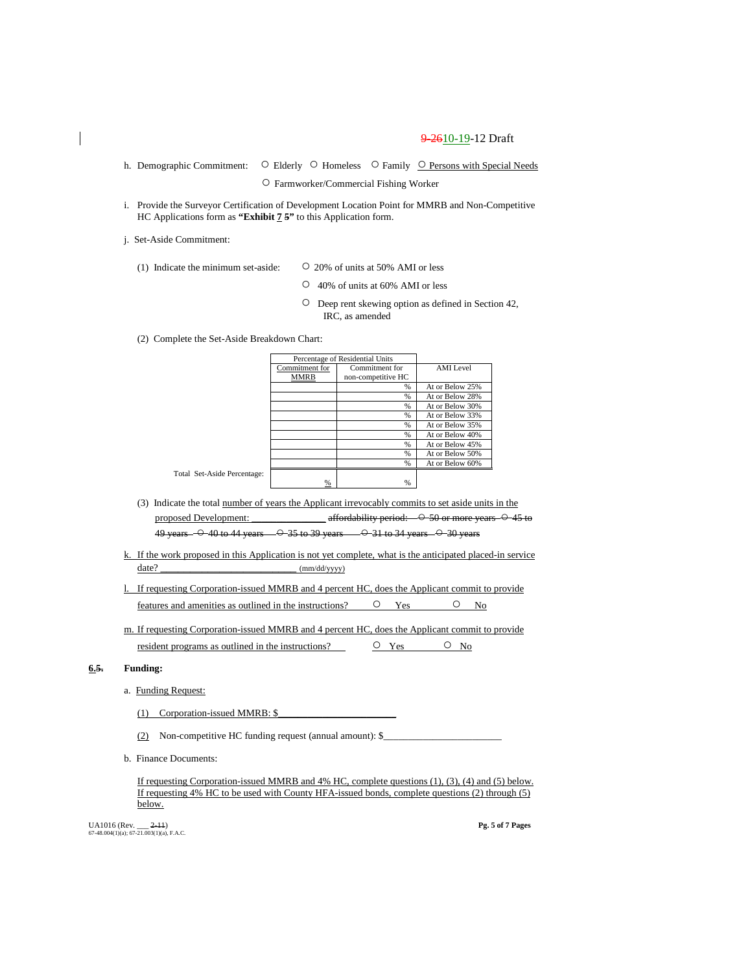h. Demographic Commitment: ○ Elderly ○ Homeless ○ Family ○ Persons with Special Needs

○ Farmworker/Commercial Fishing Worker

i. Provide the Surveyor Certification of Development Location Point for MMRB and Non-Competitive HC Applications form as **"Exhibit 7 5"** to this Application form.

j. Set-Aside Commitment:

- (1) Indicate the minimum set-aside:  $\circ$  20% of units at 50% AMI or less
	- 40% of units at 60% AMI or less
	- Deep rent skewing option as defined in Section 42, IRC, as amended

(2) Complete the Set-Aside Breakdown Chart:

Total Set-Aside P

|            |                | Percentage of Residential Units |                  |
|------------|----------------|---------------------------------|------------------|
|            | Commitment for | Commitment for                  | <b>AMI</b> Level |
|            | <b>MMRB</b>    | non-competitive HC              |                  |
|            |                | $\frac{0}{6}$                   | At or Below 25%  |
|            |                | %                               | At or Below 28%  |
|            |                | %                               | At or Below 30%  |
|            |                | %                               | At or Below 33%  |
|            |                | %                               | At or Below 35%  |
|            |                | %                               | At or Below 40%  |
|            |                | %                               | At or Below 45%  |
|            |                | %                               | At or Below 50%  |
|            |                | %                               | At or Below 60%  |
| ercentage: |                |                                 |                  |
|            | %              | $\%$                            |                  |

- (3) Indicate the total number of years the Applicant irrevocably commits to set aside units in the proposed Development: \_\_\_\_\_\_\_\_\_\_\_\_\_ affordability period:  $\rightarrow$  50 or more years  $\rightarrow$  45 to 49 years  $-$  0 40 to 44 years  $-$  0 35 to 39 years  $-$  0 31 to 34 years  $-$  0 30 years
- k. If the work proposed in this Application is not yet complete, what is the anticipated placed-in service date?  $\frac{1}{2}$  (mm/dd/yyyy)
- l. If requesting Corporation-issued MMRB and 4 percent HC, does the Applicant commit to provide features and amenities as outlined in the instructions?  $\qquad$   $\qquad$  Yes  $\qquad$   $\qquad$  No
- m. If requesting Corporation-issued MMRB and 4 percent HC, does the Applicant commit to provide resident programs as outlined in the instructions?  $\Box$   $\Box$  Yes  $\Box$  No

#### **6.5. Funding:**

- a. Funding Request:
	- (1) Corporation-issued MMRB:  $$$
	- (2) Non-competitive HC funding request (annual amount):  $\$
- b. Finance Documents:

If requesting Corporation-issued MMRB and 4% HC, complete questions (1), (3), (4) and (5) below. If requesting 4% HC to be used with County HFA-issued bonds, complete questions (2) through (5) below.

UA1016 (Rev. \_\_\_ 2-11) **Pg. 5 of 7 Pages** 67-48.004(1)(a); 67-21.003(1)(a), F.A.C.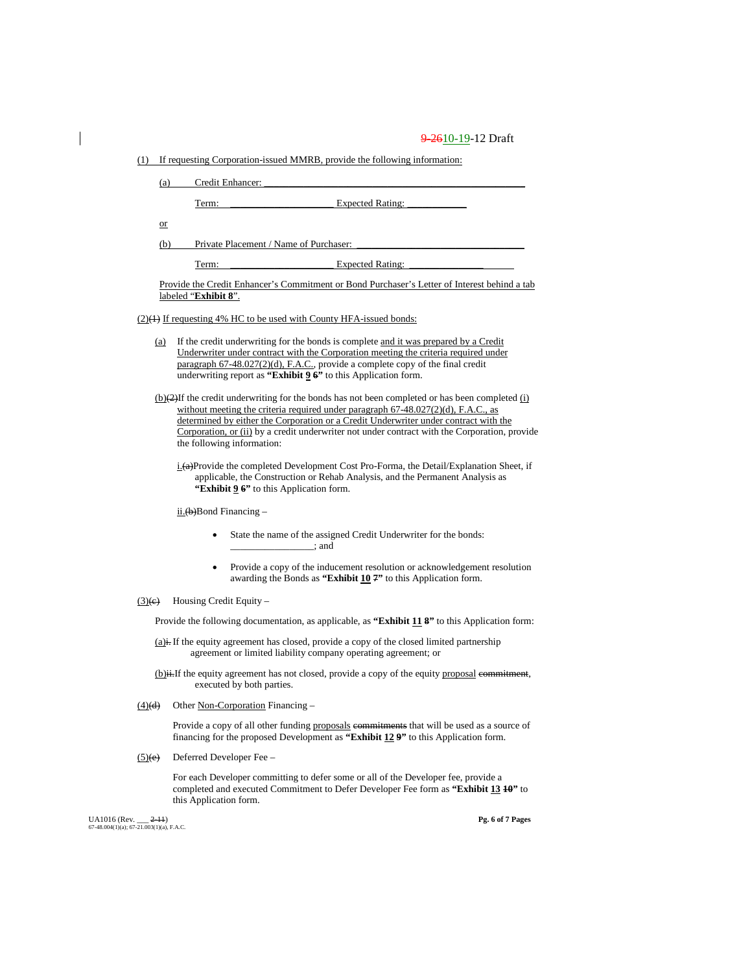(1) If requesting Corporation-issued MMRB, provide the following information:

(a) Credit Enhancer:

Term: \_\_\_\_\_\_\_\_\_\_\_\_\_\_\_\_\_\_\_\_\_ Expected Rating: \_\_\_\_\_\_\_\_\_\_\_\_

or

(b) Private Placement / Name of Purchaser:

Term: \_\_\_\_\_\_\_\_\_\_\_\_\_\_\_\_\_\_\_\_\_ Expected Rating: \_\_\_\_\_\_\_\_\_\_\_\_\_\_\_

Provide the Credit Enhancer's Commitment or Bond Purchaser's Letter of Interest behind a tab labeled "**Exhibit 8**".

 $(2)(4)$  If requesting 4% HC to be used with County HFA-issued bonds:

- (a) If the credit underwriting for the bonds is complete and it was prepared by a Credit Underwriter under contract with the Corporation meeting the criteria required under paragraph 67-48.027(2)(d), F.A.C., provide a complete copy of the final credit underwriting report as **"Exhibit 9 6"** to this Application form.
- $(b)(2)$ If the credit underwriting for the bonds has not been completed or has been completed  $(i)$ without meeting the criteria required under paragraph 67-48.027(2)(d), F.A.C., as determined by either the Corporation or a Credit Underwriter under contract with the Corporation, or (ii) by a credit underwriter not under contract with the Corporation, provide the following information:
	- i.(a)Provide the completed Development Cost Pro-Forma, the Detail/Explanation Sheet, if applicable, the Construction or Rehab Analysis, and the Permanent Analysis as **"Exhibit 9 6"** to this Application form.

 $i$ <u>ii.</u>(b)Bond Financing –

- State the name of the assigned Credit Underwriter for the bonds: \_\_\_\_\_\_\_\_\_\_\_\_\_\_\_\_\_; and
- Provide a copy of the inducement resolution or acknowledgement resolution awarding the Bonds as **"Exhibit 10 7"** to this Application form.
- $(3)(e)$  Housing Credit Equity –

Provide the following documentation, as applicable, as **"Exhibit 11 8"** to this Application form:

 $(a)$ i. If the equity agreement has closed, provide a copy of the closed limited partnership agreement or limited liability company operating agreement; or

(b)ii.If the equity agreement has not closed, provide a copy of the equity proposal commitment, executed by both parties.

 $(4)(d)$  Other <u>Non-Corporation</u> Financing –

Provide a copy of all other funding proposals commitments that will be used as a source of financing for the proposed Development as **"Exhibit 12 9"** to this Application form.

 $(5)(e)$  Deferred Developer Fee –

For each Developer committing to defer some or all of the Developer fee, provide a completed and executed Commitment to Defer Developer Fee form as **"Exhibit 13 10"** to this Application form.

UA1016 (Rev. \_\_ <del>2-11</del>) **Pg. 6** of 7 **Pages** 67-48.004(1)(a); 67-21.003(1)(a), F.A.C.